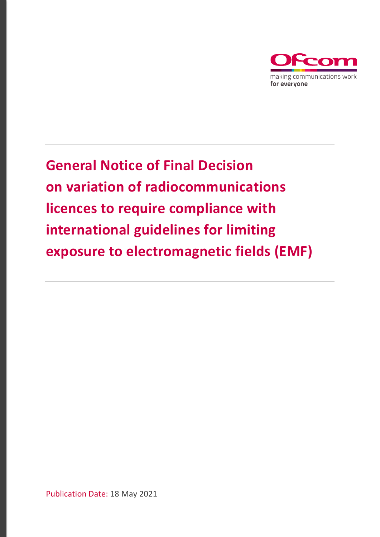

**General Notice of Final Decision on variation of radiocommunications licences to require compliance with international guidelines for limiting exposure to electromagnetic fields (EMF)**

Publication Date: 18 May 2021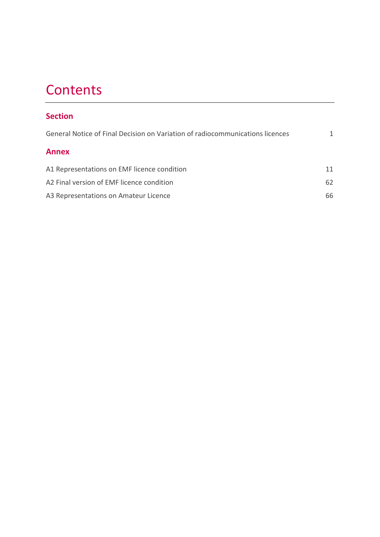# **Contents**

## **Section**

| General Notice of Final Decision on Variation of radiocommunications licences |    |
|-------------------------------------------------------------------------------|----|
| <b>Annex</b>                                                                  |    |
| A1 Representations on EMF licence condition                                   | 11 |
| A2 Final version of EMF licence condition                                     | 62 |
| A3 Representations on Amateur Licence                                         | 66 |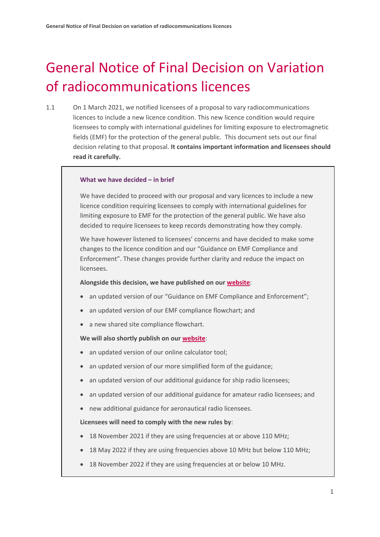# <span id="page-2-0"></span>General Notice of Final Decision on Variation of radiocommunications licences

1.1 On 1 March 2021, we notified licensees of a proposal to vary radiocommunications licences to include a new licence condition. This new licence condition would require licensees to comply with international guidelines for limiting exposure to electromagnetic fields (EMF) for the protection of the general public. This document sets out our final decision relating to that proposal. **It contains important information and licensees should read it carefully.**

#### **What we have decided – in brief**

We have decided to proceed with our proposal and vary licences to include a new licence condition requiring licensees to comply with international guidelines for limiting exposure to EMF for the protection of the general public. We have also decided to require licensees to keep records demonstrating how they comply.

We have however listened to licensees' concerns and have decided to make some changes to the licence condition and our "Guidance on EMF Compliance and Enforcement". These changes provide further clarity and reduce the impact on licensees.

#### **Alongside this decision, we have published on our [website](http://www.ofcom.org.uk/emf)**:

- an updated version of our ["Guidance on EMF Compliance and Enforcement"](https://eur01.safelinks.protection.outlook.com/?url=https%3A%2F%2Fwww.ofcom.org.uk%2F__data%2Fassets%2Fpdf_file%2F0025%2F214459%2Fguidance-emf-compliance-enforcement.pdf&data=04%7C01%7CJohn.Glover%40ofcom.org.uk%7Cbb02d76da2f549bcfb7608d9155599a8%7C0af648de310c40688ae4f9418bae24cc%7C0%7C0%7C637564279656808929%7CUnknown%7CTWFpbGZsb3d8eyJWIjoiMC4wLjAwMDAiLCJQIjoiV2luMzIiLCJBTiI6Ik1haWwiLCJXVCI6Mn0%3D%7C1000&sdata=s%2FYew3eQrBHc4mtxC7dWIjYhETgH9KV3B27sHAhnqoA%3D&reserved=0);
- an updated version of our [EMF compliance flowchart;](https://eur01.safelinks.protection.outlook.com/?url=https%3A%2F%2Fwww.ofcom.org.uk%2F__data%2Fassets%2Fpdf_file%2F0022%2F214456%2Femf-compliance-flowchart.pdf&data=04%7C01%7CJohn.Glover%40ofcom.org.uk%7Cbb02d76da2f549bcfb7608d9155599a8%7C0af648de310c40688ae4f9418bae24cc%7C0%7C0%7C637564279656798978%7CUnknown%7CTWFpbGZsb3d8eyJWIjoiMC4wLjAwMDAiLCJQIjoiV2luMzIiLCJBTiI6Ik1haWwiLCJXVCI6Mn0%3D%7C1000&sdata=u%2FVwL5uH1AZA5JqeOLQ27LJLeWQSv3f3QjtwuG6qBGg%3D&reserved=0) and
- a new [shared site compliance](https://eur01.safelinks.protection.outlook.com/?url=https%3A%2F%2Fwww.ofcom.org.uk%2F__data%2Fassets%2Fpdf_file%2F0028%2F218962%2Fshared-site-compliance-flowchart.pdf&data=04%7C01%7CJohn.Glover%40ofcom.org.uk%7Cbb02d76da2f549bcfb7608d9155599a8%7C0af648de310c40688ae4f9418bae24cc%7C0%7C0%7C637564279656798978%7CUnknown%7CTWFpbGZsb3d8eyJWIjoiMC4wLjAwMDAiLCJQIjoiV2luMzIiLCJBTiI6Ik1haWwiLCJXVCI6Mn0%3D%7C1000&sdata=NNaDsgpukiNVvaFnb65%2Bn%2Bo2WPxfitIzWqY4i4%2F7X3Q%3D&reserved=0) flowchart.

#### **We will also shortly publish on our [website](http://www.ofcom.org.uk/emf)**:

- an updated version of our online calculator tool;
- an updated version of our more simplified form of the guidance;
- an updated version of our additional guidance for ship radio licensees;
- an updated version of our additional guidance for amateur radio licensees; and
- new additional guidance for aeronautical radio licensees.

#### **Licensees will need to comply with the new rules by**:

- 18 November 2021 if they are using frequencies at or above 110 MHz;
- 18 May 2022 if they are using frequencies above 10 MHz but below 110 MHz;
- 18 November 2022 if they are using frequencies at or below 10 MHz.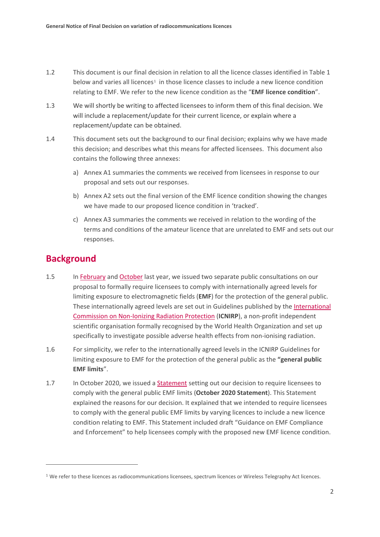- 1.2 This document is our final decision in relation to all the licence classes identified in Table 1 below and varies all licences<sup>[1](#page-3-0)</sup> in those licence classes to include a new licence condition relating to EMF. We refer to the new licence condition as the "**EMF licence condition**".
- 1.3 We will shortly be writing to affected licensees to inform them of this final decision. We will include a replacement/update for their current licence, or explain where a replacement/update can be obtained.
- 1.4 This document sets out the background to our final decision; explains why we have made this decision; and describes what this means for affected licensees. This document also contains the following three annexes:
	- a) Annex A1 summaries the comments we received from licensees in response to our proposal and sets out our responses.
	- b) Annex A2 sets out the final version of the EMF licence condition showing the changes we have made to our proposed licence condition in 'tracked'.
	- c) Annex A3 summaries the comments we received in relation to the wording of the terms and conditions of the amateur licence that are unrelated to EMF and sets out our responses.

## **Background**

- 1.5 I[n February](https://www.ofcom.org.uk/__data/assets/pdf_file/0013/190003/emf-condoc.pdf) and [October](https://www.ofcom.org.uk/__data/assets/pdf_file/0017/204056/emf-implementation-consultation.pdf) last year, we issued two separate public consultations on our proposal to formally require licensees to comply with internationally agreed levels for limiting exposure to electromagnetic fields (**EMF**) for the protection of the general public. These internationally agreed levels are set out in Guidelines published by the [International](https://www.icnirp.org/)  [Commission on Non-Ionizing Radiation Protection](https://www.icnirp.org/) (**ICNIRP**), a non-profit independent scientific organisation formally recognised by the World Health Organization and set up specifically to investigate possible adverse health effects from non-ionising radiation.
- 1.6 For simplicity, we refer to the internationally agreed levels in the ICNIRP Guidelines for limiting exposure to EMF for the protection of the general public as the **"general public EMF limits**".
- 1.7 In October 2020, we issued a [Statement](https://www.ofcom.org.uk/__data/assets/pdf_file/0014/204053/emf-statement.pdf) setting out our decision to require licensees to comply with the general public EMF limits (**October 2020 Statement**). This Statement explained the reasons for our decision. It explained that we intended to require licensees to comply with the general public EMF limits by varying licences to include a new licence condition relating to EMF. This Statement included draft "Guidance on EMF Compliance and Enforcement" to help licensees comply with the proposed new EMF licence condition.

<span id="page-3-0"></span><sup>&</sup>lt;sup>1</sup> We refer to these licences as radiocommunications licensees, spectrum licences or Wireless Telegraphy Act licences.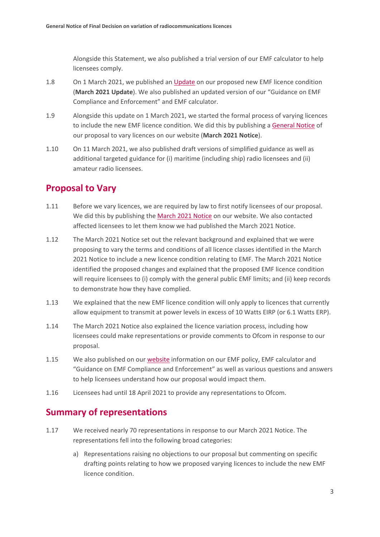Alongside this Statement, we also published a trial version of our EMF calculator to help licensees comply.

- 1.8 On 1 March 2021, we published a[n Update](https://www.ofcom.org.uk/__data/assets/pdf_file/0022/214663/emf-implementation-update.pdf) on our proposed new EMF licence condition (**March 2021 Update**). We also published an updated version of our "Guidance on EMF Compliance and Enforcement" and EMF calculator.
- 1.9 Alongside this update on 1 March 2021, we started the formal process of varying licences to include the new EMF licence condition. We did this by publishing [a General Notice](https://www.ofcom.org.uk/manage-your-licence/emf/general-notice-licence-variation) of our proposal to vary licences on our website (**March 2021 Notice**).
- 1.10 On 11 March 2021, we also published draft versions of simplified guidance as well as additional targeted guidance for (i) maritime (including ship) radio licensees and (ii) amateur radio licensees.

## **Proposal to Vary**

- 1.11 Before we vary licences, we are required by law to first notify licensees of our proposal. We did this by publishing the March [2021 Notice](https://www.ofcom.org.uk/manage-your-licence/emf/general-notice-licence-variation) on our website. We also contacted affected licensees to let them know we had published the March 2021 Notice.
- 1.12 The March 2021 Notice set out the relevant background and explained that we were proposing to vary the terms and conditions of all licence classes identified in the March 2021 Notice to include a new licence condition relating to EMF. The March 2021 Notice identified the proposed changes and explained that the proposed EMF licence condition will require licensees to (i) comply with the general public EMF limits; and (ii) keep records to demonstrate how they have complied.
- 1.13 We explained that the new EMF licence condition will only apply to licences that currently allow equipment to transmit at power levels in excess of 10 Watts EIRP (or 6.1 Watts ERP).
- 1.14 The March 2021 Notice also explained the licence variation process, including how licensees could make representations or provide comments to Ofcom in response to our proposal.
- 1.15 We also published on our [website](https://www.ofcom.org.uk/manage-your-licence/emf/general-notice-licence-variation) information on our EMF policy, EMF calculator and "Guidance on EMF Compliance and Enforcement" as well as various questions and answers to help licensees understand how our proposal would impact them.
- 1.16 Licensees had until 18 April 2021 to provide any representations to Ofcom.

## **Summary of representations**

- 1.17 We received nearly 70 representations in response to our March 2021 Notice. The representations fell into the following broad categories:
	- a) Representations raising no objections to our proposal but commenting on specific drafting points relating to how we proposed varying licences to include the new EMF licence condition.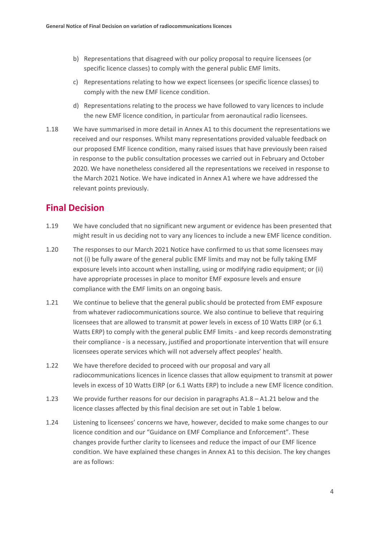- b) Representations that disagreed with our policy proposal to require licensees (or specific licence classes) to comply with the general public EMF limits.
- c) Representations relating to how we expect licensees (or specific licence classes) to comply with the new EMF licence condition.
- d) Representations relating to the process we have followed to vary licences to include the new EMF licence condition, in particular from aeronautical radio licensees.
- 1.18 We have summarised in more detail in Annex A1 to this document the representations we received and our responses. Whilst many representations provided valuable feedback on our proposed EMF licence condition, many raised issues that have previously been raised in response to the public consultation processes we carried out in February and October 2020. We have nonetheless considered all the representations we received in response to the March 2021 Notice. We have indicated in Annex A1 where we have addressed the relevant points previously.

## **Final Decision**

- 1.19 We have concluded that no significant new argument or evidence has been presented that might result in us deciding not to vary any licences to include a new EMF licence condition.
- 1.20 The responses to our March 2021 Notice have confirmed to us that some licensees may not (i) be fully aware of the general public EMF limits and may not be fully taking EMF exposure levels into account when installing, using or modifying radio equipment; or (ii) have appropriate processes in place to monitor EMF exposure levels and ensure compliance with the EMF limits on an ongoing basis.
- 1.21 We continue to believe that the general public should be protected from EMF exposure from whatever radiocommunications source. We also continue to believe that requiring licensees that are allowed to transmit at power levels in excess of 10 Watts EIRP (or 6.1 Watts ERP) to comply with the general public EMF limits - and keep records demonstrating their compliance - is a necessary, justified and proportionate intervention that will ensure licensees operate services which will not adversely affect peoples' health.
- 1.22 We have therefore decided to proceed with our proposal and vary all radiocommunications licences in licence classes that allow equipment to transmit at power levels in excess of 10 Watts EIRP (or 6.1 Watts ERP) to include a new EMF licence condition.
- 1.23 We provide further reasons for our decision in paragraphs A1.8 A1.21 below and the licence classes affected by this final decision are set out in Table 1 below.
- 1.24 Listening to licensees' concerns we have, however, decided to make some changes to our licence condition and our "Guidance on EMF Compliance and Enforcement". These changes provide further clarity to licensees and reduce the impact of our EMF licence condition. We have explained these changes in Annex A1 to this decision. The key changes are as follows: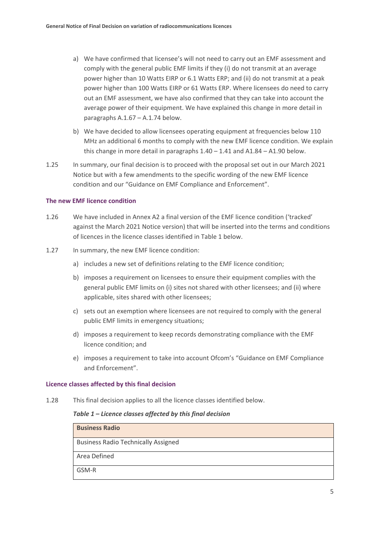- a) We have confirmed that licensee's will not need to carry out an EMF assessment and comply with the general public EMF limits if they (i) do not transmit at an average power higher than 10 Watts EIRP or 6.1 Watts ERP; and (ii) do not transmit at a peak power higher than 100 Watts EIRP or 61 Watts ERP. Where licensees do need to carry out an EMF assessment, we have also confirmed that they can take into account the average power of their equipment. We have explained this change in more detail in paragraphs A.1.67 – A.1.74 below.
- b) We have decided to allow licensees operating equipment at frequencies below 110 MHz an additional 6 months to comply with the new EMF licence condition. We explain this change in more detail in paragraphs  $1.40 - 1.41$  and  $A1.84 - A1.90$  below.
- 1.25 In summary, our final decision is to proceed with the proposal set out in our March 2021 Notice but with a few amendments to the specific wording of the new EMF licence condition and our "Guidance on EMF Compliance and Enforcement".

#### **The new EMF licence condition**

- 1.26 We have included in Annex A2 a final version of the EMF licence condition ('tracked' against the March 2021 Notice version) that will be inserted into the terms and conditions of licences in the licence classes identified in Table 1 below.
- 1.27 In summary, the new EMF licence condition:
	- a) includes a new set of definitions relating to the EMF licence condition;
	- b) imposes a requirement on licensees to ensure their equipment complies with the general public EMF limits on (i) sites not shared with other licensees; and (ii) where applicable, sites shared with other licensees;
	- c) sets out an exemption where licensees are not required to comply with the general public EMF limits in emergency situations;
	- d) imposes a requirement to keep records demonstrating compliance with the EMF licence condition; and
	- e) imposes a requirement to take into account Ofcom's "Guidance on EMF Compliance and Enforcement".

#### **Licence classes affected by this final decision**

1.28 This final decision applies to all the licence classes identified below.

#### *Table 1 – Licence classes affected by this final decision*

| <b>Business Radio</b>                      |
|--------------------------------------------|
| <b>Business Radio Technically Assigned</b> |
| Area Defined                               |
| GSM-R                                      |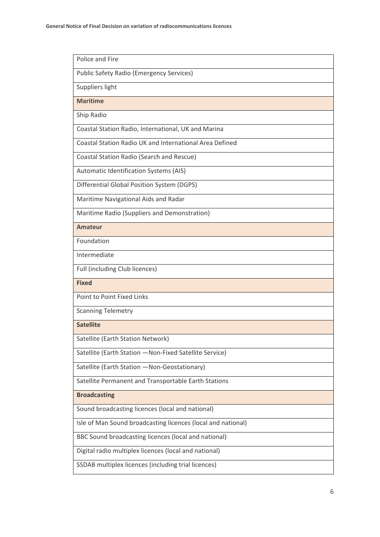| Police and Fire                                              |
|--------------------------------------------------------------|
| <b>Public Safety Radio (Emergency Services)</b>              |
| Suppliers light                                              |
| <b>Maritime</b>                                              |
| Ship Radio                                                   |
| Coastal Station Radio, International, UK and Marina          |
| Coastal Station Radio UK and International Area Defined      |
| Coastal Station Radio (Search and Rescue)                    |
| Automatic Identification Systems (AIS)                       |
| Differential Global Position System (DGPS)                   |
| Maritime Navigational Aids and Radar                         |
| Maritime Radio (Suppliers and Demonstration)                 |
| <b>Amateur</b>                                               |
| Foundation                                                   |
| Intermediate                                                 |
| Full (including Club licences)                               |
| <b>Fixed</b>                                                 |
| <b>Point to Point Fixed Links</b>                            |
| <b>Scanning Telemetry</b>                                    |
| <b>Satellite</b>                                             |
| Satellite (Earth Station Network)                            |
| Satellite (Earth Station - Non-Fixed Satellite Service)      |
| Satellite (Earth Station - Non-Geostationary)                |
| Satellite Permanent and Transportable Earth Stations         |
| <b>Broadcasting</b>                                          |
|                                                              |
| Sound broadcasting licences (local and national)             |
| Isle of Man Sound broadcasting licences (local and national) |
| BBC Sound broadcasting licences (local and national)         |
| Digital radio multiplex licences (local and national)        |
| SSDAB multiplex licences (including trial licences)          |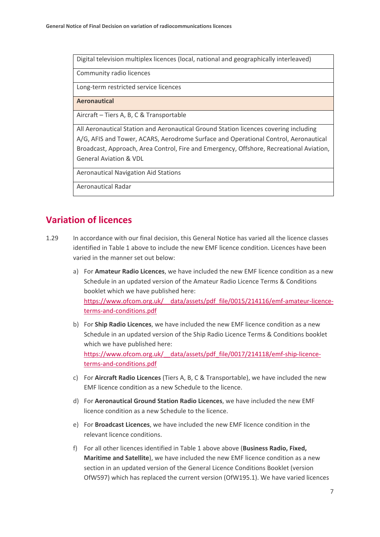Digital television multiplex licences (local, national and geographically interleaved)

Community radio licences

Long-term restricted service licences

**Aeronautical**

Aircraft – Tiers A, B, C & Transportable

All Aeronautical Station and Aeronautical Ground Station licences covering including A/G, AFIS and Tower, ACARS, Aerodrome Surface and Operational Control, Aeronautical Broadcast, Approach, Area Control, Fire and Emergency, Offshore, Recreational Aviation, General Aviation & VDL

Aeronautical Navigation Aid Stations

Aeronautical Radar

## **Variation of licences**

- 1.29 In accordance with our final decision, this General Notice has varied all the licence classes identified in Table 1 above to include the new EMF licence condition. Licences have been varied in the manner set out below:
	- a) For **Amateur Radio Licences**, we have included the new EMF licence condition as a new Schedule in an updated version of the Amateur Radio Licence Terms & Conditions booklet which we have published here: [https://www.ofcom.org.uk/\\_\\_data/assets/pdf\\_file/0015/214116/emf-amateur-licence](https://www.ofcom.org.uk/__data/assets/pdf_file/0015/214116/emf-amateur-licence-terms-and-conditions.pdf)[terms-and-conditions.pdf](https://www.ofcom.org.uk/__data/assets/pdf_file/0015/214116/emf-amateur-licence-terms-and-conditions.pdf)
	- b) For **Ship Radio Licences**, we have included the new EMF licence condition as a new Schedule in an updated version of the Ship Radio Licence Terms & Conditions booklet which we have published here: [https://www.ofcom.org.uk/\\_\\_data/assets/pdf\\_file/0017/214118/emf-ship-licence](https://www.ofcom.org.uk/__data/assets/pdf_file/0017/214118/emf-ship-licence-terms-and-conditions.pdf)[terms-and-conditions.pdf](https://www.ofcom.org.uk/__data/assets/pdf_file/0017/214118/emf-ship-licence-terms-and-conditions.pdf)
	- c) For **Aircraft Radio Licences** (Tiers A, B, C & Transportable), we have included the new EMF licence condition as a new Schedule to the licence.
	- d) For **Aeronautical Ground Station Radio Licences**, we have included the new EMF licence condition as a new Schedule to the licence.
	- e) For **Broadcast Licences**, we have included the new EMF licence condition in the relevant licence conditions.
	- f) For all other licences identified in Table 1 above above (**Business Radio, Fixed, Maritime and Satellite**), we have included the new EMF licence condition as a new section in an updated version of the General Licence Conditions Booklet (version OfW597) which has replaced the current version (OfW195.1). We have varied licences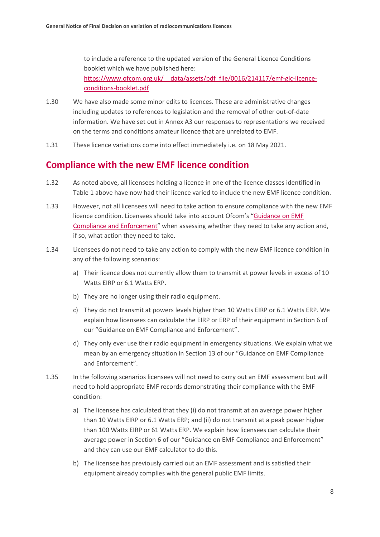to include a reference to the updated version of the General Licence Conditions booklet which we have published here: [https://www.ofcom.org.uk/\\_\\_data/assets/pdf\\_file/0016/214117/emf-glc-licence](https://www.ofcom.org.uk/__data/assets/pdf_file/0016/214117/emf-glc-licence-conditions-booklet.pdf)[conditions-booklet.pdf](https://www.ofcom.org.uk/__data/assets/pdf_file/0016/214117/emf-glc-licence-conditions-booklet.pdf)

- 1.30 We have also made some minor edits to licences. These are administrative changes including updates to references to legislation and the removal of other out-of-date information. We have set out in Annex A3 our responses to representations we received on the terms and conditions amateur licence that are unrelated to EMF.
- 1.31 These licence variations come into effect immediately i.e. on 18 May 2021.

## **Compliance with the new EMF licence condition**

- 1.32 As noted above, all licensees holding a licence in one of the licence classes identified in Table 1 above have now had their licence varied to include the new EMF licence condition.
- 1.33 However, not all licensees will need to take action to ensure compliance with the new EMF licence condition. Licensees should take into account Ofcom's ["Guidance on EMF](https://eur01.safelinks.protection.outlook.com/?url=https%3A%2F%2Fwww.ofcom.org.uk%2F__data%2Fassets%2Fpdf_file%2F0025%2F214459%2Fguidance-emf-compliance-enforcement.pdf&data=04%7C01%7CJohn.Glover%40ofcom.org.uk%7Cbb02d76da2f549bcfb7608d9155599a8%7C0af648de310c40688ae4f9418bae24cc%7C0%7C0%7C637564279656808929%7CUnknown%7CTWFpbGZsb3d8eyJWIjoiMC4wLjAwMDAiLCJQIjoiV2luMzIiLCJBTiI6Ik1haWwiLCJXVCI6Mn0%3D%7C1000&sdata=s%2FYew3eQrBHc4mtxC7dWIjYhETgH9KV3B27sHAhnqoA%3D&reserved=0)  [Compliance and Enforcement"](https://eur01.safelinks.protection.outlook.com/?url=https%3A%2F%2Fwww.ofcom.org.uk%2F__data%2Fassets%2Fpdf_file%2F0025%2F214459%2Fguidance-emf-compliance-enforcement.pdf&data=04%7C01%7CJohn.Glover%40ofcom.org.uk%7Cbb02d76da2f549bcfb7608d9155599a8%7C0af648de310c40688ae4f9418bae24cc%7C0%7C0%7C637564279656808929%7CUnknown%7CTWFpbGZsb3d8eyJWIjoiMC4wLjAwMDAiLCJQIjoiV2luMzIiLCJBTiI6Ik1haWwiLCJXVCI6Mn0%3D%7C1000&sdata=s%2FYew3eQrBHc4mtxC7dWIjYhETgH9KV3B27sHAhnqoA%3D&reserved=0) when assessing whether they need to take any action and, if so, what action they need to take.
- 1.34 Licensees do not need to take any action to comply with the new EMF licence condition in any of the following scenarios:
	- a) Their licence does not currently allow them to transmit at power levels in excess of 10 Watts EIRP or 6.1 Watts ERP.
	- b) They are no longer using their radio equipment.
	- c) They do not transmit at powers levels higher than 10 Watts EIRP or 6.1 Watts ERP. We explain how licensees can calculate the EIRP or ERP of their equipment in Section 6 of our "Guidance on EMF Compliance and Enforcement".
	- d) They only ever use their radio equipment in emergency situations. We explain what we mean by an emergency situation in Section 13 of our "Guidance on EMF Compliance and Enforcement".
- 1.35 In the following scenarios licensees will not need to carry out an EMF assessment but will need to hold appropriate EMF records demonstrating their compliance with the EMF condition:
	- a) The licensee has calculated that they (i) do not transmit at an average power higher than 10 Watts EIRP or 6.1 Watts ERP; and (ii) do not transmit at a peak power higher than 100 Watts EIRP or 61 Watts ERP. We explain how licensees can calculate their average power in Section 6 of our "Guidance on EMF Compliance and Enforcement" and they can use our EMF calculator to do this.
	- b) The licensee has previously carried out an EMF assessment and is satisfied their equipment already complies with the general public EMF limits.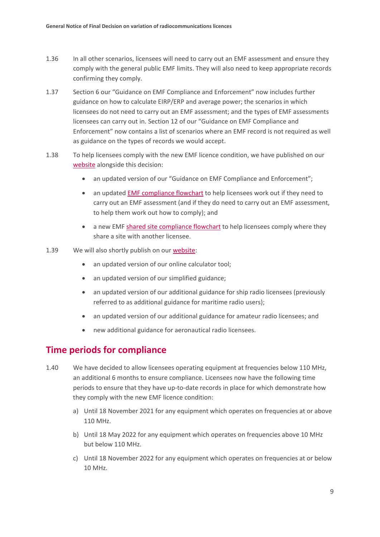- 1.36 In all other scenarios, licensees will need to carry out an EMF assessment and ensure they comply with the general public EMF limits. They will also need to keep appropriate records confirming they comply.
- 1.37 Section 6 our "Guidance on EMF Compliance and Enforcement" now includes further guidance on how to calculate EIRP/ERP and average power; the scenarios in which licensees do not need to carry out an EMF assessment; and the types of EMF assessments licensees can carry out in. Section 12 of our "Guidance on EMF Compliance and Enforcement" now contains a list of scenarios where an EMF record is not required as well as guidance on the types of records we would accept.
- 1.38 To help licensees comply with the new EMF licence condition, we have published on our [website](https://www.ofcom.org.uk/manage-your-licence/emf) alongside this decision:
	- an updated version of our "Guidance on EMF Compliance and Enforcement";
	- an updated [EMF compliance flowchart](https://eur01.safelinks.protection.outlook.com/?url=https%3A%2F%2Fwww.ofcom.org.uk%2F__data%2Fassets%2Fpdf_file%2F0022%2F214456%2Femf-compliance-flowchart.pdf&data=04%7C01%7CJohn.Glover%40ofcom.org.uk%7Cbb02d76da2f549bcfb7608d9155599a8%7C0af648de310c40688ae4f9418bae24cc%7C0%7C0%7C637564279656798978%7CUnknown%7CTWFpbGZsb3d8eyJWIjoiMC4wLjAwMDAiLCJQIjoiV2luMzIiLCJBTiI6Ik1haWwiLCJXVCI6Mn0%3D%7C1000&sdata=u%2FVwL5uH1AZA5JqeOLQ27LJLeWQSv3f3QjtwuG6qBGg%3D&reserved=0) to help licensees work out if they need to carry out an EMF assessment (and if they do need to carry out an EMF assessment, to help them work out how to comply); and
	- a new EMF [shared site compliance](https://eur01.safelinks.protection.outlook.com/?url=https%3A%2F%2Fwww.ofcom.org.uk%2F__data%2Fassets%2Fpdf_file%2F0028%2F218962%2Fshared-site-compliance-flowchart.pdf&data=04%7C01%7CJohn.Glover%40ofcom.org.uk%7Cbb02d76da2f549bcfb7608d9155599a8%7C0af648de310c40688ae4f9418bae24cc%7C0%7C0%7C637564279656798978%7CUnknown%7CTWFpbGZsb3d8eyJWIjoiMC4wLjAwMDAiLCJQIjoiV2luMzIiLCJBTiI6Ik1haWwiLCJXVCI6Mn0%3D%7C1000&sdata=NNaDsgpukiNVvaFnb65%2Bn%2Bo2WPxfitIzWqY4i4%2F7X3Q%3D&reserved=0) flowchart to help licensees comply where they share a site with another licensee.
- 1.39 We will also shortly publish on our [website:](https://www.ofcom.org.uk/manage-your-licence/emf/compliance-and-enforcement-guidance)
	- an updated version of our online calculator tool;
	- an updated version of our simplified guidance;
	- an updated version of our additional guidance for ship radio licensees (previously referred to as additional guidance for maritime radio users);
	- an updated version of our additional guidance for amateur radio licensees; and
	- new additional guidance for aeronautical radio licensees.

### **Time periods for compliance**

- 1.40 We have decided to allow licensees operating equipment at frequencies below 110 MHz, an additional 6 months to ensure compliance. Licensees now have the following time periods to ensure that they have up-to-date records in place for which demonstrate how they comply with the new EMF licence condition:
	- a) Until 18 November 2021 for any equipment which operates on frequencies at or above 110 MHz.
	- b) Until 18 May 2022 for any equipment which operates on frequencies above 10 MHz but below 110 MHz.
	- c) Until 18 November 2022 for any equipment which operates on frequencies at or below 10 MHz.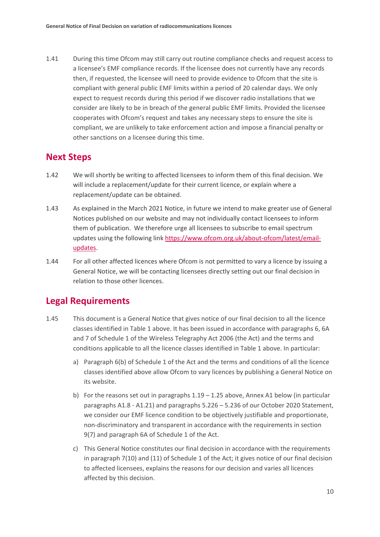1.41 During this time Ofcom may still carry out routine compliance checks and request access to a licensee's EMF compliance records. If the licensee does not currently have any records then, if requested, the licensee will need to provide evidence to Ofcom that the site is compliant with general public EMF limits within a period of 20 calendar days. We only expect to request records during this period if we discover radio installations that we consider are likely to be in breach of the general public EMF limits. Provided the licensee cooperates with Ofcom's request and takes any necessary steps to ensure the site is compliant, we are unlikely to take enforcement action and impose a financial penalty or other sanctions on a licensee during this time.

## **Next Steps**

- 1.42 We will shortly be writing to affected licensees to inform them of this final decision. We will include a replacement/update for their current licence, or explain where a replacement/update can be obtained.
- 1.43 As explained in the March 2021 Notice, in future we intend to make greater use of General Notices published on our website and may not individually contact licensees to inform them of publication. We therefore urge all licensees to subscribe to email spectrum updates using the following lin[k https://www.ofcom.org.uk/about-ofcom/latest/email](https://www.ofcom.org.uk/about-ofcom/latest/email-updates)[updates.](https://www.ofcom.org.uk/about-ofcom/latest/email-updates)
- 1.44 For all other affected licences where Ofcom is not permitted to vary a licence by issuing a General Notice, we will be contacting licensees directly setting out our final decision in relation to those other licences.

## **Legal Requirements**

- 1.45 This document is a General Notice that gives notice of our final decision to all the licence classes identified in Table 1 above. It has been issued in accordance with paragraphs 6, 6A and 7 of Schedule 1 of the Wireless Telegraphy Act 2006 (the Act) and the terms and conditions applicable to all the licence classes identified in Table 1 above. In particular:
	- a) Paragraph 6(b) of Schedule 1 of the Act and the terms and conditions of all the licence classes identified above allow Ofcom to vary licences by publishing a General Notice on its website.
	- b) For the reasons set out in paragraphs 1.19 1.25 above, Annex A1 below (in particular paragraphs A1.8 - A1.21) and paragraphs 5.226 – 5.236 of our October 2020 Statement, we consider our EMF licence condition to be objectively justifiable and proportionate, non-discriminatory and transparent in accordance with the requirements in section 9(7) and paragraph 6A of Schedule 1 of the Act.
	- c) This General Notice constitutes our final decision in accordance with the requirements in paragraph 7(10) and (11) of Schedule 1 of the Act; it gives notice of our final decision to affected licensees, explains the reasons for our decision and varies all licences affected by this decision.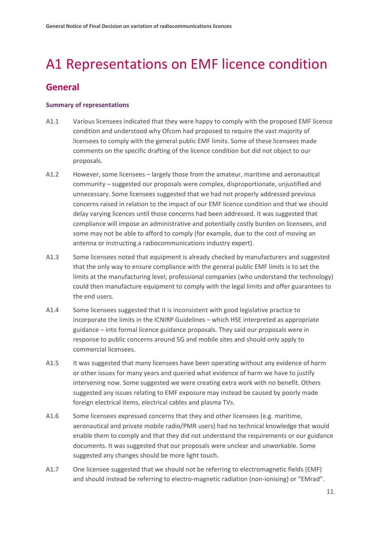# <span id="page-12-0"></span>A1 Representations on EMF licence condition

# **General**

#### **Summary of representations**

- A1.1 Various licensees indicated that they were happy to comply with the proposed EMF licence condition and understood why Ofcom had proposed to require the vast majority of licensees to comply with the general public EMF limits. Some of these licensees made comments on the specific drafting of the licence condition but did not object to our proposals.
- A1.2 However, some licensees largely those from the amateur, maritime and aeronautical community – suggested our proposals were complex, disproportionate, unjustified and unnecessary. Some licensees suggested that we had not properly addressed previous concerns raised in relation to the impact of our EMF licence condition and that we should delay varying licences until those concerns had been addressed. It was suggested that compliance will impose an administrative and potentially costly burden on licensees, and some may not be able to afford to comply (for example, due to the cost of moving an antenna or instructing a radiocommunications industry expert).
- A1.3 Some licensees noted that equipment is already checked by manufacturers and suggested that the only way to ensure compliance with the general public EMF limits is to set the limits at the manufacturing level; professional companies (who understand the technology) could then manufacture equipment to comply with the legal limits and offer guarantees to the end users.
- A1.4 Some licensees suggested that it is inconsistent with good legislative practice to incorporate the limits in the ICNIRP Guidelines – which HSE interpreted as appropriate guidance – into formal licence guidance proposals. They said our proposals were in response to public concerns around 5G and mobile sites and should only apply to commercial licensees.
- A1.5 It was suggested that many licensees have been operating without any evidence of harm or other issues for many years and queried what evidence of harm we have to justify intervening now. Some suggested we were creating extra work with no benefit. Others suggested any issues relating to EMF exposure may instead be caused by poorly made foreign electrical items, electrical cables and plasma TVs.
- A1.6 Some licensees expressed concerns that they and other licensees (e.g. maritime, aeronautical and private mobile radio/PMR users) had no technical knowledge that would enable them to comply and that they did not understand the requirements or our guidance documents. It was suggested that our proposals were unclear and unworkable. Some suggested any changes should be more light touch.
- A1.7 One licensee suggested that we should not be referring to electromagnetic fields (EMF) and should instead be referring to electro-magnetic radiation (non-ionising) or "EMrad".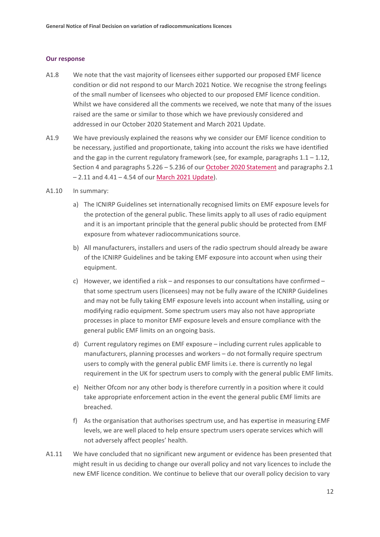#### **Our response**

- A1.8 We note that the vast majority of licensees either supported our proposed EMF licence condition or did not respond to our March 2021 Notice. We recognise the strong feelings of the small number of licensees who objected to our proposed EMF licence condition. Whilst we have considered all the comments we received, we note that many of the issues raised are the same or similar to those which we have previously considered and addressed in our October 2020 Statement and March 2021 Update.
- A1.9 We have previously explained the reasons why we consider our EMF licence condition to be necessary, justified and proportionate, taking into account the risks we have identified and the gap in the current regulatory framework (see, for example, paragraphs  $1.1 - 1.12$ , Section 4 and paragraphs 5.226 – 5.236 of our [October 2020 Statement](https://www.ofcom.org.uk/__data/assets/pdf_file/0014/204053/emf-statement.pdf) and paragraphs 2.1 – 2.11 and 4.41 – 4.54 of our [March 2021 Update\)](https://www.ofcom.org.uk/__data/assets/pdf_file/0022/214663/emf-implementation-update.pdf).
- A1.10 In summary:
	- a) The ICNIRP Guidelines set internationally recognised limits on EMF exposure levels for the protection of the general public. These limits apply to all uses of radio equipment and it is an important principle that the general public should be protected from EMF exposure from whatever radiocommunications source.
	- b) All manufacturers, installers and users of the radio spectrum should already be aware of the ICNIRP Guidelines and be taking EMF exposure into account when using their equipment.
	- c) However, we identified a risk and responses to our consultations have confirmed that some spectrum users (licensees) may not be fully aware of the ICNIRP Guidelines and may not be fully taking EMF exposure levels into account when installing, using or modifying radio equipment. Some spectrum users may also not have appropriate processes in place to monitor EMF exposure levels and ensure compliance with the general public EMF limits on an ongoing basis.
	- d) Current regulatory regimes on EMF exposure including current rules applicable to manufacturers, planning processes and workers – do not formally require spectrum users to comply with the general public EMF limits i.e. there is currently no legal requirement in the UK for spectrum users to comply with the general public EMF limits.
	- e) Neither Ofcom nor any other body is therefore currently in a position where it could take appropriate enforcement action in the event the general public EMF limits are breached.
	- f) As the organisation that authorises spectrum use, and has expertise in measuring EMF levels, we are well placed to help ensure spectrum users operate services which will not adversely affect peoples' health.
- A1.11 We have concluded that no significant new argument or evidence has been presented that might result in us deciding to change our overall policy and not vary licences to include the new EMF licence condition. We continue to believe that our overall policy decision to vary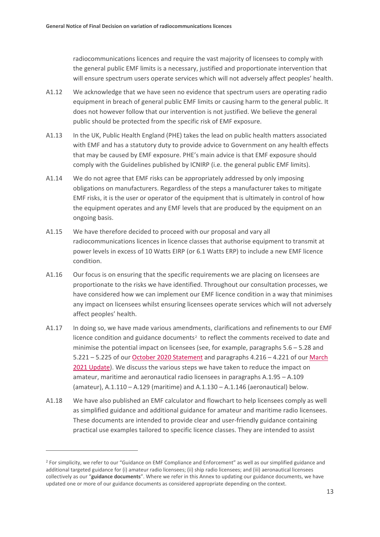radiocommunications licences and require the vast majority of licensees to comply with the general public EMF limits is a necessary, justified and proportionate intervention that will ensure spectrum users operate services which will not adversely affect peoples' health.

- A1.12 We acknowledge that we have seen no evidence that spectrum users are operating radio equipment in breach of general public EMF limits or causing harm to the general public. It does not however follow that our intervention is not justified. We believe the general public should be protected from the specific risk of EMF exposure.
- A1.13 In the UK, Public Health England (PHE) takes the lead on public health matters associated with EMF and has a statutory duty to provide advice to Government on any health effects that may be caused by EMF exposure. PHE's main advice is that EMF exposure should comply with the Guidelines published by ICNIRP (i.e. the general public EMF limits).
- A1.14 We do not agree that EMF risks can be appropriately addressed by only imposing obligations on manufacturers. Regardless of the steps a manufacturer takes to mitigate EMF risks, it is the user or operator of the equipment that is ultimately in control of how the equipment operates and any EMF levels that are produced by the equipment on an ongoing basis.
- A1.15 We have therefore decided to proceed with our proposal and vary all radiocommunications licences in licence classes that authorise equipment to transmit at power levels in excess of 10 Watts EIRP (or 6.1 Watts ERP) to include a new EMF licence condition.
- A1.16 Our focus is on ensuring that the specific requirements we are placing on licensees are proportionate to the risks we have identified. Throughout our consultation processes, we have considered how we can implement our EMF licence condition in a way that minimises any impact on licensees whilst ensuring licensees operate services which will not adversely affect peoples' health.
- A1.17 In doing so, we have made various amendments, clarifications and refinements to our EMF licence condition and guidance documents<sup>[2](#page-14-0)</sup> to reflect the comments received to date and minimise the potential impact on licensees (see, for example, paragraphs  $5.6 - 5.28$  and 5.221 – 5.225 of our [October 2020 Statement](https://www.ofcom.org.uk/__data/assets/pdf_file/0014/204053/emf-statement.pdf) and paragraphs 4.216 – 4.221 of our [March](https://www.ofcom.org.uk/__data/assets/pdf_file/0022/214663/emf-implementation-update.pdf)  [2021 Update\)](https://www.ofcom.org.uk/__data/assets/pdf_file/0022/214663/emf-implementation-update.pdf). We discuss the various steps we have taken to reduce the impact on amateur, maritime and aeronautical radio licensees in paragraphs A.1.95 – A.109 (amateur), A.1.110 – A.129 (maritime) and A.1.130 – A.1.146 (aeronautical) below.
- A1.18 We have also published an EMF calculator and flowchart to help licensees comply as well as simplified guidance and additional guidance for amateur and maritime radio licensees. These documents are intended to provide clear and user-friendly guidance containing practical use examples tailored to specific licence classes. They are intended to assist

<span id="page-14-0"></span><sup>&</sup>lt;sup>2</sup> For simplicity, we refer to our "Guidance on EMF Compliance and Enforcement" as well as our simplified guidance and additional targeted guidance for (i) amateur radio licensees; (ii) ship radio licensees; and (iii) aeronautical licensees collectively as our "**guidance documents**". Where we refer in this Annex to updating our guidance documents, we have updated one or more of our guidance documents as considered appropriate depending on the context.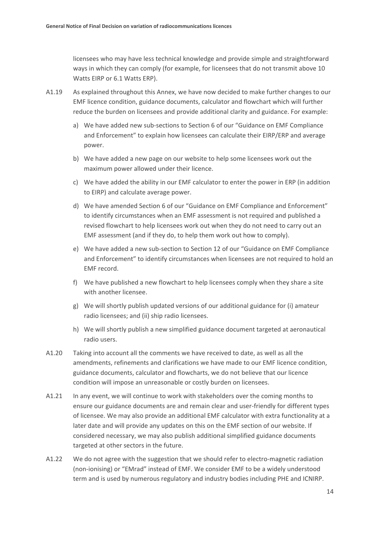licensees who may have less technical knowledge and provide simple and straightforward ways in which they can comply (for example, for licensees that do not transmit above 10 Watts EIRP or 6.1 Watts ERP).

- A1.19 As explained throughout this Annex, we have now decided to make further changes to our EMF licence condition, guidance documents, calculator and flowchart which will further reduce the burden on licensees and provide additional clarity and guidance. For example:
	- a) We have added new sub-sections to Section 6 of our "Guidance on EMF Compliance and Enforcement" to explain how licensees can calculate their EIRP/ERP and average power.
	- b) We have added a new page on our website to help some licensees work out the maximum power allowed under their licence.
	- c) We have added the ability in our EMF calculator to enter the power in ERP (in addition to EIRP) and calculate average power.
	- d) We have amended Section 6 of our "Guidance on EMF Compliance and Enforcement" to identify circumstances when an EMF assessment is not required and published a revised flowchart to help licensees work out when they do not need to carry out an EMF assessment (and if they do, to help them work out how to comply).
	- e) We have added a new sub-section to Section 12 of our "Guidance on EMF Compliance and Enforcement" to identify circumstances when licensees are not required to hold an EMF record.
	- f) We have published a new flowchart to help licensees comply when they share a site with another licensee.
	- g) We will shortly publish updated versions of our additional guidance for (i) amateur radio licensees; and (ii) ship radio licensees.
	- h) We will shortly publish a new simplified guidance document targeted at aeronautical radio users.
- A1.20 Taking into account all the comments we have received to date, as well as all the amendments, refinements and clarifications we have made to our EMF licence condition, guidance documents, calculator and flowcharts, we do not believe that our licence condition will impose an unreasonable or costly burden on licensees.
- A1.21 In any event, we will continue to work with stakeholders over the coming months to ensure our guidance documents are and remain clear and user-friendly for different types of licensee. We may also provide an additional EMF calculator with extra functionality at a later date and will provide any updates on this on the EMF section of our website. If considered necessary, we may also publish additional simplified guidance documents targeted at other sectors in the future.
- A1.22 We do not agree with the suggestion that we should refer to electro-magnetic radiation (non-ionising) or "EMrad" instead of EMF. We consider EMF to be a widely understood term and is used by numerous regulatory and industry bodies including PHE and ICNIRP.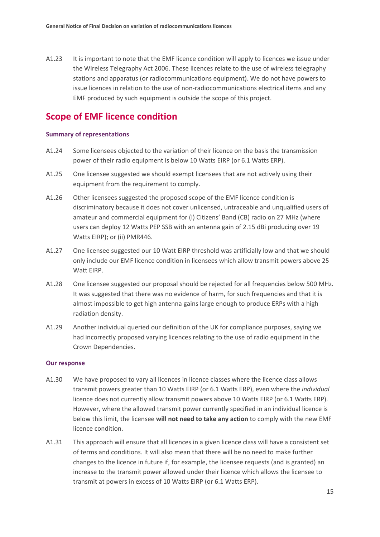A1.23 It is important to note that the EMF licence condition will apply to licences we issue under the Wireless Telegraphy Act 2006. These licences relate to the use of wireless telegraphy stations and apparatus (or radiocommunications equipment). We do not have powers to issue licences in relation to the use of non-radiocommunications electrical items and any EMF produced by such equipment is outside the scope of this project.

## **Scope of EMF licence condition**

#### **Summary of representations**

- A1.24 Some licensees objected to the variation of their licence on the basis the transmission power of their radio equipment is below 10 Watts EIRP (or 6.1 Watts ERP).
- A1.25 One licensee suggested we should exempt licensees that are not actively using their equipment from the requirement to comply.
- A1.26 Other licensees suggested the proposed scope of the EMF licence condition is discriminatory because it does not cover unlicensed, untraceable and unqualified users of amateur and commercial equipment for (i) Citizens' Band (CB) radio on 27 MHz (where users can deploy 12 Watts PEP SSB with an antenna gain of 2.15 dBi producing over 19 Watts EIRP); or (ii) PMR446.
- A1.27 One licensee suggested our 10 Watt EIRP threshold was artificially low and that we should only include our EMF licence condition in licensees which allow transmit powers above 25 Watt EIRP.
- A1.28 One licensee suggested our proposal should be rejected for all frequencies below 500 MHz. It was suggested that there was no evidence of harm, for such frequencies and that it is almost impossible to get high antenna gains large enough to produce ERPs with a high radiation density.
- A1.29 Another individual queried our definition of the UK for compliance purposes, saying we had incorrectly proposed varying licences relating to the use of radio equipment in the Crown Dependencies.

#### **Our response**

- A1.30 We have proposed to vary all licences in licence classes where the licence class allows transmit powers greater than 10 Watts EIRP (or 6.1 Watts ERP), even where the *individual* licence does not currently allow transmit powers above 10 Watts EIRP (or 6.1 Watts ERP). However, where the allowed transmit power currently specified in an individual licence is below this limit, the licensee **will not need to take any action** to comply with the new EMF licence condition.
- A1.31 This approach will ensure that all licences in a given licence class will have a consistent set of terms and conditions. It will also mean that there will be no need to make further changes to the licence in future if, for example, the licensee requests (and is granted) an increase to the transmit power allowed under their licence which allows the licensee to transmit at powers in excess of 10 Watts EIRP (or 6.1 Watts ERP).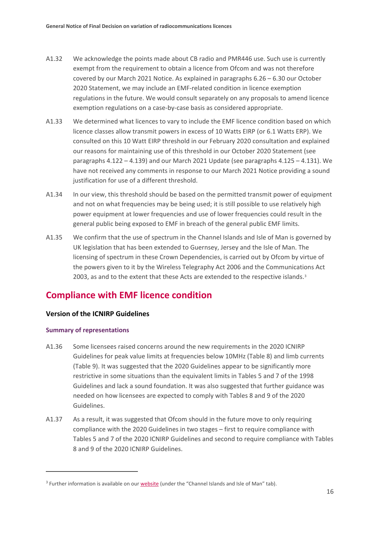- A1.32 We acknowledge the points made about CB radio and PMR446 use. Such use is currently exempt from the requirement to obtain a licence from Ofcom and was not therefore covered by our March 2021 Notice. As explained in paragraphs 6.26 – 6.30 our October 2020 Statement, we may include an EMF-related condition in licence exemption regulations in the future. We would consult separately on any proposals to amend licence exemption regulations on a case-by-case basis as considered appropriate.
- A1.33 We determined what licences to vary to include the EMF licence condition based on which licence classes allow transmit powers in excess of 10 Watts EIRP (or 6.1 Watts ERP). We consulted on this 10 Watt EIRP threshold in our February 2020 consultation and explained our reasons for maintaining use of this threshold in our October 2020 Statement (see paragraphs 4.122 – 4.139) and our March 2021 Update (see paragraphs 4.125 – 4.131). We have not received any comments in response to our March 2021 Notice providing a sound justification for use of a different threshold.
- A1.34 In our view, this threshold should be based on the permitted transmit power of equipment and not on what frequencies may be being used; it is still possible to use relatively high power equipment at lower frequencies and use of lower frequencies could result in the general public being exposed to EMF in breach of the general public EMF limits.
- A1.35 We confirm that the use of spectrum in the Channel Islands and Isle of Man is governed by UK legislation that has been extended to Guernsey, Jersey and the Isle of Man. The licensing of spectrum in these Crown Dependencies, is carried out by Ofcom by virtue of the powers given to it by the Wireless Telegraphy Act 2006 and the Communications Act 200[3](#page-17-0), as and to the extent that these Acts are extended to the respective islands. $3$

# **Compliance with EMF licence condition**

#### **Version of the ICNIRP Guidelines**

#### **Summary of representations**

- A1.36 Some licensees raised concerns around the new requirements in the 2020 ICNIRP Guidelines for peak value limits at frequencies below 10MHz (Table 8) and limb currents (Table 9). It was suggested that the 2020 Guidelines appear to be significantly more restrictive in some situations than the equivalent limits in Tables 5 and 7 of the 1998 Guidelines and lack a sound foundation. It was also suggested that further guidance was needed on how licensees are expected to comply with Tables 8 and 9 of the 2020 Guidelines.
- A1.37 As a result, it was suggested that Ofcom should in the future move to only requiring compliance with the 2020 Guidelines in two stages – first to require compliance with Tables 5 and 7 of the 2020 ICNIRP Guidelines and second to require compliance with Tables 8 and 9 of the 2020 ICNIRP Guidelines.

<span id="page-17-0"></span><sup>&</sup>lt;sup>3</sup> Further information is available on ou[r website](https://www.ofcom.org.uk/manage-your-licence/radiocommunication-licences/mobile-wireless-broadband) (under the "Channel Islands and Isle of Man" tab).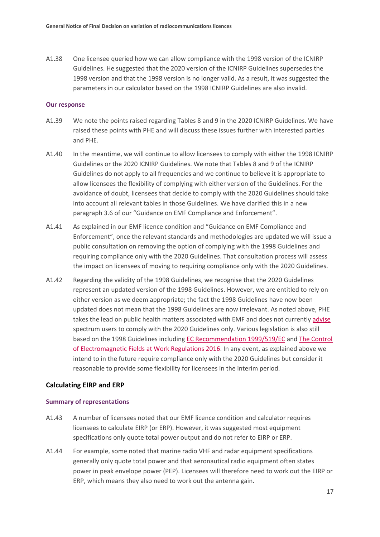A1.38 One licensee queried how we can allow compliance with the 1998 version of the ICNIRP Guidelines. He suggested that the 2020 version of the ICNIRP Guidelines supersedes the 1998 version and that the 1998 version is no longer valid. As a result, it was suggested the parameters in our calculator based on the 1998 ICNIRP Guidelines are also invalid.

#### **Our response**

- A1.39 We note the points raised regarding Tables 8 and 9 in the 2020 ICNIRP Guidelines. We have raised these points with PHE and will discuss these issues further with interested parties and PHE.
- A1.40 In the meantime, we will continue to allow licensees to comply with either the 1998 ICNIRP Guidelines or the 2020 ICNIRP Guidelines. We note that Tables 8 and 9 of the ICNIRP Guidelines do not apply to all frequencies and we continue to believe it is appropriate to allow licensees the flexibility of complying with either version of the Guidelines. For the avoidance of doubt, licensees that decide to comply with the 2020 Guidelines should take into account all relevant tables in those Guidelines. We have clarified this in a new paragraph 3.6 of our "Guidance on EMF Compliance and Enforcement".
- A1.41 As explained in our EMF licence condition and "Guidance on EMF Compliance and Enforcement", once the relevant standards and methodologies are updated we will issue a public consultation on removing the option of complying with the 1998 Guidelines and requiring compliance only with the 2020 Guidelines. That consultation process will assess the impact on licensees of moving to requiring compliance only with the 2020 Guidelines.
- A1.42 Regarding the validity of the 1998 Guidelines, we recognise that the 2020 Guidelines represent an updated version of the 1998 Guidelines. However, we are entitled to rely on either version as we deem appropriate; the fact the 1998 Guidelines have now been updated does not mean that the 1998 Guidelines are now irrelevant. As noted above, PHE takes the lead on public health matters associated with EMF and does not currently [advise](https://www.gov.uk/government/publications/mobile-phone-base-stations-radio-waves-and-health/mobile-phone-base-stations-radio-waves-and-health) spectrum users to comply with the 2020 Guidelines only. Various legislation is also still based on the 1998 Guidelines including [EC Recommendation 1999/519/EC](https://eur-lex.europa.eu/legal-content/EN/TXT/PDF/?uri=CELEX:31999H0519&from=EN) and [The Control](https://www.legislation.gov.uk/uksi/2016/588/pdfs/uksi_20160588_en.pdf)  [of Electromagnetic Fields at Work Regulations 2016.](https://www.legislation.gov.uk/uksi/2016/588/pdfs/uksi_20160588_en.pdf) In any event, as explained above we intend to in the future require compliance only with the 2020 Guidelines but consider it reasonable to provide some flexibility for licensees in the interim period.

#### **Calculating EIRP and ERP**

#### **Summary of representations**

- A1.43 A number of licensees noted that our EMF licence condition and calculator requires licensees to calculate EIRP (or ERP). However, it was suggested most equipment specifications only quote total power output and do not refer to EIRP or ERP.
- A1.44 For example, some noted that marine radio VHF and radar equipment specifications generally only quote total power and that aeronautical radio equipment often states power in peak envelope power (PEP). Licensees will therefore need to work out the EIRP or ERP, which means they also need to work out the antenna gain.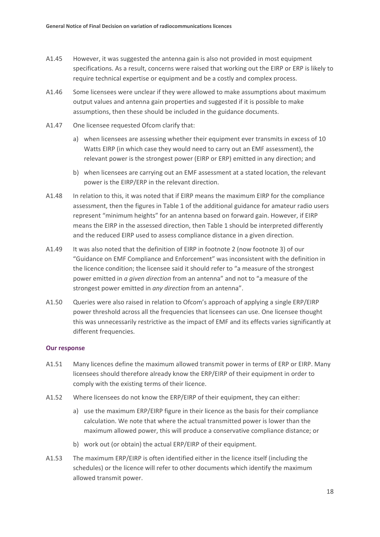- A1.45 However, it was suggested the antenna gain is also not provided in most equipment specifications. As a result, concerns were raised that working out the EIRP or ERP is likely to require technical expertise or equipment and be a costly and complex process.
- A1.46 Some licensees were unclear if they were allowed to make assumptions about maximum output values and antenna gain properties and suggested if it is possible to make assumptions, then these should be included in the guidance documents.
- A1.47 One licensee requested Ofcom clarify that:
	- a) when licensees are assessing whether their equipment ever transmits in excess of 10 Watts EIRP (in which case they would need to carry out an EMF assessment), the relevant power is the strongest power (EIRP or ERP) emitted in any direction; and
	- b) when licensees are carrying out an EMF assessment at a stated location, the relevant power is the EIRP/ERP in the relevant direction.
- A1.48 In relation to this, it was noted that if EIRP means the maximum EIRP for the compliance assessment, then the figures in Table 1 of the additional guidance for amateur radio users represent "minimum heights" for an antenna based on forward gain. However, if EIRP means the EIRP in the assessed direction, then Table 1 should be interpreted differently and the reduced EIRP used to assess compliance distance in a given direction.
- A1.49 It was also noted that the definition of EIRP in footnote 2 (now footnote 3) of our "Guidance on EMF Compliance and Enforcement" was inconsistent with the definition in the licence condition; the licensee said it should refer to "a measure of the strongest power emitted in *a given direction* from an antenna" and not to "a measure of the strongest power emitted in *any direction* from an antenna".
- A1.50 Queries were also raised in relation to Ofcom's approach of applying a single ERP/EIRP power threshold across all the frequencies that licensees can use. One licensee thought this was unnecessarily restrictive as the impact of EMF and its effects varies significantly at different frequencies.

#### **Our response**

- A1.51 Many licences define the maximum allowed transmit power in terms of ERP or EIRP. Many licensees should therefore already know the ERP/EIRP of their equipment in order to comply with the existing terms of their licence.
- A1.52 Where licensees do not know the ERP/EIRP of their equipment, they can either:
	- a) use the maximum ERP/EIRP figure in their licence as the basis for their compliance calculation. We note that where the actual transmitted power is lower than the maximum allowed power, this will produce a conservative compliance distance; or
	- b) work out (or obtain) the actual ERP/EIRP of their equipment.
- A1.53 The maximum ERP/EIRP is often identified either in the licence itself (including the schedules) or the licence will refer to other documents which identify the maximum allowed transmit power.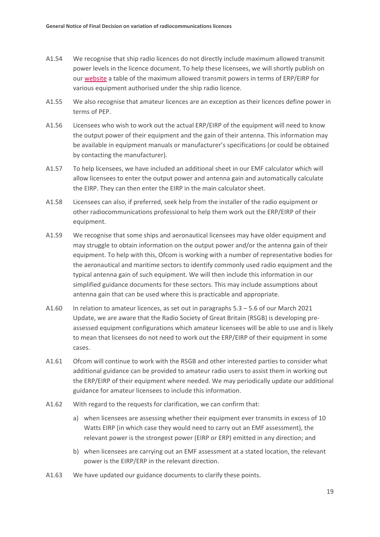- A1.54 We recognise that ship radio licences do not directly include maximum allowed transmit power levels in the licence document. To help these licensees, we will shortly publish on our [website](https://eur01.safelinks.protection.outlook.com/?url=https%3A%2F%2Fwww.ofcom.org.uk%2F__data%2Fassets%2Fpdf_file%2F0029%2F218963%2Fship-radio-equipment-powers.pdf&data=04%7C01%7CJohn.Glover%40ofcom.org.uk%7Cbb02d76da2f549bcfb7608d9155599a8%7C0af648de310c40688ae4f9418bae24cc%7C0%7C0%7C637564279656798978%7CUnknown%7CTWFpbGZsb3d8eyJWIjoiMC4wLjAwMDAiLCJQIjoiV2luMzIiLCJBTiI6Ik1haWwiLCJXVCI6Mn0%3D%7C1000&sdata=xSH7gzUSKEnnADUcmPLlW%2FnAy050agFzkHYKuPolStU%3D&reserved=0) a table of the maximum allowed transmit powers in terms of ERP/EIRP for various equipment authorised under the ship radio licence.
- A1.55 We also recognise that amateur licences are an exception as their licences define power in terms of PEP.
- A1.56 Licensees who wish to work out the actual ERP/EIRP of the equipment will need to know the output power of their equipment and the gain of their antenna. This information may be available in equipment manuals or manufacturer's specifications (or could be obtained by contacting the manufacturer).
- A1.57 To help licensees, we have included an additional sheet in our EMF calculator which will allow licensees to enter the output power and antenna gain and automatically calculate the EIRP. They can then enter the EIRP in the main calculator sheet.
- A1.58 Licensees can also, if preferred, seek help from the installer of the radio equipment or other radiocommunications professional to help them work out the ERP/EIRP of their equipment.
- A1.59 We recognise that some ships and aeronautical licensees may have older equipment and may struggle to obtain information on the output power and/or the antenna gain of their equipment. To help with this, Ofcom is working with a number of representative bodies for the aeronautical and maritime sectors to identify commonly used radio equipment and the typical antenna gain of such equipment. We will then include this information in our simplified guidance documents for these sectors. This may include assumptions about antenna gain that can be used where this is practicable and appropriate.
- A1.60 In relation to amateur licences, as set out in paragraphs 5.3 5.6 of our March 2021 Update, we are aware that the Radio Society of Great Britain (RSGB) is developing preassessed equipment configurations which amateur licensees will be able to use and is likely to mean that licensees do not need to work out the ERP/EIRP of their equipment in some cases.
- A1.61 Ofcom will continue to work with the RSGB and other interested parties to consider what additional guidance can be provided to amateur radio users to assist them in working out the ERP/EIRP of their equipment where needed. We may periodically update our additional guidance for amateur licensees to include this information.
- A1.62 With regard to the requests for clarification, we can confirm that:
	- a) when licensees are assessing whether their equipment ever transmits in excess of 10 Watts EIRP (in which case they would need to carry out an EMF assessment), the relevant power is the strongest power (EIRP or ERP) emitted in any direction; and
	- b) when licensees are carrying out an EMF assessment at a stated location, the relevant power is the EIRP/ERP in the relevant direction.
- A1.63 We have updated our guidance documents to clarify these points.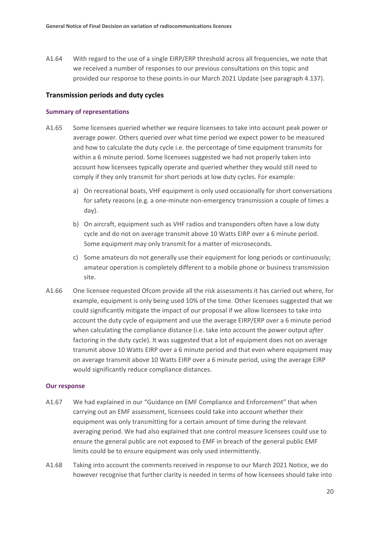A1.64 With regard to the use of a single EIRP/ERP threshold across all frequencies, we note that we received a number of responses to our previous consultations on this topic and provided our response to these points in our March 2021 Update (see paragraph 4.137).

#### **Transmission periods and duty cycles**

#### **Summary of representations**

- A1.65 Some licensees queried whether we require licensees to take into account peak power or average power. Others queried over what time period we expect power to be measured and how to calculate the duty cycle i.e. the percentage of time equipment transmits for within a 6 minute period. Some licensees suggested we had not properly taken into account how licensees typically operate and queried whether they would still need to comply if they only transmit for short periods at low duty cycles. For example:
	- a) On recreational boats, VHF equipment is only used occasionally for short conversations for safety reasons (e.g. a one-minute non-emergency transmission a couple of times a day).
	- b) On aircraft, equipment such as VHF radios and transponders often have a low duty cycle and do not on average transmit above 10 Watts EIRP over a 6 minute period. Some equipment may only transmit for a matter of microseconds.
	- c) Some amateurs do not generally use their equipment for long periods or continuously; amateur operation is completely different to a mobile phone or business transmission site.
- A1.66 One licensee requested Ofcom provide all the risk assessments it has carried out where, for example, equipment is only being used 10% of the time. Other licensees suggested that we could significantly mitigate the impact of our proposal if we allow licensees to take into account the duty cycle of equipment and use the average EIRP/ERP over a 6 minute period when calculating the compliance distance (i.e. take into account the power output *after* factoring in the duty cycle). It was suggested that a lot of equipment does not on average transmit above 10 Watts EIRP over a 6 minute period and that even where equipment may on average transmit above 10 Watts EIRP over a 6 minute period, using the average EIRP would significantly reduce compliance distances.

#### **Our response**

- A1.67 We had explained in our "Guidance on EMF Compliance and Enforcement" that when carrying out an EMF assessment, licensees could take into account whether their equipment was only transmitting for a certain amount of time during the relevant averaging period. We had also explained that one control measure licensees could use to ensure the general public are not exposed to EMF in breach of the general public EMF limits could be to ensure equipment was only used intermittently.
- A1.68 Taking into account the comments received in response to our March 2021 Notice, we do however recognise that further clarity is needed in terms of how licensees should take into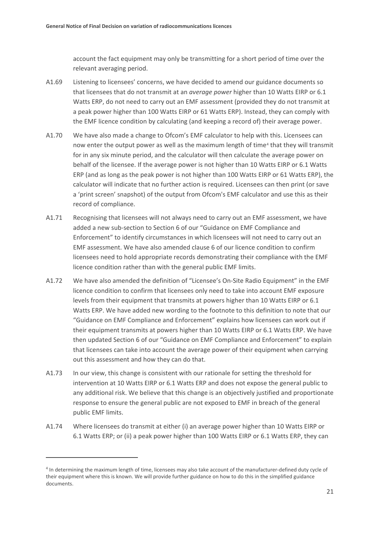account the fact equipment may only be transmitting for a short period of time over the relevant averaging period.

- A1.69 Listening to licensees' concerns, we have decided to amend our guidance documents so that licensees that do not transmit at an *average power* higher than 10 Watts EIRP or 6.1 Watts ERP, do not need to carry out an EMF assessment (provided they do not transmit at a peak power higher than 100 Watts EIRP or 61 Watts ERP). Instead, they can comply with the EMF licence condition by calculating (and keeping a record of) their average power.
- A1.70 We have also made a change to Ofcom's EMF calculator to help with this. Licensees can now enter the output power as well as the maximum length of time<sup>[4](#page-22-0)</sup> that they will transmit for in any six minute period, and the calculator will then calculate the average power on behalf of the licensee. If the average power is not higher than 10 Watts EIRP or 6.1 Watts ERP (and as long as the peak power is not higher than 100 Watts EIRP or 61 Watts ERP), the calculator will indicate that no further action is required. Licensees can then print (or save a 'print screen' snapshot) of the output from Ofcom's EMF calculator and use this as their record of compliance.
- A1.71 Recognising that licensees will not always need to carry out an EMF assessment, we have added a new sub-section to Section 6 of our "Guidance on EMF Compliance and Enforcement" to identify circumstances in which licensees will not need to carry out an EMF assessment. We have also amended clause 6 of our licence condition to confirm licensees need to hold appropriate records demonstrating their compliance with the EMF licence condition rather than with the general public EMF limits.
- A1.72 We have also amended the definition of "Licensee's On-Site Radio Equipment" in the EMF licence condition to confirm that licensees only need to take into account EMF exposure levels from their equipment that transmits at powers higher than 10 Watts EIRP or 6.1 Watts ERP. We have added new wording to the footnote to this definition to note that our "Guidance on EMF Compliance and Enforcement" explains how licensees can work out if their equipment transmits at powers higher than 10 Watts EIRP or 6.1 Watts ERP. We have then updated Section 6 of our "Guidance on EMF Compliance and Enforcement" to explain that licensees can take into account the average power of their equipment when carrying out this assessment and how they can do that.
- A1.73 In our view, this change is consistent with our rationale for setting the threshold for intervention at 10 Watts EIRP or 6.1 Watts ERP and does not expose the general public to any additional risk. We believe that this change is an objectively justified and proportionate response to ensure the general public are not exposed to EMF in breach of the general public EMF limits.
- A1.74 Where licensees do transmit at either (i) an average power higher than 10 Watts EIRP or 6.1 Watts ERP; or (ii) a peak power higher than 100 Watts EIRP or 6.1 Watts ERP, they can

<span id="page-22-0"></span><sup>4</sup> In determining the maximum length of time, licensees may also take account of the manufacturer-defined duty cycle of their equipment where this is known. We will provide further guidance on how to do this in the simplified guidance documents.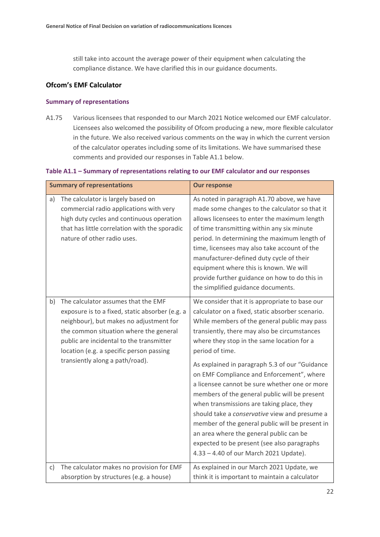still take into account the average power of their equipment when calculating the compliance distance. We have clarified this in our guidance documents.

#### **Ofcom's EMF Calculator**

#### **Summary of representations**

A1.75 Various licensees that responded to our March 2021 Notice welcomed our EMF calculator. Licensees also welcomed the possibility of Ofcom producing a new, more flexible calculator in the future. We also received various comments on the way in which the current version of the calculator operates including some of its limitations. We have summarised these comments and provided our responses in Table A1.1 below.

#### **Table A1.1 – Summary of representations relating to our EMF calculator and our responses**

|    | <b>Summary of representations</b>                                                                                                                                                                                                                                                                      | <b>Our response</b>                                                                                                                                                                                                                                                                                                                                                                                                                                                                                                                                                                                                                                                                                                                                       |
|----|--------------------------------------------------------------------------------------------------------------------------------------------------------------------------------------------------------------------------------------------------------------------------------------------------------|-----------------------------------------------------------------------------------------------------------------------------------------------------------------------------------------------------------------------------------------------------------------------------------------------------------------------------------------------------------------------------------------------------------------------------------------------------------------------------------------------------------------------------------------------------------------------------------------------------------------------------------------------------------------------------------------------------------------------------------------------------------|
| a) | The calculator is largely based on<br>commercial radio applications with very<br>high duty cycles and continuous operation<br>that has little correlation with the sporadic<br>nature of other radio uses.                                                                                             | As noted in paragraph A1.70 above, we have<br>made some changes to the calculator so that it<br>allows licensees to enter the maximum length<br>of time transmitting within any six minute<br>period. In determining the maximum length of<br>time, licensees may also take account of the<br>manufacturer-defined duty cycle of their<br>equipment where this is known. We will<br>provide further guidance on how to do this in<br>the simplified guidance documents.                                                                                                                                                                                                                                                                                   |
| b) | The calculator assumes that the EMF<br>exposure is to a fixed, static absorber (e.g. a<br>neighbour), but makes no adjustment for<br>the common situation where the general<br>public are incidental to the transmitter<br>location (e.g. a specific person passing<br>transiently along a path/road). | We consider that it is appropriate to base our<br>calculator on a fixed, static absorber scenario.<br>While members of the general public may pass<br>transiently, there may also be circumstances<br>where they stop in the same location for a<br>period of time.<br>As explained in paragraph 5.3 of our "Guidance<br>on EMF Compliance and Enforcement", where<br>a licensee cannot be sure whether one or more<br>members of the general public will be present<br>when transmissions are taking place, they<br>should take a conservative view and presume a<br>member of the general public will be present in<br>an area where the general public can be<br>expected to be present (see also paragraphs<br>4.33 - 4.40 of our March 2021 Update). |
| c) | The calculator makes no provision for EMF<br>absorption by structures (e.g. a house)                                                                                                                                                                                                                   | As explained in our March 2021 Update, we<br>think it is important to maintain a calculator                                                                                                                                                                                                                                                                                                                                                                                                                                                                                                                                                                                                                                                               |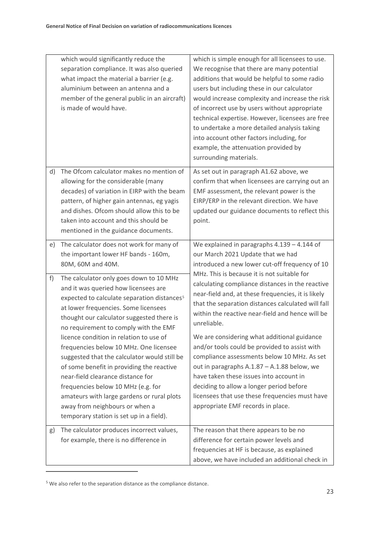|    | which would significantly reduce the<br>separation compliance. It was also queried<br>what impact the material a barrier (e.g.<br>aluminium between an antenna and a<br>member of the general public in an aircraft)<br>is made of would have.                                                             | which is simple enough for all licensees to use.<br>We recognise that there are many potential<br>additions that would be helpful to some radio<br>users but including these in our calculator<br>would increase complexity and increase the risk<br>of incorrect use by users without appropriate<br>technical expertise. However, licensees are free<br>to undertake a more detailed analysis taking<br>into account other factors including, for<br>example, the attenuation provided by<br>surrounding materials. |
|----|------------------------------------------------------------------------------------------------------------------------------------------------------------------------------------------------------------------------------------------------------------------------------------------------------------|-----------------------------------------------------------------------------------------------------------------------------------------------------------------------------------------------------------------------------------------------------------------------------------------------------------------------------------------------------------------------------------------------------------------------------------------------------------------------------------------------------------------------|
| d) | The Ofcom calculator makes no mention of<br>allowing for the considerable (many<br>decades) of variation in EIRP with the beam<br>pattern, of higher gain antennas, eg yagis<br>and dishes. Ofcom should allow this to be<br>taken into account and this should be<br>mentioned in the guidance documents. | As set out in paragraph A1.62 above, we<br>confirm that when licensees are carrying out an<br>EMF assessment, the relevant power is the<br>EIRP/ERP in the relevant direction. We have<br>updated our guidance documents to reflect this<br>point.                                                                                                                                                                                                                                                                    |
| e) | The calculator does not work for many of<br>the important lower HF bands - 160m,<br>80M, 60M and 40M.                                                                                                                                                                                                      | We explained in paragraphs $4.139 - 4.144$ of<br>our March 2021 Update that we had<br>introduced a new lower cut-off frequency of 10                                                                                                                                                                                                                                                                                                                                                                                  |
| f) | The calculator only goes down to 10 MHz<br>and it was queried how licensees are<br>expected to calculate separation distances <sup>5</sup><br>at lower frequencies. Some licensees<br>thought our calculator suggested there is<br>no requirement to comply with the EMF                                   | MHz. This is because it is not suitable for<br>calculating compliance distances in the reactive<br>near-field and, at these frequencies, it is likely<br>that the separation distances calculated will fall<br>within the reactive near-field and hence will be<br>unreliable.                                                                                                                                                                                                                                        |
|    | licence condition in relation to use of<br>frequencies below 10 MHz. One licensee<br>suggested that the calculator would still be<br>of some benefit in providing the reactive<br>near-field clearance distance for<br>frequencies below 10 MHz (e.g. for                                                  | We are considering what additional guidance<br>and/or tools could be provided to assist with<br>compliance assessments below 10 MHz. As set<br>out in paragraphs A.1.87 - A.1.88 below, we<br>have taken these issues into account in<br>deciding to allow a longer period before                                                                                                                                                                                                                                     |
|    | amateurs with large gardens or rural plots<br>away from neighbours or when a<br>temporary station is set up in a field).                                                                                                                                                                                   | licensees that use these frequencies must have<br>appropriate EMF records in place.                                                                                                                                                                                                                                                                                                                                                                                                                                   |
| g) | The calculator produces incorrect values,<br>for example, there is no difference in                                                                                                                                                                                                                        | The reason that there appears to be no<br>difference for certain power levels and<br>frequencies at HF is because, as explained<br>above, we have included an additional check in                                                                                                                                                                                                                                                                                                                                     |

<span id="page-24-0"></span><sup>5</sup> We also refer to the separation distance as the compliance distance.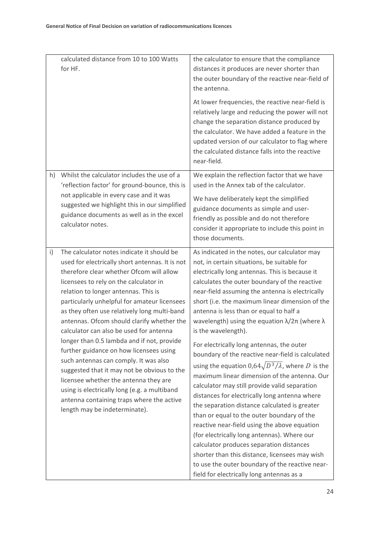| for HF. | calculated distance from 10 to 100 Watts                                                                                                                                                                                                                                                                                                                                                                                                                                                                                                                                                                                                                                                                                                                                     | the calculator to ensure that the compliance<br>distances it produces are never shorter than<br>the outer boundary of the reactive near-field of<br>the antenna.<br>At lower frequencies, the reactive near-field is<br>relatively large and reducing the power will not<br>change the separation distance produced by<br>the calculator. We have added a feature in the<br>updated version of our calculator to flag where<br>the calculated distance falls into the reactive<br>near-field.                                                                                                                                                                                                                                                                                                                                                                                                                                                                                                                                                                                                                                                             |
|---------|------------------------------------------------------------------------------------------------------------------------------------------------------------------------------------------------------------------------------------------------------------------------------------------------------------------------------------------------------------------------------------------------------------------------------------------------------------------------------------------------------------------------------------------------------------------------------------------------------------------------------------------------------------------------------------------------------------------------------------------------------------------------------|-----------------------------------------------------------------------------------------------------------------------------------------------------------------------------------------------------------------------------------------------------------------------------------------------------------------------------------------------------------------------------------------------------------------------------------------------------------------------------------------------------------------------------------------------------------------------------------------------------------------------------------------------------------------------------------------------------------------------------------------------------------------------------------------------------------------------------------------------------------------------------------------------------------------------------------------------------------------------------------------------------------------------------------------------------------------------------------------------------------------------------------------------------------|
| h)      | Whilst the calculator includes the use of a<br>'reflection factor' for ground-bounce, this is<br>not applicable in every case and it was<br>suggested we highlight this in our simplified<br>guidance documents as well as in the excel<br>calculator notes.                                                                                                                                                                                                                                                                                                                                                                                                                                                                                                                 | We explain the reflection factor that we have<br>used in the Annex tab of the calculator.<br>We have deliberately kept the simplified<br>guidance documents as simple and user-<br>friendly as possible and do not therefore<br>consider it appropriate to include this point in<br>those documents.                                                                                                                                                                                                                                                                                                                                                                                                                                                                                                                                                                                                                                                                                                                                                                                                                                                      |
| i)      | The calculator notes indicate it should be<br>used for electrically short antennas. It is not<br>therefore clear whether Ofcom will allow<br>licensees to rely on the calculator in<br>relation to longer antennas. This is<br>particularly unhelpful for amateur licensees<br>as they often use relatively long multi-band<br>antennas. Ofcom should clarify whether the<br>calculator can also be used for antenna<br>longer than 0.5 lambda and if not, provide<br>further guidance on how licensees using<br>such antennas can comply. It was also<br>suggested that it may not be obvious to the<br>licensee whether the antenna they are<br>using is electrically long (e.g. a multiband<br>antenna containing traps where the active<br>length may be indeterminate). | As indicated in the notes, our calculator may<br>not, in certain situations, be suitable for<br>electrically long antennas. This is because it<br>calculates the outer boundary of the reactive<br>near-field assuming the antenna is electrically<br>short (i.e. the maximum linear dimension of the<br>antenna is less than or equal to half a<br>wavelength) using the equation $\lambda/2\pi$ (where $\lambda$<br>is the wavelength).<br>For electrically long antennas, the outer<br>boundary of the reactive near-field is calculated<br>using the equation $0.64\sqrt{D^3/\lambda}$ , where D is the<br>maximum linear dimension of the antenna. Our<br>calculator may still provide valid separation<br>distances for electrically long antenna where<br>the separation distance calculated is greater<br>than or equal to the outer boundary of the<br>reactive near-field using the above equation<br>(for electrically long antennas). Where our<br>calculator produces separation distances<br>shorter than this distance, licensees may wish<br>to use the outer boundary of the reactive near-<br>field for electrically long antennas as a |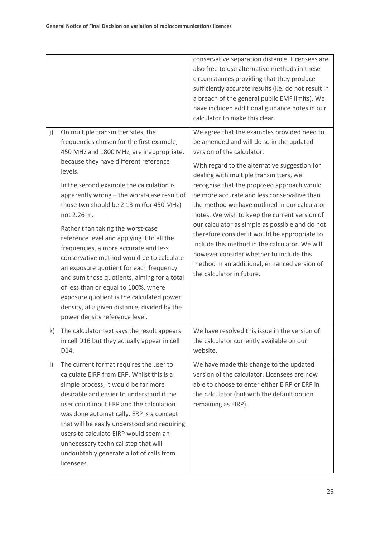|           |                                                                                                                                                                                                                                                                                                                                                                                                                                                                                                                                                                                                                                                                                                                                                                                 | conservative separation distance. Licensees are<br>also free to use alternative methods in these<br>circumstances providing that they produce<br>sufficiently accurate results (i.e. do not result in<br>a breach of the general public EMF limits). We<br>have included additional guidance notes in our<br>calculator to make this clear.                                                                                                                                                                                                                                                                                                                                                    |
|-----------|---------------------------------------------------------------------------------------------------------------------------------------------------------------------------------------------------------------------------------------------------------------------------------------------------------------------------------------------------------------------------------------------------------------------------------------------------------------------------------------------------------------------------------------------------------------------------------------------------------------------------------------------------------------------------------------------------------------------------------------------------------------------------------|------------------------------------------------------------------------------------------------------------------------------------------------------------------------------------------------------------------------------------------------------------------------------------------------------------------------------------------------------------------------------------------------------------------------------------------------------------------------------------------------------------------------------------------------------------------------------------------------------------------------------------------------------------------------------------------------|
| j)        | On multiple transmitter sites, the<br>frequencies chosen for the first example,<br>450 MHz and 1800 MHz, are inappropriate,<br>because they have different reference<br>levels.<br>In the second example the calculation is<br>apparently wrong - the worst-case result of<br>those two should be 2.13 m (for 450 MHz)<br>not 2.26 m.<br>Rather than taking the worst-case<br>reference level and applying it to all the<br>frequencies, a more accurate and less<br>conservative method would be to calculate<br>an exposure quotient for each frequency<br>and sum those quotients, aiming for a total<br>of less than or equal to 100%, where<br>exposure quotient is the calculated power<br>density, at a given distance, divided by the<br>power density reference level. | We agree that the examples provided need to<br>be amended and will do so in the updated<br>version of the calculator.<br>With regard to the alternative suggestion for<br>dealing with multiple transmitters, we<br>recognise that the proposed approach would<br>be more accurate and less conservative than<br>the method we have outlined in our calculator<br>notes. We wish to keep the current version of<br>our calculator as simple as possible and do not<br>therefore consider it would be appropriate to<br>include this method in the calculator. We will<br>however consider whether to include this<br>method in an additional, enhanced version of<br>the calculator in future. |
| k)        | The calculator text says the result appears<br>in cell D16 but they actually appear in cell<br>D14.                                                                                                                                                                                                                                                                                                                                                                                                                                                                                                                                                                                                                                                                             | We have resolved this issue in the version of<br>the calculator currently available on our<br>website.                                                                                                                                                                                                                                                                                                                                                                                                                                                                                                                                                                                         |
| $\vert$ ) | The current format requires the user to<br>calculate EIRP from ERP. Whilst this is a<br>simple process, it would be far more<br>desirable and easier to understand if the<br>user could input ERP and the calculation<br>was done automatically. ERP is a concept<br>that will be easily understood and requiring<br>users to calculate EIRP would seem an<br>unnecessary technical step that will<br>undoubtably generate a lot of calls from<br>licensees.                                                                                                                                                                                                                                                                                                                    | We have made this change to the updated<br>version of the calculator. Licensees are now<br>able to choose to enter either EIRP or ERP in<br>the calculator (but with the default option<br>remaining as EIRP).                                                                                                                                                                                                                                                                                                                                                                                                                                                                                 |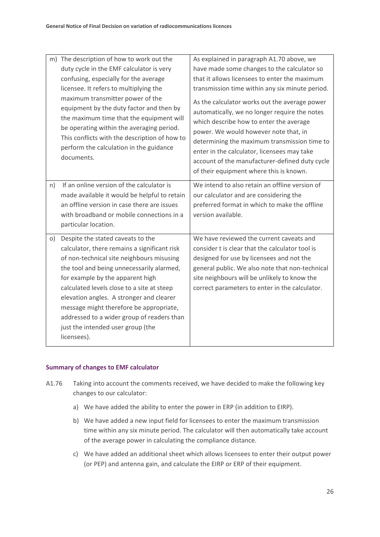| n) | m) The description of how to work out the<br>duty cycle in the EMF calculator is very<br>confusing, especially for the average<br>licensee. It refers to multiplying the<br>maximum transmitter power of the<br>equipment by the duty factor and then by<br>the maximum time that the equipment will<br>be operating within the averaging period.<br>This conflicts with the description of how to<br>perform the calculation in the guidance<br>documents.<br>If an online version of the calculator is | As explained in paragraph A1.70 above, we<br>have made some changes to the calculator so<br>that it allows licensees to enter the maximum<br>transmission time within any six minute period.<br>As the calculator works out the average power<br>automatically, we no longer require the notes<br>which describe how to enter the average<br>power. We would however note that, in<br>determining the maximum transmission time to<br>enter in the calculator, licensees may take<br>account of the manufacturer-defined duty cycle<br>of their equipment where this is known.<br>We intend to also retain an offline version of |
|----|----------------------------------------------------------------------------------------------------------------------------------------------------------------------------------------------------------------------------------------------------------------------------------------------------------------------------------------------------------------------------------------------------------------------------------------------------------------------------------------------------------|----------------------------------------------------------------------------------------------------------------------------------------------------------------------------------------------------------------------------------------------------------------------------------------------------------------------------------------------------------------------------------------------------------------------------------------------------------------------------------------------------------------------------------------------------------------------------------------------------------------------------------|
|    | made available it would be helpful to retain<br>an offline version in case there are issues<br>with broadband or mobile connections in a<br>particular location.                                                                                                                                                                                                                                                                                                                                         | our calculator and are considering the<br>preferred format in which to make the offline<br>version available.                                                                                                                                                                                                                                                                                                                                                                                                                                                                                                                    |
| O) | Despite the stated caveats to the<br>calculator, there remains a significant risk<br>of non-technical site neighbours misusing<br>the tool and being unnecessarily alarmed,<br>for example by the apparent high<br>calculated levels close to a site at steep<br>elevation angles. A stronger and clearer<br>message might therefore be appropriate,<br>addressed to a wider group of readers than<br>just the intended user group (the<br>licensees).                                                   | We have reviewed the current caveats and<br>consider t is clear that the calculator tool is<br>designed for use by licensees and not the<br>general public. We also note that non-technical<br>site neighbours will be unlikely to know the<br>correct parameters to enter in the calculator.                                                                                                                                                                                                                                                                                                                                    |

#### **Summary of changes to EMF calculator**

- A1.76 Taking into account the comments received, we have decided to make the following key changes to our calculator:
	- a) We have added the ability to enter the power in ERP (in addition to EIRP).
	- b) We have added a new input field for licensees to enter the maximum transmission time within any six minute period. The calculator will then automatically take account of the average power in calculating the compliance distance.
	- c) We have added an additional sheet which allows licensees to enter their output power (or PEP) and antenna gain, and calculate the EIRP or ERP of their equipment.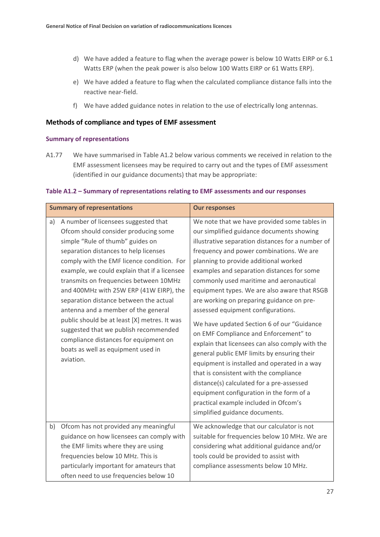- d) We have added a feature to flag when the average power is below 10 Watts EIRP or 6.1 Watts ERP (when the peak power is also below 100 Watts EIRP or 61 Watts ERP).
- e) We have added a feature to flag when the calculated compliance distance falls into the reactive near-field.
- f) We have added guidance notes in relation to the use of electrically long antennas.

#### **Methods of compliance and types of EMF assessment**

#### **Summary of representations**

A1.77 We have summarised in Table A1.2 below various comments we received in relation to the EMF assessment licensees may be required to carry out and the types of EMF assessment (identified in our guidance documents) that may be appropriate:

#### **Table A1.2 – Summary of representations relating to EMF assessments and our responses**

|    | <b>Summary of representations</b>                                                                                                                                                                                                                                                                                                                                                                                                                                                                                                                                                                                  | <b>Our responses</b>                                                                                                                                                                                                                                                                                                                                                                                                                                                                                                                                                                                                                                                                                                                                                                                                                                                                                                   |
|----|--------------------------------------------------------------------------------------------------------------------------------------------------------------------------------------------------------------------------------------------------------------------------------------------------------------------------------------------------------------------------------------------------------------------------------------------------------------------------------------------------------------------------------------------------------------------------------------------------------------------|------------------------------------------------------------------------------------------------------------------------------------------------------------------------------------------------------------------------------------------------------------------------------------------------------------------------------------------------------------------------------------------------------------------------------------------------------------------------------------------------------------------------------------------------------------------------------------------------------------------------------------------------------------------------------------------------------------------------------------------------------------------------------------------------------------------------------------------------------------------------------------------------------------------------|
| a) | A number of licensees suggested that<br>Ofcom should consider producing some<br>simple "Rule of thumb" guides on<br>separation distances to help licenses<br>comply with the EMF licence condition. For<br>example, we could explain that if a licensee<br>transmits on frequencies between 10MHz<br>and 400MHz with 25W ERP (41W EIRP), the<br>separation distance between the actual<br>antenna and a member of the general<br>public should be at least [X] metres. It was<br>suggested that we publish recommended<br>compliance distances for equipment on<br>boats as well as equipment used in<br>aviation. | We note that we have provided some tables in<br>our simplified guidance documents showing<br>illustrative separation distances for a number of<br>frequency and power combinations. We are<br>planning to provide additional worked<br>examples and separation distances for some<br>commonly used maritime and aeronautical<br>equipment types. We are also aware that RSGB<br>are working on preparing guidance on pre-<br>assessed equipment configurations.<br>We have updated Section 6 of our "Guidance<br>on EMF Compliance and Enforcement" to<br>explain that licensees can also comply with the<br>general public EMF limits by ensuring their<br>equipment is installed and operated in a way<br>that is consistent with the compliance<br>distance(s) calculated for a pre-assessed<br>equipment configuration in the form of a<br>practical example included in Ofcom's<br>simplified guidance documents. |
| b) | Ofcom has not provided any meaningful<br>guidance on how licensees can comply with<br>the EMF limits where they are using<br>frequencies below 10 MHz. This is<br>particularly important for amateurs that<br>often need to use frequencies below 10                                                                                                                                                                                                                                                                                                                                                               | We acknowledge that our calculator is not<br>suitable for frequencies below 10 MHz. We are<br>considering what additional guidance and/or<br>tools could be provided to assist with<br>compliance assessments below 10 MHz.                                                                                                                                                                                                                                                                                                                                                                                                                                                                                                                                                                                                                                                                                            |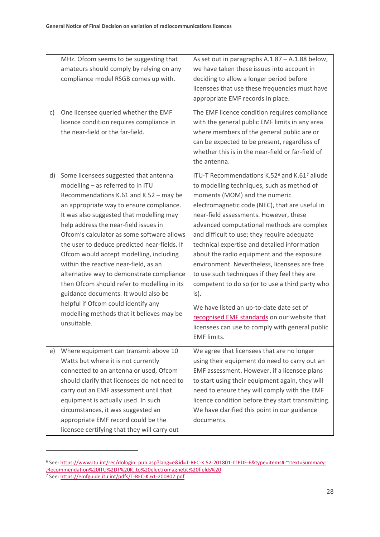|    | MHz. Ofcom seems to be suggesting that<br>amateurs should comply by relying on any<br>compliance model RSGB comes up with.                                                                                                                                                                                                                                                                                                                                                                                                                                                                                                                                                     | As set out in paragraphs A.1.87 - A.1.88 below,<br>we have taken these issues into account in<br>deciding to allow a longer period before<br>licensees that use these frequencies must have<br>appropriate EMF records in place.                                                                                                                                                                                                                                                                                                                                                                                                                                                                                                                                            |
|----|--------------------------------------------------------------------------------------------------------------------------------------------------------------------------------------------------------------------------------------------------------------------------------------------------------------------------------------------------------------------------------------------------------------------------------------------------------------------------------------------------------------------------------------------------------------------------------------------------------------------------------------------------------------------------------|-----------------------------------------------------------------------------------------------------------------------------------------------------------------------------------------------------------------------------------------------------------------------------------------------------------------------------------------------------------------------------------------------------------------------------------------------------------------------------------------------------------------------------------------------------------------------------------------------------------------------------------------------------------------------------------------------------------------------------------------------------------------------------|
| c) | One licensee queried whether the EMF<br>licence condition requires compliance in<br>the near-field or the far-field.                                                                                                                                                                                                                                                                                                                                                                                                                                                                                                                                                           | The EMF licence condition requires compliance<br>with the general public EMF limits in any area<br>where members of the general public are or<br>can be expected to be present, regardless of<br>whether this is in the near-field or far-field of<br>the antenna.                                                                                                                                                                                                                                                                                                                                                                                                                                                                                                          |
| d) | Some licensees suggested that antenna<br>modelling - as referred to in ITU<br>Recommendations K.61 and K.52 - may be<br>an appropriate way to ensure compliance.<br>It was also suggested that modelling may<br>help address the near-field issues in<br>Ofcom's calculator as some software allows<br>the user to deduce predicted near-fields. If<br>Ofcom would accept modelling, including<br>within the reactive near-field, as an<br>alternative way to demonstrate compliance<br>then Ofcom should refer to modelling in its<br>guidance documents. It would also be<br>helpful if Ofcom could identify any<br>modelling methods that it believes may be<br>unsuitable. | ITU-T Recommendations K.52 <sup>6</sup> and K.61 <sup>7</sup> allude<br>to modelling techniques, such as method of<br>moments (MOM) and the numeric<br>electromagnetic code (NEC), that are useful in<br>near-field assessments. However, these<br>advanced computational methods are complex<br>and difficult to use; they require adequate<br>technical expertise and detailed information<br>about the radio equipment and the exposure<br>environment. Nevertheless, licensees are free<br>to use such techniques if they feel they are<br>competent to do so (or to use a third party who<br>is).<br>We have listed an up-to-date date set of<br>recognised EMF standards on our website that<br>licensees can use to comply with general public<br><b>EMF</b> limits. |
| e) | Where equipment can transmit above 10<br>Watts but where it is not currently<br>connected to an antenna or used, Ofcom<br>should clarify that licensees do not need to<br>carry out an EMF assessment until that<br>equipment is actually used. In such<br>circumstances, it was suggested an<br>appropriate EMF record could be the<br>licensee certifying that they will carry out                                                                                                                                                                                                                                                                                           | We agree that licensees that are no longer<br>using their equipment do need to carry out an<br>EMF assessment. However, if a licensee plans<br>to start using their equipment again, they will<br>need to ensure they will comply with the EMF<br>licence condition before they start transmitting.<br>We have clarified this point in our guidance<br>documents.                                                                                                                                                                                                                                                                                                                                                                                                           |

<span id="page-29-0"></span><sup>6</sup> See[: https://www.itu.int/rec/dologin\\_pub.asp?lang=e&id=T-REC-K.52-201801-I!!PDF-E&type=items#:~:text=Summary-](https://www.itu.int/rec/dologin_pub.asp?lang=e&id=T-REC-K.52-201801-I!!PDF-E&type=items#:%7E:text=Summary-,Recommendation%20ITU%2DT%20K.,to%20electromagnetic%20fields%20) [,Recommendation%20ITU%2DT%20K.,to%20electromagnetic%20fields%20](https://www.itu.int/rec/dologin_pub.asp?lang=e&id=T-REC-K.52-201801-I!!PDF-E&type=items#:%7E:text=Summary-,Recommendation%20ITU%2DT%20K.,to%20electromagnetic%20fields%20)

<span id="page-29-1"></span><sup>&</sup>lt;sup>7</sup> See[: https://emfguide.itu.int/pdfs/T-REC-K.61-200802.pdf](https://emfguide.itu.int/pdfs/T-REC-K.61-200802.pdf)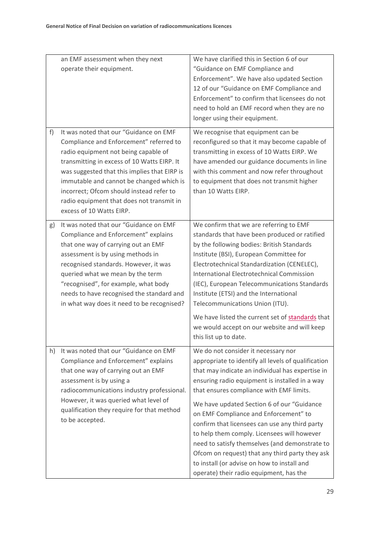|    | an EMF assessment when they next<br>operate their equipment.                                                                                                                                                                                                                                                                                                                              | We have clarified this in Section 6 of our<br>"Guidance on EMF Compliance and<br>Enforcement". We have also updated Section<br>12 of our "Guidance on EMF Compliance and<br>Enforcement" to confirm that licensees do not<br>need to hold an EMF record when they are no<br>longer using their equipment.                                                                                                                                                                                                                                                                                                                           |
|----|-------------------------------------------------------------------------------------------------------------------------------------------------------------------------------------------------------------------------------------------------------------------------------------------------------------------------------------------------------------------------------------------|-------------------------------------------------------------------------------------------------------------------------------------------------------------------------------------------------------------------------------------------------------------------------------------------------------------------------------------------------------------------------------------------------------------------------------------------------------------------------------------------------------------------------------------------------------------------------------------------------------------------------------------|
| f) | It was noted that our "Guidance on EMF<br>Compliance and Enforcement" referred to<br>radio equipment not being capable of<br>transmitting in excess of 10 Watts EIRP. It<br>was suggested that this implies that EIRP is<br>immutable and cannot be changed which is<br>incorrect; Ofcom should instead refer to<br>radio equipment that does not transmit in<br>excess of 10 Watts EIRP. | We recognise that equipment can be<br>reconfigured so that it may become capable of<br>transmitting in excess of 10 Watts EIRP. We<br>have amended our guidance documents in line<br>with this comment and now refer throughout<br>to equipment that does not transmit higher<br>than 10 Watts EIRP.                                                                                                                                                                                                                                                                                                                                |
| g) | It was noted that our "Guidance on EMF<br>Compliance and Enforcement" explains<br>that one way of carrying out an EMF<br>assessment is by using methods in<br>recognised standards. However, it was<br>queried what we mean by the term<br>"recognised", for example, what body<br>needs to have recognised the standard and<br>in what way does it need to be recognised?                | We confirm that we are referring to EMF<br>standards that have been produced or ratified<br>by the following bodies: British Standards<br>Institute (BSI), European Committee for<br>Electrotechnical Standardization (CENELEC),<br><b>International Electrotechnical Commission</b><br>(IEC), European Telecommunications Standards<br>Institute (ETSI) and the International<br>Telecommunications Union (ITU).<br>We have listed the current set of standards that<br>we would accept on our website and will keep<br>this list up to date.                                                                                      |
| h) | It was noted that our "Guidance on EMF<br>Compliance and Enforcement" explains<br>that one way of carrying out an EMF<br>assessment is by using a<br>radiocommunications industry professional.<br>However, it was queried what level of<br>qualification they require for that method<br>to be accepted.                                                                                 | We do not consider it necessary nor<br>appropriate to identify all levels of qualification<br>that may indicate an individual has expertise in<br>ensuring radio equipment is installed in a way<br>that ensures compliance with EMF limits.<br>We have updated Section 6 of our "Guidance<br>on EMF Compliance and Enforcement" to<br>confirm that licensees can use any third party<br>to help them comply. Licensees will however<br>need to satisfy themselves (and demonstrate to<br>Ofcom on request) that any third party they ask<br>to install (or advise on how to install and<br>operate) their radio equipment, has the |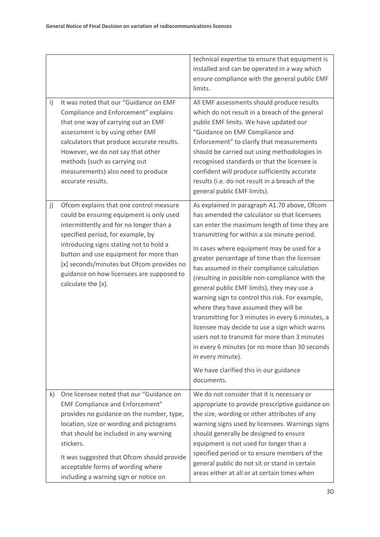|              |                                                                                                                                                                                                                                                                                                                                                                          | technical expertise to ensure that equipment is<br>installed and can be operated in a way which<br>ensure compliance with the general public EMF<br>limits.                                                                                                                                                                                                                                                                                                                                                                                                                                                                                                                                                                                                                                                                |
|--------------|--------------------------------------------------------------------------------------------------------------------------------------------------------------------------------------------------------------------------------------------------------------------------------------------------------------------------------------------------------------------------|----------------------------------------------------------------------------------------------------------------------------------------------------------------------------------------------------------------------------------------------------------------------------------------------------------------------------------------------------------------------------------------------------------------------------------------------------------------------------------------------------------------------------------------------------------------------------------------------------------------------------------------------------------------------------------------------------------------------------------------------------------------------------------------------------------------------------|
| $\mathsf{i}$ | It was noted that our "Guidance on EMF<br>Compliance and Enforcement" explains<br>that one way of carrying out an EMF<br>assessment is by using other EMF<br>calculators that produce accurate results.<br>However, we do not say that other<br>methods (such as carrying out<br>measurements) also need to produce<br>accurate results.                                 | All EMF assessments should produce results<br>which do not result in a breach of the general<br>public EMF limits. We have updated our<br>"Guidance on EMF Compliance and<br>Enforcement" to clarify that measurements<br>should be carried out using methodologies in<br>recognised standards or that the licensee is<br>confident will produce sufficiently accurate<br>results (i.e. do not result in a breach of the<br>general public EMF limits).                                                                                                                                                                                                                                                                                                                                                                    |
| j)           | Ofcom explains that one control measure<br>could be ensuring equipment is only used<br>intermittently and for no longer than a<br>specified period, for example, by<br>introducing signs stating not to hold a<br>button and use equipment for more than<br>[x] seconds/minutes but Ofcom provides no<br>guidance on how licensees are supposed to<br>calculate the [x]. | As explained in paragraph A1.70 above, Ofcom<br>has amended the calculator so that licensees<br>can enter the maximum length of time they are<br>transmitting for within a six minute period.<br>In cases where equipment may be used for a<br>greater percentage of time than the licensee<br>has assumed in their compliance calculation<br>(resulting in possible non-compliance with the<br>general public EMF limits), they may use a<br>warning sign to control this risk. For example,<br>where they have assumed they will be<br>transmitting for 3 minutes in every 6 minutes, a<br>licensee may decide to use a sign which warns<br>users not to transmit for more than 3 minutes<br>in every 6 minutes (or no more than 30 seconds<br>in every minute).<br>We have clarified this in our guidance<br>documents. |
| $\mathsf{k}$ | One licensee noted that our "Guidance on<br><b>EMF Compliance and Enforcement"</b><br>provides no guidance on the number, type,<br>location, size or wording and pictograms<br>that should be included in any warning<br>stickers.<br>It was suggested that Ofcom should provide<br>acceptable forms of wording where<br>including a warning sign or notice on           | We do not consider that it is necessary or<br>appropriate to provide prescriptive guidance on<br>the size, wording or other attributes of any<br>warning signs used by licensees. Warnings signs<br>should generally be designed to ensure<br>equipment is not used for longer than a<br>specified period or to ensure members of the<br>general public do not sit or stand in certain<br>areas either at all or at certain times when                                                                                                                                                                                                                                                                                                                                                                                     |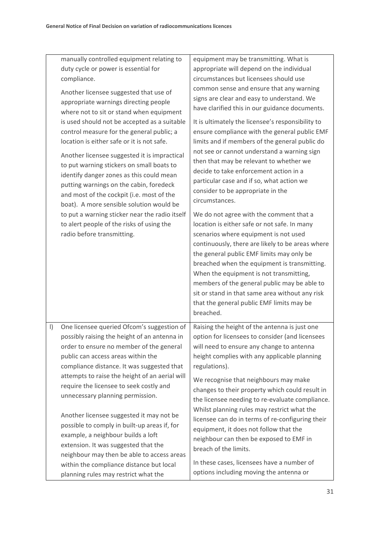|           | manually controlled equipment relating to<br>duty cycle or power is essential for<br>compliance.<br>Another licensee suggested that use of<br>appropriate warnings directing people<br>where not to sit or stand when equipment<br>is used should not be accepted as a suitable<br>control measure for the general public; a<br>location is either safe or it is not safe.<br>Another licensee suggested it is impractical<br>to put warning stickers on small boats to<br>identify danger zones as this could mean<br>putting warnings on the cabin, foredeck<br>and most of the cockpit (i.e. most of the<br>boat). A more sensible solution would be<br>to put a warning sticker near the radio itself<br>to alert people of the risks of using the<br>radio before transmitting. | equipment may be transmitting. What is<br>appropriate will depend on the individual<br>circumstances but licensees should use<br>common sense and ensure that any warning<br>signs are clear and easy to understand. We<br>have clarified this in our guidance documents.<br>It is ultimately the licensee's responsibility to<br>ensure compliance with the general public EMF<br>limits and if members of the general public do<br>not see or cannot understand a warning sign<br>then that may be relevant to whether we<br>decide to take enforcement action in a<br>particular case and if so, what action we<br>consider to be appropriate in the<br>circumstances.<br>We do not agree with the comment that a<br>location is either safe or not safe. In many<br>scenarios where equipment is not used<br>continuously, there are likely to be areas where<br>the general public EMF limits may only be<br>breached when the equipment is transmitting.<br>When the equipment is not transmitting,<br>members of the general public may be able to<br>sit or stand in that same area without any risk<br>that the general public EMF limits may be<br>breached. |
|-----------|--------------------------------------------------------------------------------------------------------------------------------------------------------------------------------------------------------------------------------------------------------------------------------------------------------------------------------------------------------------------------------------------------------------------------------------------------------------------------------------------------------------------------------------------------------------------------------------------------------------------------------------------------------------------------------------------------------------------------------------------------------------------------------------|------------------------------------------------------------------------------------------------------------------------------------------------------------------------------------------------------------------------------------------------------------------------------------------------------------------------------------------------------------------------------------------------------------------------------------------------------------------------------------------------------------------------------------------------------------------------------------------------------------------------------------------------------------------------------------------------------------------------------------------------------------------------------------------------------------------------------------------------------------------------------------------------------------------------------------------------------------------------------------------------------------------------------------------------------------------------------------------------------------------------------------------------------------------------|
| $\vert$ ) | One licensee queried Ofcom's suggestion of<br>possibly raising the height of an antenna in<br>order to ensure no member of the general<br>public can access areas within the<br>compliance distance. It was suggested that<br>attempts to raise the height of an aerial will<br>require the licensee to seek costly and<br>unnecessary planning permission.<br>Another licensee suggested it may not be<br>possible to comply in built-up areas if, for<br>example, a neighbour builds a loft<br>extension. It was suggested that the<br>neighbour may then be able to access areas<br>within the compliance distance but local<br>planning rules may restrict what the                                                                                                              | Raising the height of the antenna is just one<br>option for licensees to consider (and licensees<br>will need to ensure any change to antenna<br>height complies with any applicable planning<br>regulations).<br>We recognise that neighbours may make<br>changes to their property which could result in<br>the licensee needing to re-evaluate compliance.<br>Whilst planning rules may restrict what the<br>licensee can do in terms of re-configuring their<br>equipment, it does not follow that the<br>neighbour can then be exposed to EMF in<br>breach of the limits.<br>In these cases, licensees have a number of<br>options including moving the antenna or                                                                                                                                                                                                                                                                                                                                                                                                                                                                                                |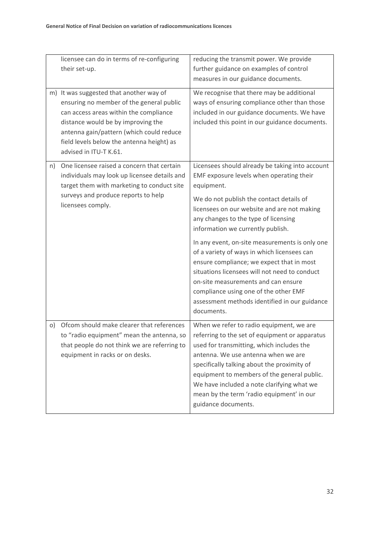|           | licensee can do in terms of re-configuring<br>their set-up.                                                                                                                                                                                                                            | reducing the transmit power. We provide<br>further guidance on examples of control<br>measures in our guidance documents.                                                                                                                                                                                                                                                                      |
|-----------|----------------------------------------------------------------------------------------------------------------------------------------------------------------------------------------------------------------------------------------------------------------------------------------|------------------------------------------------------------------------------------------------------------------------------------------------------------------------------------------------------------------------------------------------------------------------------------------------------------------------------------------------------------------------------------------------|
|           | m) It was suggested that another way of<br>ensuring no member of the general public<br>can access areas within the compliance<br>distance would be by improving the<br>antenna gain/pattern (which could reduce<br>field levels below the antenna height) as<br>advised in ITU-T K.61. | We recognise that there may be additional<br>ways of ensuring compliance other than those<br>included in our guidance documents. We have<br>included this point in our guidance documents.                                                                                                                                                                                                     |
| n)        | One licensee raised a concern that certain<br>individuals may look up licensee details and<br>target them with marketing to conduct site<br>surveys and produce reports to help<br>licensees comply.                                                                                   | Licensees should already be taking into account<br>EMF exposure levels when operating their<br>equipment.<br>We do not publish the contact details of                                                                                                                                                                                                                                          |
|           |                                                                                                                                                                                                                                                                                        | licensees on our website and are not making<br>any changes to the type of licensing<br>information we currently publish.                                                                                                                                                                                                                                                                       |
|           |                                                                                                                                                                                                                                                                                        | In any event, on-site measurements is only one<br>of a variety of ways in which licensees can<br>ensure compliance; we expect that in most<br>situations licensees will not need to conduct<br>on-site measurements and can ensure<br>compliance using one of the other EMF<br>assessment methods identified in our guidance<br>documents.                                                     |
| $\circ$ ) | Ofcom should make clearer that references<br>to "radio equipment" mean the antenna, so<br>that people do not think we are referring to<br>equipment in racks or on desks.                                                                                                              | When we refer to radio equipment, we are<br>referring to the set of equipment or apparatus<br>used for transmitting, which includes the<br>antenna. We use antenna when we are<br>specifically talking about the proximity of<br>equipment to members of the general public.<br>We have included a note clarifying what we<br>mean by the term 'radio equipment' in our<br>guidance documents. |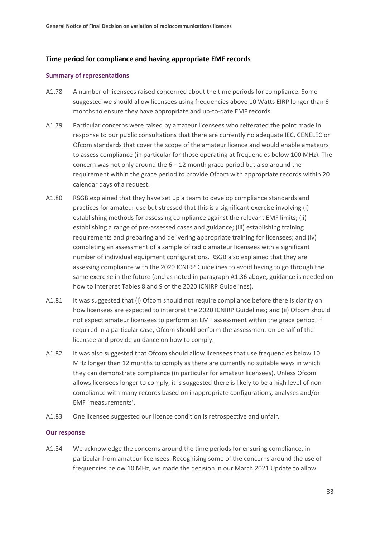#### **Time period for compliance and having appropriate EMF records**

#### **Summary of representations**

- A1.78 A number of licensees raised concerned about the time periods for compliance. Some suggested we should allow licensees using frequencies above 10 Watts EIRP longer than 6 months to ensure they have appropriate and up-to-date EMF records.
- A1.79 Particular concerns were raised by amateur licensees who reiterated the point made in response to our public consultations that there are currently no adequate IEC, CENELEC or Ofcom standards that cover the scope of the amateur licence and would enable amateurs to assess compliance (in particular for those operating at frequencies below 100 MHz). The concern was not only around the  $6 - 12$  month grace period but also around the requirement within the grace period to provide Ofcom with appropriate records within 20 calendar days of a request.
- A1.80 RSGB explained that they have set up a team to develop compliance standards and practices for amateur use but stressed that this is a significant exercise involving (i) establishing methods for assessing compliance against the relevant EMF limits; (ii) establishing a range of pre-assessed cases and guidance; (iii) establishing training requirements and preparing and delivering appropriate training for licensees; and (iv) completing an assessment of a sample of radio amateur licensees with a significant number of individual equipment configurations. RSGB also explained that they are assessing compliance with the 2020 ICNIRP Guidelines to avoid having to go through the same exercise in the future (and as noted in paragraph A1.36 above, guidance is needed on how to interpret Tables 8 and 9 of the 2020 ICNIRP Guidelines).
- A1.81 It was suggested that (i) Ofcom should not require compliance before there is clarity on how licensees are expected to interpret the 2020 ICNIRP Guidelines; and (ii) Ofcom should not expect amateur licensees to perform an EMF assessment within the grace period; if required in a particular case, Ofcom should perform the assessment on behalf of the licensee and provide guidance on how to comply.
- A1.82 It was also suggested that Ofcom should allow licensees that use frequencies below 10 MHz longer than 12 months to comply as there are currently no suitable ways in which they can demonstrate compliance (in particular for amateur licensees). Unless Ofcom allows licensees longer to comply, it is suggested there is likely to be a high level of noncompliance with many records based on inappropriate configurations, analyses and/or EMF 'measurements'.
- A1.83 One licensee suggested our licence condition is retrospective and unfair.

#### **Our response**

A1.84 We acknowledge the concerns around the time periods for ensuring compliance, in particular from amateur licensees. Recognising some of the concerns around the use of frequencies below 10 MHz, we made the decision in our March 2021 Update to allow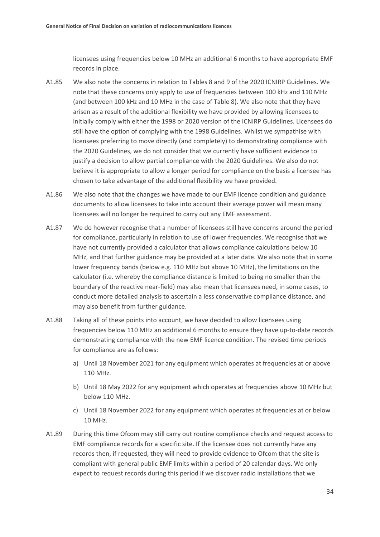licensees using frequencies below 10 MHz an additional 6 months to have appropriate EMF records in place.

- A1.85 We also note the concerns in relation to Tables 8 and 9 of the 2020 ICNIRP Guidelines. We note that these concerns only apply to use of frequencies between 100 kHz and 110 MHz (and between 100 kHz and 10 MHz in the case of Table 8). We also note that they have arisen as a result of the additional flexibility we have provided by allowing licensees to initially comply with either the 1998 or 2020 version of the ICNIRP Guidelines. Licensees do still have the option of complying with the 1998 Guidelines. Whilst we sympathise with licensees preferring to move directly (and completely) to demonstrating compliance with the 2020 Guidelines, we do not consider that we currently have sufficient evidence to justify a decision to allow partial compliance with the 2020 Guidelines. We also do not believe it is appropriate to allow a longer period for compliance on the basis a licensee has chosen to take advantage of the additional flexibility we have provided.
- A1.86 We also note that the changes we have made to our EMF licence condition and guidance documents to allow licensees to take into account their average power will mean many licensees will no longer be required to carry out any EMF assessment.
- A1.87 We do however recognise that a number of licensees still have concerns around the period for compliance, particularly in relation to use of lower frequencies. We recognise that we have not currently provided a calculator that allows compliance calculations below 10 MHz, and that further guidance may be provided at a later date. We also note that in some lower frequency bands (below e.g. 110 MHz but above 10 MHz), the limitations on the calculator (i.e. whereby the compliance distance is limited to being no smaller than the boundary of the reactive near-field) may also mean that licensees need, in some cases, to conduct more detailed analysis to ascertain a less conservative compliance distance, and may also benefit from further guidance.
- A1.88 Taking all of these points into account, we have decided to allow licensees using frequencies below 110 MHz an additional 6 months to ensure they have up-to-date records demonstrating compliance with the new EMF licence condition. The revised time periods for compliance are as follows:
	- a) Until 18 November 2021 for any equipment which operates at frequencies at or above 110 MHz.
	- b) Until 18 May 2022 for any equipment which operates at frequencies above 10 MHz but below 110 MHz.
	- c) Until 18 November 2022 for any equipment which operates at frequencies at or below 10 MHz.
- A1.89 During this time Ofcom may still carry out routine compliance checks and request access to EMF compliance records for a specific site. If the licensee does not currently have any records then, if requested, they will need to provide evidence to Ofcom that the site is compliant with general public EMF limits within a period of 20 calendar days. We only expect to request records during this period if we discover radio installations that we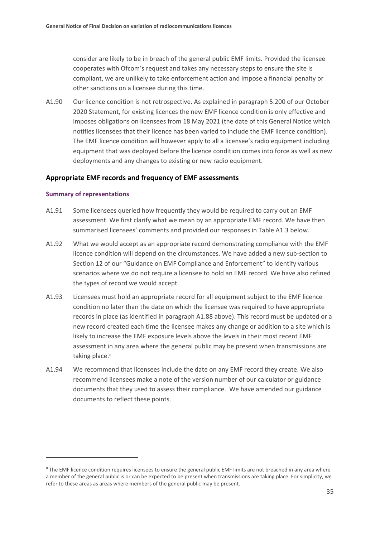consider are likely to be in breach of the general public EMF limits. Provided the licensee cooperates with Ofcom's request and takes any necessary steps to ensure the site is compliant, we are unlikely to take enforcement action and impose a financial penalty or other sanctions on a licensee during this time.

A1.90 Our licence condition is not retrospective. As explained in paragraph 5.200 of our October 2020 Statement, for existing licences the new EMF licence condition is only effective and imposes obligations on licensees from 18 May 2021 (the date of this General Notice which notifies licensees that their licence has been varied to include the EMF licence condition). The EMF licence condition will however apply to all a licensee's radio equipment including equipment that was deployed before the licence condition comes into force as well as new deployments and any changes to existing or new radio equipment.

#### **Appropriate EMF records and frequency of EMF assessments**

#### **Summary of representations**

- A1.91 Some licensees queried how frequently they would be required to carry out an EMF assessment. We first clarify what we mean by an appropriate EMF record. We have then summarised licensees' comments and provided our responses in Table A1.3 below.
- A1.92 What we would accept as an appropriate record demonstrating compliance with the EMF licence condition will depend on the circumstances. We have added a new sub-section to Section 12 of our "Guidance on EMF Compliance and Enforcement" to identify various scenarios where we do not require a licensee to hold an EMF record. We have also refined the types of record we would accept.
- A1.93 Licensees must hold an appropriate record for all equipment subject to the EMF licence condition no later than the date on which the licensee was required to have appropriate records in place (as identified in paragraph A1.88 above). This record must be updated or a new record created each time the licensee makes any change or addition to a site which is likely to increase the EMF exposure levels above the levels in their most recent EMF assessment in any area where the general public may be present when transmissions are taking place.<sup>[8](#page-36-0)</sup>
- A1.94 We recommend that licensees include the date on any EMF record they create. We also recommend licensees make a note of the version number of our calculator or guidance documents that they used to assess their compliance. We have amended our guidance documents to reflect these points.

<span id="page-36-0"></span><sup>&</sup>lt;sup>8</sup> The EMF licence condition requires licensees to ensure the general public EMF limits are not breached in any area where a member of the general public is or can be expected to be present when transmissions are taking place. For simplicity, we refer to these areas as areas where members of the general public may be present.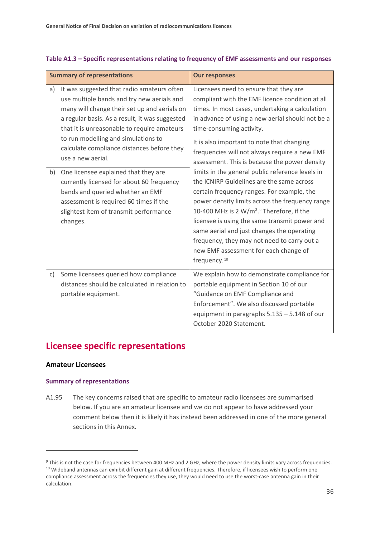|          | <b>Summary of representations</b>                                                                                                                                                                                                                                                                                                                                                                                                                                                                                                                                            | <b>Our responses</b>                                                                                                                                                                                                                                                                                                                                                                                                                                                                                                                                                                                                                                                                                 |
|----------|------------------------------------------------------------------------------------------------------------------------------------------------------------------------------------------------------------------------------------------------------------------------------------------------------------------------------------------------------------------------------------------------------------------------------------------------------------------------------------------------------------------------------------------------------------------------------|------------------------------------------------------------------------------------------------------------------------------------------------------------------------------------------------------------------------------------------------------------------------------------------------------------------------------------------------------------------------------------------------------------------------------------------------------------------------------------------------------------------------------------------------------------------------------------------------------------------------------------------------------------------------------------------------------|
| a)<br>b) | It was suggested that radio amateurs often<br>use multiple bands and try new aerials and<br>many will change their set up and aerials on<br>a regular basis. As a result, it was suggested<br>that it is unreasonable to require amateurs<br>to run modelling and simulations to<br>calculate compliance distances before they<br>use a new aerial.<br>One licensee explained that they are<br>currently licensed for about 60 frequency<br>bands and queried whether an EMF<br>assessment is required 60 times if the<br>slightest item of transmit performance<br>changes. | Licensees need to ensure that they are<br>compliant with the EMF licence condition at all<br>times. In most cases, undertaking a calculation<br>in advance of using a new aerial should not be a<br>time-consuming activity.<br>It is also important to note that changing<br>frequencies will not always require a new EMF<br>assessment. This is because the power density<br>limits in the general public reference levels in<br>the ICNIRP Guidelines are the same across<br>certain frequency ranges. For example, the<br>power density limits across the frequency range<br>10-400 MHz is 2 W/m <sup>2</sup> . <sup>9</sup> Therefore, if the<br>licensee is using the same transmit power and |
|          |                                                                                                                                                                                                                                                                                                                                                                                                                                                                                                                                                                              | same aerial and just changes the operating<br>frequency, they may not need to carry out a<br>new EMF assessment for each change of<br>frequency. <sup>10</sup>                                                                                                                                                                                                                                                                                                                                                                                                                                                                                                                                       |
| C)       | Some licensees queried how compliance<br>distances should be calculated in relation to<br>portable equipment.                                                                                                                                                                                                                                                                                                                                                                                                                                                                | We explain how to demonstrate compliance for<br>portable equipment in Section 10 of our<br>"Guidance on EMF Compliance and<br>Enforcement". We also discussed portable<br>equipment in paragraphs 5.135 - 5.148 of our<br>October 2020 Statement.                                                                                                                                                                                                                                                                                                                                                                                                                                                    |

#### **Table A1.3 – Specific representations relating to frequency of EMF assessments and our responses**

## **Licensee specific representations**

#### **Amateur Licensees**

#### **Summary of representations**

A1.95 The key concerns raised that are specific to amateur radio licensees are summarised below. If you are an amateur licensee and we do not appear to have addressed your comment below then it is likely it has instead been addressed in one of the more general sections in this Annex.

<span id="page-37-1"></span><span id="page-37-0"></span><sup>&</sup>lt;sup>9</sup> This is not the case for frequencies between 400 MHz and 2 GHz, where the power density limits vary across frequencies. <sup>10</sup> Wideband antennas can exhibit different gain at different frequencies. Therefore, if licensees wish to perform one compliance assessment across the frequencies they use, they would need to use the worst-case antenna gain in their calculation.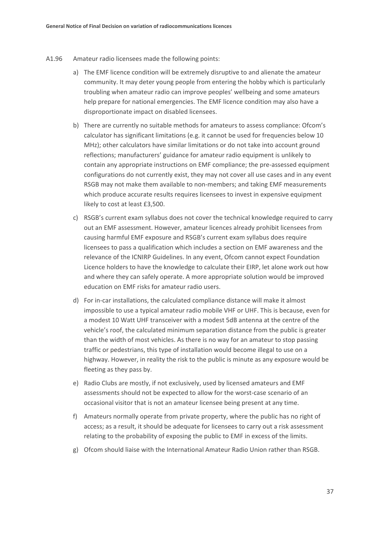- A1.96 Amateur radio licensees made the following points:
	- a) The EMF licence condition will be extremely disruptive to and alienate the amateur community. It may deter young people from entering the hobby which is particularly troubling when amateur radio can improve peoples' wellbeing and some amateurs help prepare for national emergencies. The EMF licence condition may also have a disproportionate impact on disabled licensees.
	- b) There are currently no suitable methods for amateurs to assess compliance: Ofcom's calculator has significant limitations (e.g. it cannot be used for frequencies below 10 MHz); other calculators have similar limitations or do not take into account ground reflections; manufacturers' guidance for amateur radio equipment is unlikely to contain any appropriate instructions on EMF compliance; the pre-assessed equipment configurations do not currently exist, they may not cover all use cases and in any event RSGB may not make them available to non-members; and taking EMF measurements which produce accurate results requires licensees to invest in expensive equipment likely to cost at least £3,500.
	- c) RSGB's current exam syllabus does not cover the technical knowledge required to carry out an EMF assessment. However, amateur licences already prohibit licensees from causing harmful EMF exposure and RSGB's current exam syllabus does require licensees to pass a qualification which includes a section on EMF awareness and the relevance of the ICNIRP Guidelines. In any event, Ofcom cannot expect Foundation Licence holders to have the knowledge to calculate their EIRP, let alone work out how and where they can safely operate. A more appropriate solution would be improved education on EMF risks for amateur radio users.
	- d) For in-car installations, the calculated compliance distance will make it almost impossible to use a typical amateur radio mobile VHF or UHF. This is because, even for a modest 10 Watt UHF transceiver with a modest 5dB antenna at the centre of the vehicle's roof, the calculated minimum separation distance from the public is greater than the width of most vehicles. As there is no way for an amateur to stop passing traffic or pedestrians, this type of installation would become illegal to use on a highway. However, in reality the risk to the public is minute as any exposure would be fleeting as they pass by.
	- e) Radio Clubs are mostly, if not exclusively, used by licensed amateurs and EMF assessments should not be expected to allow for the worst-case scenario of an occasional visitor that is not an amateur licensee being present at any time.
	- f) Amateurs normally operate from private property, where the public has no right of access; as a result, it should be adequate for licensees to carry out a risk assessment relating to the probability of exposing the public to EMF in excess of the limits.
	- g) Ofcom should liaise with the International Amateur Radio Union rather than RSGB.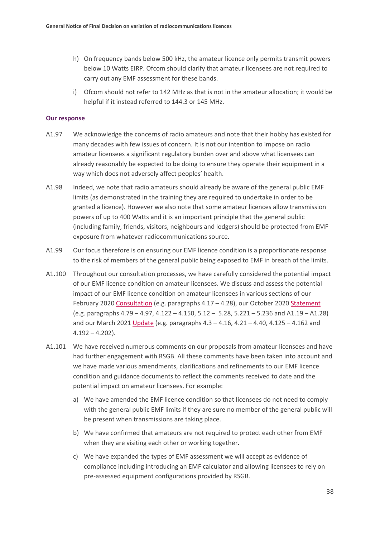- h) On frequency bands below 500 kHz, the amateur licence only permits transmit powers below 10 Watts EIRP. Ofcom should clarify that amateur licensees are not required to carry out any EMF assessment for these bands.
- i) Ofcom should not refer to 142 MHz as that is not in the amateur allocation; it would be helpful if it instead referred to 144.3 or 145 MHz.

#### **Our response**

- A1.97 We acknowledge the concerns of radio amateurs and note that their hobby has existed for many decades with few issues of concern. It is not our intention to impose on radio amateur licensees a significant regulatory burden over and above what licensees can already reasonably be expected to be doing to ensure they operate their equipment in a way which does not adversely affect peoples' health.
- A1.98 Indeed, we note that radio amateurs should already be aware of the general public EMF limits (as demonstrated in the training they are required to undertake in order to be granted a licence). However we also note that some amateur licences allow transmission powers of up to 400 Watts and it is an important principle that the general public (including family, friends, visitors, neighbours and lodgers) should be protected from EMF exposure from whatever radiocommunications source.
- A1.99 Our focus therefore is on ensuring our EMF licence condition is a proportionate response to the risk of members of the general public being exposed to EMF in breach of the limits.
- A1.100 Throughout our consultation processes, we have carefully considered the potential impact of our EMF licence condition on amateur licensees. We discuss and assess the potential impact of our EMF licence condition on amateur licensees in various sections of our February 2020 [Consultation](https://www.ofcom.org.uk/__data/assets/pdf_file/0013/190003/emf-condoc.pdf) (e.g. paragraphs 4.17 - 4.28), our October 202[0 Statement](https://www.ofcom.org.uk/__data/assets/pdf_file/0014/204053/emf-statement.pdf) (e.g. paragraphs 4.79 – 4.97, 4.122 – 4.150, 5.12 – 5.28, 5.221 – 5.236 and A1.19 – A1.28) and our March 2021 [Update](https://www.ofcom.org.uk/__data/assets/pdf_file/0022/214663/emf-implementation-update.pdf) (e.g. paragraphs 4.3 – 4.16, 4.21 – 4.40, 4.125 – 4.162 and  $4.192 - 4.202$ ).
- A1.101 We have received numerous comments on our proposals from amateur licensees and have had further engagement with RSGB. All these comments have been taken into account and we have made various amendments, clarifications and refinements to our EMF licence condition and guidance documents to reflect the comments received to date and the potential impact on amateur licensees. For example:
	- a) We have amended the EMF licence condition so that licensees do not need to comply with the general public EMF limits if they are sure no member of the general public will be present when transmissions are taking place.
	- b) We have confirmed that amateurs are not required to protect each other from EMF when they are visiting each other or working together.
	- c) We have expanded the types of EMF assessment we will accept as evidence of compliance including introducing an EMF calculator and allowing licensees to rely on pre-assessed equipment configurations provided by RSGB.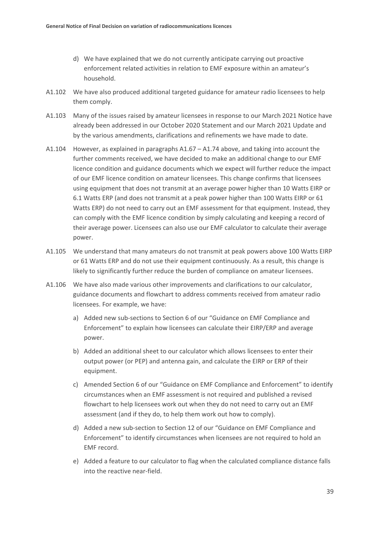- d) We have explained that we do not currently anticipate carrying out proactive enforcement related activities in relation to EMF exposure within an amateur's household.
- A1.102 We have also produced additional targeted guidance for amateur radio licensees to help them comply.
- A1.103 Many of the issues raised by amateur licensees in response to our March 2021 Notice have already been addressed in our October 2020 Statement and our March 2021 Update and by the various amendments, clarifications and refinements we have made to date.
- A1.104 However, as explained in paragraphs A1.67 A1.74 above, and taking into account the further comments received, we have decided to make an additional change to our EMF licence condition and guidance documents which we expect will further reduce the impact of our EMF licence condition on amateur licensees. This change confirms that licensees using equipment that does not transmit at an average power higher than 10 Watts EIRP or 6.1 Watts ERP (and does not transmit at a peak power higher than 100 Watts EIRP or 61 Watts ERP) do not need to carry out an EMF assessment for that equipment. Instead, they can comply with the EMF licence condition by simply calculating and keeping a record of their average power. Licensees can also use our EMF calculator to calculate their average power.
- A1.105 We understand that many amateurs do not transmit at peak powers above 100 Watts EIRP or 61 Watts ERP and do not use their equipment continuously. As a result, this change is likely to significantly further reduce the burden of compliance on amateur licensees.
- A1.106 We have also made various other improvements and clarifications to our calculator, guidance documents and flowchart to address comments received from amateur radio licensees. For example, we have:
	- a) Added new sub-sections to Section 6 of our "Guidance on EMF Compliance and Enforcement" to explain how licensees can calculate their EIRP/ERP and average power.
	- b) Added an additional sheet to our calculator which allows licensees to enter their output power (or PEP) and antenna gain, and calculate the EIRP or ERP of their equipment.
	- c) Amended Section 6 of our "Guidance on EMF Compliance and Enforcement" to identify circumstances when an EMF assessment is not required and published a revised flowchart to help licensees work out when they do not need to carry out an EMF assessment (and if they do, to help them work out how to comply).
	- d) Added a new sub-section to Section 12 of our "Guidance on EMF Compliance and Enforcement" to identify circumstances when licensees are not required to hold an EMF record.
	- e) Added a feature to our calculator to flag when the calculated compliance distance falls into the reactive near-field.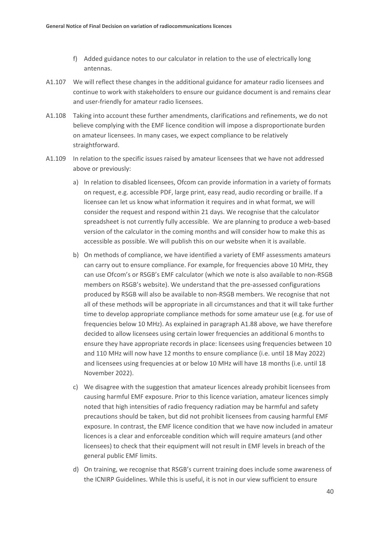- f) Added guidance notes to our calculator in relation to the use of electrically long antennas.
- A1.107 We will reflect these changes in the additional guidance for amateur radio licensees and continue to work with stakeholders to ensure our guidance document is and remains clear and user-friendly for amateur radio licensees.
- A1.108 Taking into account these further amendments, clarifications and refinements, we do not believe complying with the EMF licence condition will impose a disproportionate burden on amateur licensees. In many cases, we expect compliance to be relatively straightforward.
- A1.109 In relation to the specific issues raised by amateur licensees that we have not addressed above or previously:
	- a) In relation to disabled licensees, Ofcom can provide information in a variety of formats on request, e.g. accessible PDF, large print, easy read, audio recording or braille. If a licensee can let us know what information it requires and in what format, we will consider the request and respond within 21 days. We recognise that the calculator spreadsheet is not currently fully accessible. We are planning to produce a web-based version of the calculator in the coming months and will consider how to make this as accessible as possible. We will publish this on our website when it is available.
	- b) On methods of compliance, we have identified a variety of EMF assessments amateurs can carry out to ensure compliance. For example, for frequencies above 10 MHz, they can use Ofcom's or RSGB's EMF calculator (which we note is also available to non-RSGB members on RSGB's website). We understand that the pre-assessed configurations produced by RSGB will also be available to non-RSGB members. We recognise that not all of these methods will be appropriate in all circumstances and that it will take further time to develop appropriate compliance methods for some amateur use (e.g. for use of frequencies below 10 MHz). As explained in paragraph A1.88 above, we have therefore decided to allow licensees using certain lower frequencies an additional 6 months to ensure they have appropriate records in place: licensees using frequencies between 10 and 110 MHz will now have 12 months to ensure compliance (i.e. until 18 May 2022) and licensees using frequencies at or below 10 MHz will have 18 months (i.e. until 18 November 2022).
	- c) We disagree with the suggestion that amateur licences already prohibit licensees from causing harmful EMF exposure. Prior to this licence variation, amateur licences simply noted that high intensities of radio frequency radiation may be harmful and safety precautions should be taken, but did not prohibit licensees from causing harmful EMF exposure. In contrast, the EMF licence condition that we have now included in amateur licences is a clear and enforceable condition which will require amateurs (and other licensees) to check that their equipment will not result in EMF levels in breach of the general public EMF limits.
	- d) On training, we recognise that RSGB's current training does include some awareness of the ICNIRP Guidelines. While this is useful, it is not in our view sufficient to ensure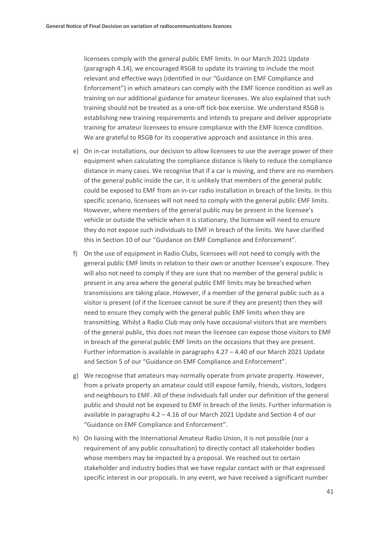licensees comply with the general public EMF limits. In our March 2021 Update (paragraph 4.14), we encouraged RSGB to update its training to include the most relevant and effective ways (identified in our "Guidance on EMF Compliance and Enforcement") in which amateurs can comply with the EMF licence condition as well as training on our additional guidance for amateur licensees. We also explained that such training should not be treated as a one-off tick-box exercise. We understand RSGB is establishing new training requirements and intends to prepare and deliver appropriate training for amateur licensees to ensure compliance with the EMF licence condition. We are grateful to RSGB for its cooperative approach and assistance in this area.

- e) On in-car installations, our decision to allow licensees to use the average power of their equipment when calculating the compliance distance is likely to reduce the compliance distance in many cases. We recognise that if a car is moving, and there are no members of the general public inside the car, it is unlikely that members of the general public could be exposed to EMF from an in-car radio installation in breach of the limits. In this specific scenario, licensees will not need to comply with the general public EMF limits. However, where members of the general public may be present in the licensee's vehicle or outside the vehicle when it is stationary, the licensee will need to ensure they do not expose such individuals to EMF in breach of the limits. We have clarified this in Section 10 of our "Guidance on EMF Compliance and Enforcement".
- f) On the use of equipment in Radio Clubs, licensees will not need to comply with the general public EMF limits in relation to their own or another licensee's exposure. They will also not need to comply if they are sure that no member of the general public is present in any area where the general public EMF limits may be breached when transmissions are taking place. However, if a member of the general public such as a visitor is present (of if the licensee cannot be sure if they are present) then they will need to ensure they comply with the general public EMF limits when they are transmitting. Whilst a Radio Club may only have occasional visitors that are members of the general public, this does not mean the licensee can expose those visitors to EMF in breach of the general public EMF limits on the occasions that they are present. Further information is available in paragraphs 4.27 – 4.40 of our March 2021 Update and Section 5 of our "Guidance on EMF Compliance and Enforcement".
- g) We recognise that amateurs may normally operate from private property. However, from a private property an amateur could still expose family, friends, visitors, lodgers and neighbours to EMF. All of these individuals fall under our definition of the general public and should not be exposed to EMF in breach of the limits. Further information is available in paragraphs 4.2 – 4.16 of our March 2021 Update and Section 4 of our "Guidance on EMF Compliance and Enforcement".
- h) On liaising with the International Amateur Radio Union, it is not possible (nor a requirement of any public consultation) to directly contact all stakeholder bodies whose members may be impacted by a proposal. We reached out to certain stakeholder and industry bodies that we have regular contact with or that expressed specific interest in our proposals. In any event, we have received a significant number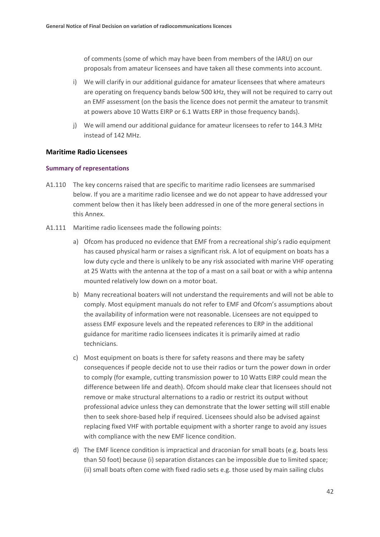of comments (some of which may have been from members of the IARU) on our proposals from amateur licensees and have taken all these comments into account.

- i) We will clarify in our additional guidance for amateur licensees that where amateurs are operating on frequency bands below 500 kHz, they will not be required to carry out an EMF assessment (on the basis the licence does not permit the amateur to transmit at powers above 10 Watts EIRP or 6.1 Watts ERP in those frequency bands).
- j) We will amend our additional guidance for amateur licensees to refer to 144.3 MHz instead of 142 MHz.

#### **Maritime Radio Licensees**

#### **Summary of representations**

- A1.110 The key concerns raised that are specific to maritime radio licensees are summarised below. If you are a maritime radio licensee and we do not appear to have addressed your comment below then it has likely been addressed in one of the more general sections in this Annex.
- A1.111 Maritime radio licensees made the following points:
	- a) Ofcom has produced no evidence that EMF from a recreational ship's radio equipment has caused physical harm or raises a significant risk. A lot of equipment on boats has a low duty cycle and there is unlikely to be any risk associated with marine VHF operating at 25 Watts with the antenna at the top of a mast on a sail boat or with a whip antenna mounted relatively low down on a motor boat.
	- b) Many recreational boaters will not understand the requirements and will not be able to comply. Most equipment manuals do not refer to EMF and Ofcom's assumptions about the availability of information were not reasonable. Licensees are not equipped to assess EMF exposure levels and the repeated references to ERP in the additional guidance for maritime radio licensees indicates it is primarily aimed at radio technicians.
	- c) Most equipment on boats is there for safety reasons and there may be safety consequences if people decide not to use their radios or turn the power down in order to comply (for example, cutting transmission power to 10 Watts EIRP could mean the difference between life and death). Ofcom should make clear that licensees should not remove or make structural alternations to a radio or restrict its output without professional advice unless they can demonstrate that the lower setting will still enable then to seek shore-based help if required. Licensees should also be advised against replacing fixed VHF with portable equipment with a shorter range to avoid any issues with compliance with the new EMF licence condition.
	- d) The EMF licence condition is impractical and draconian for small boats (e.g. boats less than 50 foot) because (i) separation distances can be impossible due to limited space; (ii) small boats often come with fixed radio sets e.g. those used by main sailing clubs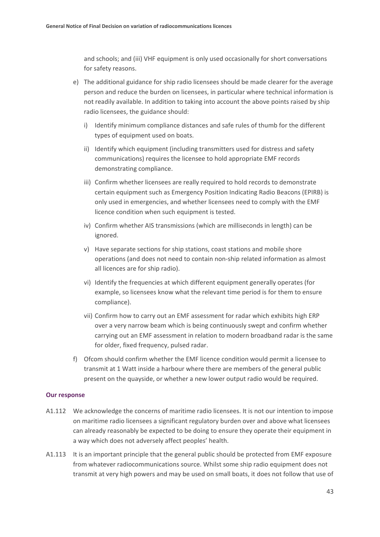and schools; and (iii) VHF equipment is only used occasionally for short conversations for safety reasons.

- e) The additional guidance for ship radio licensees should be made clearer for the average person and reduce the burden on licensees, in particular where technical information is not readily available. In addition to taking into account the above points raised by ship radio licensees, the guidance should:
	- i) Identify minimum compliance distances and safe rules of thumb for the different types of equipment used on boats.
	- ii) Identify which equipment (including transmitters used for distress and safety communications) requires the licensee to hold appropriate EMF records demonstrating compliance.
	- iii) Confirm whether licensees are really required to hold records to demonstrate certain equipment such as Emergency Position Indicating Radio Beacons (EPIRB) is only used in emergencies, and whether licensees need to comply with the EMF licence condition when such equipment is tested.
	- iv) Confirm whether AIS transmissions (which are milliseconds in length) can be ignored.
	- v) Have separate sections for ship stations, coast stations and mobile shore operations (and does not need to contain non-ship related information as almost all licences are for ship radio).
	- vi) Identify the frequencies at which different equipment generally operates (for example, so licensees know what the relevant time period is for them to ensure compliance).
	- vii) Confirm how to carry out an EMF assessment for radar which exhibits high ERP over a very narrow beam which is being continuously swept and confirm whether carrying out an EMF assessment in relation to modern broadband radar is the same for older, fixed frequency, pulsed radar.
- f) Ofcom should confirm whether the EMF licence condition would permit a licensee to transmit at 1 Watt inside a harbour where there are members of the general public present on the quayside, or whether a new lower output radio would be required.

#### **Our response**

- A1.112 We acknowledge the concerns of maritime radio licensees. It is not our intention to impose on maritime radio licensees a significant regulatory burden over and above what licensees can already reasonably be expected to be doing to ensure they operate their equipment in a way which does not adversely affect peoples' health.
- A1.113 It is an important principle that the general public should be protected from EMF exposure from whatever radiocommunications source. Whilst some ship radio equipment does not transmit at very high powers and may be used on small boats, it does not follow that use of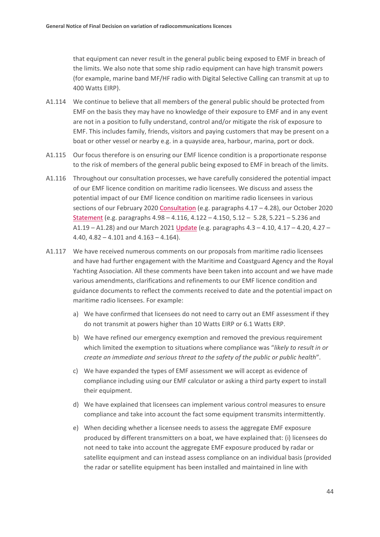that equipment can never result in the general public being exposed to EMF in breach of the limits. We also note that some ship radio equipment can have high transmit powers (for example, marine band MF/HF radio with Digital Selective Calling can transmit at up to 400 Watts EIRP).

- A1.114 We continue to believe that all members of the general public should be protected from EMF on the basis they may have no knowledge of their exposure to EMF and in any event are not in a position to fully understand, control and/or mitigate the risk of exposure to EMF. This includes family, friends, visitors and paying customers that may be present on a boat or other vessel or nearby e.g. in a quayside area, harbour, marina, port or dock.
- A1.115 Our focus therefore is on ensuring our EMF licence condition is a proportionate response to the risk of members of the general public being exposed to EMF in breach of the limits.
- A1.116 Throughout our consultation processes, we have carefully considered the potential impact of our EMF licence condition on maritime radio licensees. We discuss and assess the potential impact of our EMF licence condition on maritime radio licensees in various sections of our February 2020 [Consultation](https://www.ofcom.org.uk/__data/assets/pdf_file/0013/190003/emf-condoc.pdf) (e.g. paragraphs 4.17 - 4.28), our October 2020 [Statement](https://www.ofcom.org.uk/__data/assets/pdf_file/0014/204053/emf-statement.pdf) (e.g. paragraphs 4.98 – 4.116, 4.122 – 4.150, 5.12 – 5.28, 5.221 – 5.236 and A1.19 – A1.28) and our March 2021 [Update](https://www.ofcom.org.uk/__data/assets/pdf_file/0022/214663/emf-implementation-update.pdf) (e.g. paragraphs 4.3 – 4.10, 4.17 – 4.20, 4.27 – 4.40, 4.82 – 4.101 and 4.163 – 4.164).
- A1.117 We have received numerous comments on our proposals from maritime radio licensees and have had further engagement with the Maritime and Coastguard Agency and the Royal Yachting Association. All these comments have been taken into account and we have made various amendments, clarifications and refinements to our EMF licence condition and guidance documents to reflect the comments received to date and the potential impact on maritime radio licensees. For example:
	- a) We have confirmed that licensees do not need to carry out an EMF assessment if they do not transmit at powers higher than 10 Watts EIRP or 6.1 Watts ERP.
	- b) We have refined our emergency exemption and removed the previous requirement which limited the exemption to situations where compliance was "*likely to result in or create an immediate and serious threat to the safety of the public or public health*".
	- c) We have expanded the types of EMF assessment we will accept as evidence of compliance including using our EMF calculator or asking a third party expert to install their equipment.
	- d) We have explained that licensees can implement various control measures to ensure compliance and take into account the fact some equipment transmits intermittently.
	- e) When deciding whether a licensee needs to assess the aggregate EMF exposure produced by different transmitters on a boat, we have explained that: (i) licensees do not need to take into account the aggregate EMF exposure produced by radar or satellite equipment and can instead assess compliance on an individual basis (provided the radar or satellite equipment has been installed and maintained in line with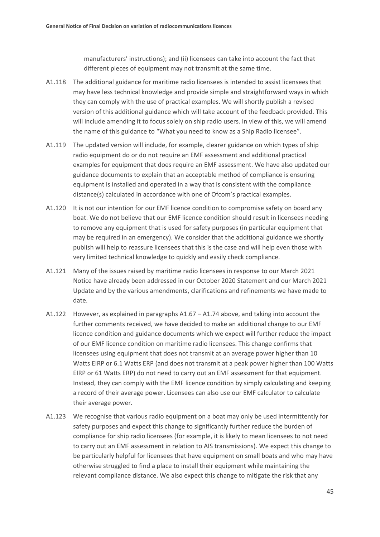manufacturers' instructions); and (ii) licensees can take into account the fact that different pieces of equipment may not transmit at the same time.

- A1.118 The additional guidance for maritime radio licensees is intended to assist licensees that may have less technical knowledge and provide simple and straightforward ways in which they can comply with the use of practical examples. We will shortly publish a revised version of this additional guidance which will take account of the feedback provided. This will include amending it to focus solely on ship radio users. In view of this, we will amend the name of this guidance to "What you need to know as a Ship Radio licensee".
- A1.119 The updated version will include, for example, clearer guidance on which types of ship radio equipment do or do not require an EMF assessment and additional practical examples for equipment that does require an EMF assessment. We have also updated our guidance documents to explain that an acceptable method of compliance is ensuring equipment is installed and operated in a way that is consistent with the compliance distance(s) calculated in accordance with one of Ofcom's practical examples.
- A1.120 It is not our intention for our EMF licence condition to compromise safety on board any boat. We do not believe that our EMF licence condition should result in licensees needing to remove any equipment that is used for safety purposes (in particular equipment that may be required in an emergency). We consider that the additional guidance we shortly publish will help to reassure licensees that this is the case and will help even those with very limited technical knowledge to quickly and easily check compliance.
- A1.121 Many of the issues raised by maritime radio licensees in response to our March 2021 Notice have already been addressed in our October 2020 Statement and our March 2021 Update and by the various amendments, clarifications and refinements we have made to date.
- A1.122 However, as explained in paragraphs A1.67 A1.74 above, and taking into account the further comments received, we have decided to make an additional change to our EMF licence condition and guidance documents which we expect will further reduce the impact of our EMF licence condition on maritime radio licensees. This change confirms that licensees using equipment that does not transmit at an average power higher than 10 Watts EIRP or 6.1 Watts ERP (and does not transmit at a peak power higher than 100 Watts EIRP or 61 Watts ERP) do not need to carry out an EMF assessment for that equipment. Instead, they can comply with the EMF licence condition by simply calculating and keeping a record of their average power. Licensees can also use our EMF calculator to calculate their average power.
- A1.123 We recognise that various radio equipment on a boat may only be used intermittently for safety purposes and expect this change to significantly further reduce the burden of compliance for ship radio licensees (for example, it is likely to mean licensees to not need to carry out an EMF assessment in relation to AIS transmissions). We expect this change to be particularly helpful for licensees that have equipment on small boats and who may have otherwise struggled to find a place to install their equipment while maintaining the relevant compliance distance. We also expect this change to mitigate the risk that any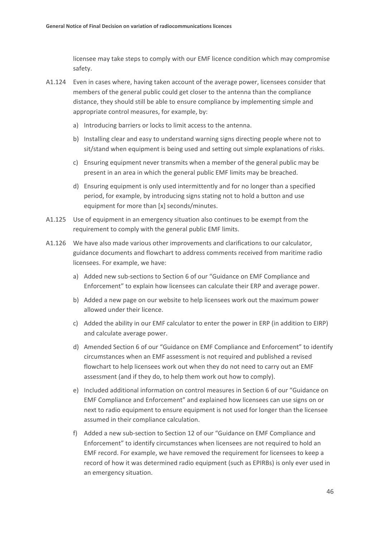licensee may take steps to comply with our EMF licence condition which may compromise safety.

- A1.124 Even in cases where, having taken account of the average power, licensees consider that members of the general public could get closer to the antenna than the compliance distance, they should still be able to ensure compliance by implementing simple and appropriate control measures, for example, by:
	- a) Introducing barriers or locks to limit access to the antenna.
	- b) Installing clear and easy to understand warning signs directing people where not to sit/stand when equipment is being used and setting out simple explanations of risks.
	- c) Ensuring equipment never transmits when a member of the general public may be present in an area in which the general public EMF limits may be breached.
	- d) Ensuring equipment is only used intermittently and for no longer than a specified period, for example, by introducing signs stating not to hold a button and use equipment for more than [x] seconds/minutes.
- A1.125 Use of equipment in an emergency situation also continues to be exempt from the requirement to comply with the general public EMF limits.
- A1.126 We have also made various other improvements and clarifications to our calculator, guidance documents and flowchart to address comments received from maritime radio licensees. For example, we have:
	- a) Added new sub-sections to Section 6 of our "Guidance on EMF Compliance and Enforcement" to explain how licensees can calculate their ERP and average power.
	- b) Added a new page on our website to help licensees work out the maximum power allowed under their licence.
	- c) Added the ability in our EMF calculator to enter the power in ERP (in addition to EIRP) and calculate average power.
	- d) Amended Section 6 of our "Guidance on EMF Compliance and Enforcement" to identify circumstances when an EMF assessment is not required and published a revised flowchart to help licensees work out when they do not need to carry out an EMF assessment (and if they do, to help them work out how to comply).
	- e) Included additional information on control measures in Section 6 of our "Guidance on EMF Compliance and Enforcement" and explained how licensees can use signs on or next to radio equipment to ensure equipment is not used for longer than the licensee assumed in their compliance calculation.
	- f) Added a new sub-section to Section 12 of our "Guidance on EMF Compliance and Enforcement" to identify circumstances when licensees are not required to hold an EMF record. For example, we have removed the requirement for licensees to keep a record of how it was determined radio equipment (such as EPIRBs) is only ever used in an emergency situation.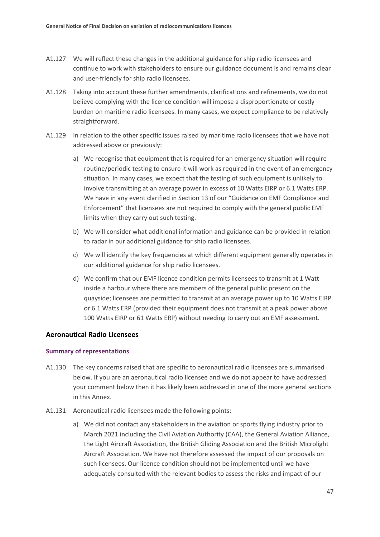- A1.127 We will reflect these changes in the additional guidance for ship radio licensees and continue to work with stakeholders to ensure our guidance document is and remains clear and user-friendly for ship radio licensees.
- A1.128 Taking into account these further amendments, clarifications and refinements, we do not believe complying with the licence condition will impose a disproportionate or costly burden on maritime radio licensees. In many cases, we expect compliance to be relatively straightforward.
- A1.129 In relation to the other specific issues raised by maritime radio licensees that we have not addressed above or previously:
	- a) We recognise that equipment that is required for an emergency situation will require routine/periodic testing to ensure it will work as required in the event of an emergency situation. In many cases, we expect that the testing of such equipment is unlikely to involve transmitting at an average power in excess of 10 Watts EIRP or 6.1 Watts ERP. We have in any event clarified in Section 13 of our "Guidance on EMF Compliance and Enforcement" that licensees are not required to comply with the general public EMF limits when they carry out such testing.
	- b) We will consider what additional information and guidance can be provided in relation to radar in our additional guidance for ship radio licensees.
	- c) We will identify the key frequencies at which different equipment generally operates in our additional guidance for ship radio licensees.
	- d) We confirm that our EMF licence condition permits licensees to transmit at 1 Watt inside a harbour where there are members of the general public present on the quayside; licensees are permitted to transmit at an average power up to 10 Watts EIRP or 6.1 Watts ERP (provided their equipment does not transmit at a peak power above 100 Watts EIRP or 61 Watts ERP) without needing to carry out an EMF assessment.

#### **Aeronautical Radio Licensees**

#### **Summary of representations**

- A1.130 The key concerns raised that are specific to aeronautical radio licensees are summarised below. If you are an aeronautical radio licensee and we do not appear to have addressed your comment below then it has likely been addressed in one of the more general sections in this Annex.
- A1.131 Aeronautical radio licensees made the following points:
	- a) We did not contact any stakeholders in the aviation or sports flying industry prior to March 2021 including the Civil Aviation Authority (CAA), the General Aviation Alliance, the Light Aircraft Association, the British Gliding Association and the British Microlight Aircraft Association. We have not therefore assessed the impact of our proposals on such licensees. Our licence condition should not be implemented until we have adequately consulted with the relevant bodies to assess the risks and impact of our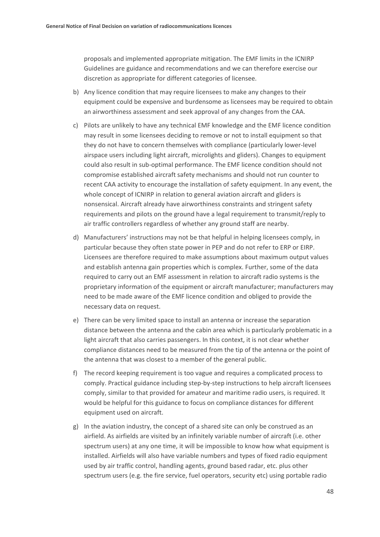proposals and implemented appropriate mitigation. The EMF limits in the ICNIRP Guidelines are guidance and recommendations and we can therefore exercise our discretion as appropriate for different categories of licensee.

- b) Any licence condition that may require licensees to make any changes to their equipment could be expensive and burdensome as licensees may be required to obtain an airworthiness assessment and seek approval of any changes from the CAA.
- c) Pilots are unlikely to have any technical EMF knowledge and the EMF licence condition may result in some licensees deciding to remove or not to install equipment so that they do not have to concern themselves with compliance (particularly lower-level airspace users including light aircraft, microlights and gliders). Changes to equipment could also result in sub-optimal performance. The EMF licence condition should not compromise established aircraft safety mechanisms and should not run counter to recent CAA activity to encourage the installation of safety equipment. In any event, the whole concept of ICNIRP in relation to general aviation aircraft and gliders is nonsensical. Aircraft already have airworthiness constraints and stringent safety requirements and pilots on the ground have a legal requirement to transmit/reply to air traffic controllers regardless of whether any ground staff are nearby.
- d) Manufacturers' instructions may not be that helpful in helping licensees comply, in particular because they often state power in PEP and do not refer to ERP or EIRP. Licensees are therefore required to make assumptions about maximum output values and establish antenna gain properties which is complex. Further, some of the data required to carry out an EMF assessment in relation to aircraft radio systems is the proprietary information of the equipment or aircraft manufacturer; manufacturers may need to be made aware of the EMF licence condition and obliged to provide the necessary data on request.
- e) There can be very limited space to install an antenna or increase the separation distance between the antenna and the cabin area which is particularly problematic in a light aircraft that also carries passengers. In this context, it is not clear whether compliance distances need to be measured from the tip of the antenna or the point of the antenna that was closest to a member of the general public.
- f) The record keeping requirement is too vague and requires a complicated process to comply. Practical guidance including step-by-step instructions to help aircraft licensees comply, similar to that provided for amateur and maritime radio users, is required. It would be helpful for this guidance to focus on compliance distances for different equipment used on aircraft.
- g) In the aviation industry, the concept of a shared site can only be construed as an airfield. As airfields are visited by an infinitely variable number of aircraft (i.e. other spectrum users) at any one time, it will be impossible to know how what equipment is installed. Airfields will also have variable numbers and types of fixed radio equipment used by air traffic control, handling agents, ground based radar, etc. plus other spectrum users (e.g. the fire service, fuel operators, security etc) using portable radio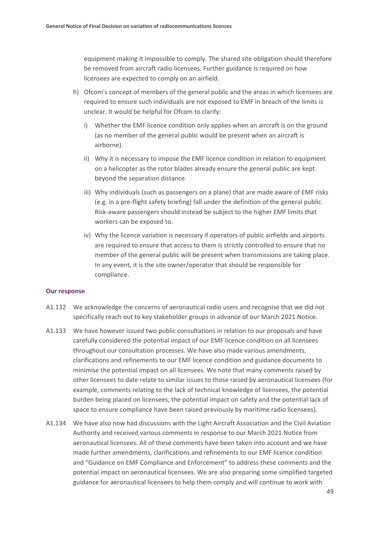equipment making it impossible to comply. The shared site obligation should therefore be removed from aircraft radio licensees. Further guidance is required on how licensees are expected to comply on an airfield.

- h) Ofcom's concept of members of the general public and the areas in which licensees are required to ensure such individuals are not exposed to EMF in breach of the limits is unclear. It would be helpful for Ofcom to clarify:
	- i) Whether the EMF licence condition only applies when an aircraft is on the ground (as no member of the general public would be present when an aircraft is airborne).
	- ii) Why it is necessary to impose the EMF licence condition in relation to equipment on a helicopter as the rotor blades already ensure the general public are kept beyond the separation distance.
	- iii) Why individuals (such as passengers on a plane) that are made aware of EMF risks (e.g. in a pre-flight safety briefing) fall under the definition of the general public. Risk-aware passengers should instead be subject to the higher EMF limits that workers can be exposed to.
	- iv) Why the licence variation is necessary if operators of public airfields and airports are required to ensure that access to them is strictly controlled to ensure that no member of the general public will be present when transmissions are taking place. In any event, it is the site owner/operator that should be responsible for compliance.

#### **Our response**

- A1.132 We acknowledge the concerns of aeronautical radio users and recognise that we did not specifically reach out to key stakeholder groups in advance of our March 2021 Notice.
- A1.133 We have however issued two public consultations in relation to our proposals and have carefully considered the potential impact of our EMF licence condition on all licensees throughout our consultation processes. We have also made various amendments, clarifications and refinements to our EMF licence condition and guidance documents to minimise the potential impact on all licensees. We note that many comments raised by other licensees to date relate to similar issues to those raised by aeronautical licensees (for example, comments relating to the lack of technical knowledge of licensees, the potential burden being placed on licensees, the potential impact on safety and the potential lack of space to ensure compliance have been raised previously by maritime radio licensees).
- A1.134 We have also now had discussions with the Light Aircraft Association and the Civil Aviation Authority and received various comments in response to our March 2021 Notice from aeronautical licensees. All of these comments have been taken into account and we have made further amendments, clarifications and refinements to our EMF licence condition and "Guidance on EMF Compliance and Enforcement" to address these comments and the potential impact on aeronautical licensees. We are also preparing some simplified targeted guidance for aeronautical licensees to help them comply and will continue to work with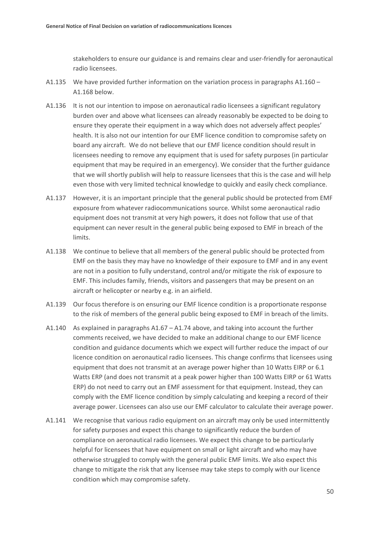stakeholders to ensure our guidance is and remains clear and user-friendly for aeronautical radio licensees.

- A1.135 We have provided further information on the variation process in paragraphs A1.160 A1.168 below.
- A1.136 It is not our intention to impose on aeronautical radio licensees a significant regulatory burden over and above what licensees can already reasonably be expected to be doing to ensure they operate their equipment in a way which does not adversely affect peoples' health. It is also not our intention for our EMF licence condition to compromise safety on board any aircraft. We do not believe that our EMF licence condition should result in licensees needing to remove any equipment that is used for safety purposes (in particular equipment that may be required in an emergency). We consider that the further guidance that we will shortly publish will help to reassure licensees that this is the case and will help even those with very limited technical knowledge to quickly and easily check compliance.
- A1.137 However, it is an important principle that the general public should be protected from EMF exposure from whatever radiocommunications source. Whilst some aeronautical radio equipment does not transmit at very high powers, it does not follow that use of that equipment can never result in the general public being exposed to EMF in breach of the limits.
- A1.138 We continue to believe that all members of the general public should be protected from EMF on the basis they may have no knowledge of their exposure to EMF and in any event are not in a position to fully understand, control and/or mitigate the risk of exposure to EMF. This includes family, friends, visitors and passengers that may be present on an aircraft or helicopter or nearby e.g. in an airfield.
- A1.139 Our focus therefore is on ensuring our EMF licence condition is a proportionate response to the risk of members of the general public being exposed to EMF in breach of the limits.
- A1.140 As explained in paragraphs A1.67 A1.74 above, and taking into account the further comments received, we have decided to make an additional change to our EMF licence condition and guidance documents which we expect will further reduce the impact of our licence condition on aeronautical radio licensees. This change confirms that licensees using equipment that does not transmit at an average power higher than 10 Watts EIRP or 6.1 Watts ERP (and does not transmit at a peak power higher than 100 Watts EIRP or 61 Watts ERP) do not need to carry out an EMF assessment for that equipment. Instead, they can comply with the EMF licence condition by simply calculating and keeping a record of their average power. Licensees can also use our EMF calculator to calculate their average power.
- A1.141 We recognise that various radio equipment on an aircraft may only be used intermittently for safety purposes and expect this change to significantly reduce the burden of compliance on aeronautical radio licensees. We expect this change to be particularly helpful for licensees that have equipment on small or light aircraft and who may have otherwise struggled to comply with the general public EMF limits. We also expect this change to mitigate the risk that any licensee may take steps to comply with our licence condition which may compromise safety.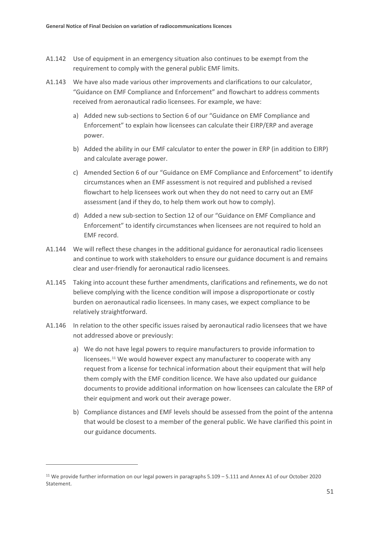- A1.142 Use of equipment in an emergency situation also continues to be exempt from the requirement to comply with the general public EMF limits.
- A1.143 We have also made various other improvements and clarifications to our calculator, "Guidance on EMF Compliance and Enforcement" and flowchart to address comments received from aeronautical radio licensees. For example, we have:
	- a) Added new sub-sections to Section 6 of our "Guidance on EMF Compliance and Enforcement" to explain how licensees can calculate their EIRP/ERP and average power.
	- b) Added the ability in our EMF calculator to enter the power in ERP (in addition to EIRP) and calculate average power.
	- c) Amended Section 6 of our "Guidance on EMF Compliance and Enforcement" to identify circumstances when an EMF assessment is not required and published a revised flowchart to help licensees work out when they do not need to carry out an EMF assessment (and if they do, to help them work out how to comply).
	- d) Added a new sub-section to Section 12 of our "Guidance on EMF Compliance and Enforcement" to identify circumstances when licensees are not required to hold an EMF record.
- A1.144 We will reflect these changes in the additional guidance for aeronautical radio licensees and continue to work with stakeholders to ensure our guidance document is and remains clear and user-friendly for aeronautical radio licensees.
- A1.145 Taking into account these further amendments, clarifications and refinements, we do not believe complying with the licence condition will impose a disproportionate or costly burden on aeronautical radio licensees. In many cases, we expect compliance to be relatively straightforward.
- A1.146 In relation to the other specific issues raised by aeronautical radio licensees that we have not addressed above or previously:
	- a) We do not have legal powers to require manufacturers to provide information to licensees.[11](#page-52-0) We would however expect any manufacturer to cooperate with any request from a license for technical information about their equipment that will help them comply with the EMF condition licence. We have also updated our guidance documents to provide additional information on how licensees can calculate the ERP of their equipment and work out their average power.
	- b) Compliance distances and EMF levels should be assessed from the point of the antenna that would be closest to a member of the general public. We have clarified this point in our guidance documents.

<span id="page-52-0"></span><sup>11</sup> We provide further information on our legal powers in paragraphs 5.109 – 5.111 and Annex A1 of our October 2020 Statement.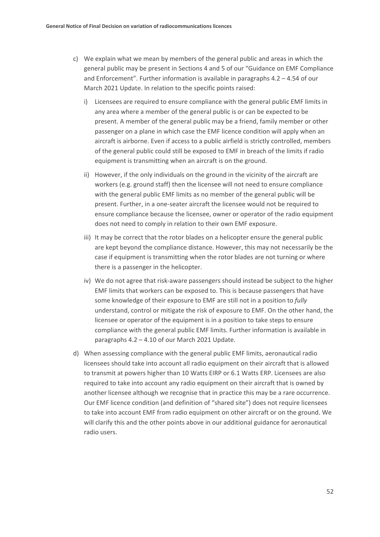- c) We explain what we mean by members of the general public and areas in which the general public may be present in Sections 4 and 5 of our "Guidance on EMF Compliance and Enforcement". Further information is available in paragraphs 4.2 – 4.54 of our March 2021 Update. In relation to the specific points raised:
	- i) Licensees are required to ensure compliance with the general public EMF limits in any area where a member of the general public is or can be expected to be present. A member of the general public may be a friend, family member or other passenger on a plane in which case the EMF licence condition will apply when an aircraft is airborne. Even if access to a public airfield is strictly controlled, members of the general public could still be exposed to EMF in breach of the limits if radio equipment is transmitting when an aircraft is on the ground.
	- ii) However, if the only individuals on the ground in the vicinity of the aircraft are workers (e.g. ground staff) then the licensee will not need to ensure compliance with the general public EMF limits as no member of the general public will be present. Further, in a one-seater aircraft the licensee would not be required to ensure compliance because the licensee, owner or operator of the radio equipment does not need to comply in relation to their own EMF exposure.
	- iii) It may be correct that the rotor blades on a helicopter ensure the general public are kept beyond the compliance distance. However, this may not necessarily be the case if equipment is transmitting when the rotor blades are not turning or where there is a passenger in the helicopter.
	- iv) We do not agree that risk-aware passengers should instead be subject to the higher EMF limits that workers can be exposed to. This is because passengers that have some knowledge of their exposure to EMF are still not in a position to *fully* understand, control or mitigate the risk of exposure to EMF. On the other hand, the licensee or operator of the equipment is in a position to take steps to ensure compliance with the general public EMF limits. Further information is available in paragraphs 4.2 – 4.10 of our March 2021 Update.
- d) When assessing compliance with the general public EMF limits, aeronautical radio licensees should take into account all radio equipment on their aircraft that is allowed to transmit at powers higher than 10 Watts EIRP or 6.1 Watts ERP. Licensees are also required to take into account any radio equipment on their aircraft that is owned by another licensee although we recognise that in practice this may be a rare occurrence. Our EMF licence condition (and definition of "shared site") does not require licensees to take into account EMF from radio equipment on other aircraft or on the ground. We will clarify this and the other points above in our additional guidance for aeronautical radio users.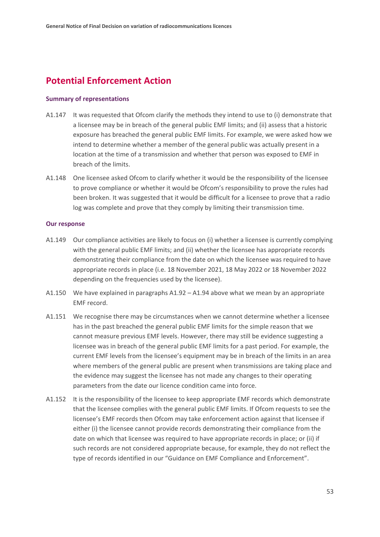## **Potential Enforcement Action**

#### **Summary of representations**

- A1.147 It was requested that Ofcom clarify the methods they intend to use to (i) demonstrate that a licensee may be in breach of the general public EMF limits; and (ii) assess that a historic exposure has breached the general public EMF limits. For example, we were asked how we intend to determine whether a member of the general public was actually present in a location at the time of a transmission and whether that person was exposed to EMF in breach of the limits.
- A1.148 One licensee asked Ofcom to clarify whether it would be the responsibility of the licensee to prove compliance or whether it would be Ofcom's responsibility to prove the rules had been broken. It was suggested that it would be difficult for a licensee to prove that a radio log was complete and prove that they comply by limiting their transmission time.

#### **Our response**

- A1.149 Our compliance activities are likely to focus on (i) whether a licensee is currently complying with the general public EMF limits; and (ii) whether the licensee has appropriate records demonstrating their compliance from the date on which the licensee was required to have appropriate records in place (i.e. 18 November 2021, 18 May 2022 or 18 November 2022 depending on the frequencies used by the licensee).
- A1.150 We have explained in paragraphs A1.92 A1.94 above what we mean by an appropriate EMF record.
- A1.151 We recognise there may be circumstances when we cannot determine whether a licensee has in the past breached the general public EMF limits for the simple reason that we cannot measure previous EMF levels. However, there may still be evidence suggesting a licensee was in breach of the general public EMF limits for a past period. For example, the current EMF levels from the licensee's equipment may be in breach of the limits in an area where members of the general public are present when transmissions are taking place and the evidence may suggest the licensee has not made any changes to their operating parameters from the date our licence condition came into force.
- A1.152 It is the responsibility of the licensee to keep appropriate EMF records which demonstrate that the licensee complies with the general public EMF limits. If Ofcom requests to see the licensee's EMF records then Ofcom may take enforcement action against that licensee if either (i) the licensee cannot provide records demonstrating their compliance from the date on which that licensee was required to have appropriate records in place; or (ii) if such records are not considered appropriate because, for example, they do not reflect the type of records identified in our "Guidance on EMF Compliance and Enforcement".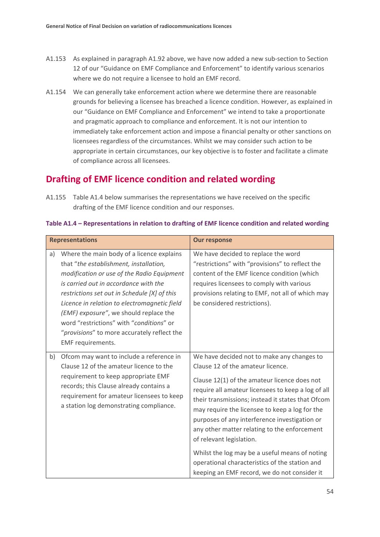- A1.153 As explained in paragraph A1.92 above, we have now added a new sub-section to Section 12 of our "Guidance on EMF Compliance and Enforcement" to identify various scenarios where we do not require a licensee to hold an EMF record.
- A1.154 We can generally take enforcement action where we determine there are reasonable grounds for believing a licensee has breached a licence condition. However, as explained in our "Guidance on EMF Compliance and Enforcement" we intend to take a proportionate and pragmatic approach to compliance and enforcement. It is not our intention to immediately take enforcement action and impose a financial penalty or other sanctions on licensees regardless of the circumstances. Whilst we may consider such action to be appropriate in certain circumstances, our key objective is to foster and facilitate a climate of compliance across all licensees.

## **Drafting of EMF licence condition and related wording**

A1.155 Table A1.4 below summarises the representations we have received on the specific drafting of the EMF licence condition and our responses.

|    | <b>Representations</b>                                                                                                                                                                                                                                                                                                                                                                                                               | <b>Our response</b>                                                                                                                                                                                                                                                                                                                                                                                                                                                                                                                                                           |
|----|--------------------------------------------------------------------------------------------------------------------------------------------------------------------------------------------------------------------------------------------------------------------------------------------------------------------------------------------------------------------------------------------------------------------------------------|-------------------------------------------------------------------------------------------------------------------------------------------------------------------------------------------------------------------------------------------------------------------------------------------------------------------------------------------------------------------------------------------------------------------------------------------------------------------------------------------------------------------------------------------------------------------------------|
| a) | Where the main body of a licence explains<br>that "the establishment, installation,<br>modification or use of the Radio Equipment<br>is carried out in accordance with the<br>restrictions set out in Schedule [X] of this<br>Licence in relation to electromagnetic field<br>(EMF) exposure", we should replace the<br>word "restrictions" with "conditions" or<br>"provisions" to more accurately reflect the<br>EMF requirements. | We have decided to replace the word<br>"restrictions" with "provisions" to reflect the<br>content of the EMF licence condition (which<br>requires licensees to comply with various<br>provisions relating to EMF, not all of which may<br>be considered restrictions).                                                                                                                                                                                                                                                                                                        |
| b) | Ofcom may want to include a reference in<br>Clause 12 of the amateur licence to the<br>requirement to keep appropriate EMF<br>records; this Clause already contains a<br>requirement for amateur licensees to keep<br>a station log demonstrating compliance.                                                                                                                                                                        | We have decided not to make any changes to<br>Clause 12 of the amateur licence.<br>Clause 12(1) of the amateur licence does not<br>require all amateur licensees to keep a log of all<br>their transmissions; instead it states that Ofcom<br>may require the licensee to keep a log for the<br>purposes of any interference investigation or<br>any other matter relating to the enforcement<br>of relevant legislation.<br>Whilst the log may be a useful means of noting<br>operational characteristics of the station and<br>keeping an EMF record, we do not consider it |

#### **Table A1.4 – Representations in relation to drafting of EMF licence condition and related wording**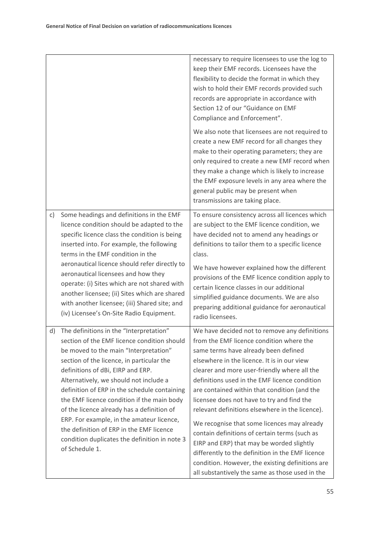|    |                                                                                                                                                                                                                                                                                                                                                                                                                                                                                                                                                                     | necessary to require licensees to use the log to<br>keep their EMF records. Licensees have the<br>flexibility to decide the format in which they<br>wish to hold their EMF records provided such<br>records are appropriate in accordance with<br>Section 12 of our "Guidance on EMF<br>Compliance and Enforcement".                                                                                                                                                                                                                                                                                                                                                                                                                       |
|----|---------------------------------------------------------------------------------------------------------------------------------------------------------------------------------------------------------------------------------------------------------------------------------------------------------------------------------------------------------------------------------------------------------------------------------------------------------------------------------------------------------------------------------------------------------------------|--------------------------------------------------------------------------------------------------------------------------------------------------------------------------------------------------------------------------------------------------------------------------------------------------------------------------------------------------------------------------------------------------------------------------------------------------------------------------------------------------------------------------------------------------------------------------------------------------------------------------------------------------------------------------------------------------------------------------------------------|
|    |                                                                                                                                                                                                                                                                                                                                                                                                                                                                                                                                                                     | We also note that licensees are not required to<br>create a new EMF record for all changes they<br>make to their operating parameters; they are<br>only required to create a new EMF record when<br>they make a change which is likely to increase<br>the EMF exposure levels in any area where the<br>general public may be present when<br>transmissions are taking place.                                                                                                                                                                                                                                                                                                                                                               |
| c) | Some headings and definitions in the EMF<br>licence condition should be adapted to the<br>specific licence class the condition is being<br>inserted into. For example, the following<br>terms in the EMF condition in the<br>aeronautical licence should refer directly to<br>aeronautical licensees and how they<br>operate: (i) Sites which are not shared with<br>another licensee; (ii) Sites which are shared<br>with another licensee; (iii) Shared site; and<br>(iv) Licensee's On-Site Radio Equipment.                                                     | To ensure consistency across all licences which<br>are subject to the EMF licence condition, we<br>have decided not to amend any headings or<br>definitions to tailor them to a specific licence<br>class.<br>We have however explained how the different<br>provisions of the EMF licence condition apply to<br>certain licence classes in our additional<br>simplified guidance documents. We are also<br>preparing additional guidance for aeronautical<br>radio licensees.                                                                                                                                                                                                                                                             |
| d) | The definitions in the "Interpretation"<br>section of the EMF licence condition should<br>be moved to the main "Interpretation"<br>section of the licence, in particular the<br>definitions of dBi, EIRP and ERP.<br>Alternatively, we should not include a<br>definition of ERP in the schedule containing<br>the EMF licence condition if the main body<br>of the licence already has a definition of<br>ERP. For example, in the amateur licence,<br>the definition of ERP in the EMF licence<br>condition duplicates the definition in note 3<br>of Schedule 1. | We have decided not to remove any definitions<br>from the EMF licence condition where the<br>same terms have already been defined<br>elsewhere in the licence. It is in our view<br>clearer and more user-friendly where all the<br>definitions used in the EMF licence condition<br>are contained within that condition (and the<br>licensee does not have to try and find the<br>relevant definitions elsewhere in the licence).<br>We recognise that some licences may already<br>contain definitions of certain terms (such as<br>EIRP and ERP) that may be worded slightly<br>differently to the definition in the EMF licence<br>condition. However, the existing definitions are<br>all substantively the same as those used in the |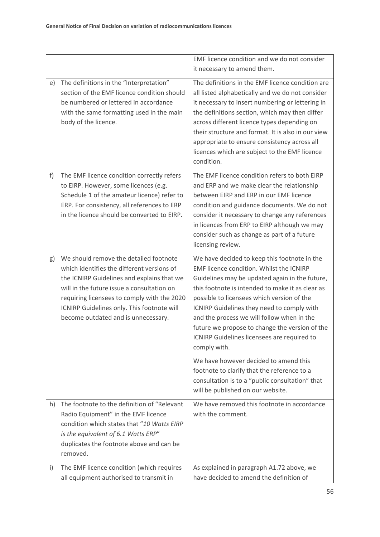|    |                                                                                                                                                                                                                                                                                                                      | EMF licence condition and we do not consider<br>it necessary to amend them.                                                                                                                                                                                                                                                                                                                                                                                                                        |
|----|----------------------------------------------------------------------------------------------------------------------------------------------------------------------------------------------------------------------------------------------------------------------------------------------------------------------|----------------------------------------------------------------------------------------------------------------------------------------------------------------------------------------------------------------------------------------------------------------------------------------------------------------------------------------------------------------------------------------------------------------------------------------------------------------------------------------------------|
| e) | The definitions in the "Interpretation"<br>section of the EMF licence condition should<br>be numbered or lettered in accordance<br>with the same formatting used in the main<br>body of the licence.                                                                                                                 | The definitions in the EMF licence condition are<br>all listed alphabetically and we do not consider<br>it necessary to insert numbering or lettering in<br>the definitions section, which may then differ<br>across different licence types depending on<br>their structure and format. It is also in our view<br>appropriate to ensure consistency across all<br>licences which are subject to the EMF licence<br>condition.                                                                     |
| f) | The EMF licence condition correctly refers<br>to EIRP. However, some licences (e.g.<br>Schedule 1 of the amateur licence) refer to<br>ERP. For consistency, all references to ERP<br>in the licence should be converted to EIRP.                                                                                     | The EMF licence condition refers to both EIRP<br>and ERP and we make clear the relationship<br>between EIRP and ERP in our EMF licence<br>condition and guidance documents. We do not<br>consider it necessary to change any references<br>in licences from ERP to EIRP although we may<br>consider such as change as part of a future<br>licensing review.                                                                                                                                        |
| g) | We should remove the detailed footnote<br>which identifies the different versions of<br>the ICNIRP Guidelines and explains that we<br>will in the future issue a consultation on<br>requiring licensees to comply with the 2020<br>ICNIRP Guidelines only. This footnote will<br>become outdated and is unnecessary. | We have decided to keep this footnote in the<br>EMF licence condition. Whilst the ICNIRP<br>Guidelines may be updated again in the future,<br>this footnote is intended to make it as clear as<br>possible to licensees which version of the<br>ICNIRP Guidelines they need to comply with<br>and the process we will follow when in the<br>future we propose to change the version of the<br>ICNIRP Guidelines licensees are required to<br>comply with.<br>We have however decided to amend this |
|    |                                                                                                                                                                                                                                                                                                                      | footnote to clarify that the reference to a<br>consultation is to a "public consultation" that<br>will be published on our website.                                                                                                                                                                                                                                                                                                                                                                |
| h) | The footnote to the definition of "Relevant<br>Radio Equipment" in the EMF licence<br>condition which states that "10 Watts EIRP<br>is the equivalent of 6.1 Watts ERP"<br>duplicates the footnote above and can be<br>removed.                                                                                      | We have removed this footnote in accordance<br>with the comment.                                                                                                                                                                                                                                                                                                                                                                                                                                   |
| i) | The EMF licence condition (which requires<br>all equipment authorised to transmit in                                                                                                                                                                                                                                 | As explained in paragraph A1.72 above, we<br>have decided to amend the definition of                                                                                                                                                                                                                                                                                                                                                                                                               |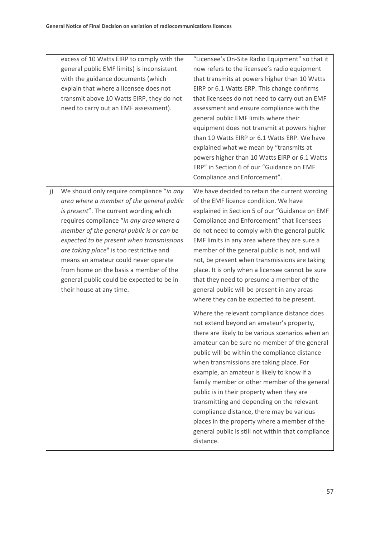| excess of 10 Watts EIRP to comply with the<br>general public EMF limits) is inconsistent<br>with the guidance documents (which<br>explain that where a licensee does not<br>transmit above 10 Watts EIRP, they do not<br>need to carry out an EMF assessment).                                                                                                                                                                                                                      | "Licensee's On-Site Radio Equipment" so that it<br>now refers to the licensee's radio equipment<br>that transmits at powers higher than 10 Watts<br>EIRP or 6.1 Watts ERP. This change confirms<br>that licensees do not need to carry out an EMF<br>assessment and ensure compliance with the<br>general public EMF limits where their<br>equipment does not transmit at powers higher<br>than 10 Watts EIRP or 6.1 Watts ERP. We have<br>explained what we mean by "transmits at<br>powers higher than 10 Watts EIRP or 6.1 Watts<br>ERP" in Section 6 of our "Guidance on EMF<br>Compliance and Enforcement".                                  |
|-------------------------------------------------------------------------------------------------------------------------------------------------------------------------------------------------------------------------------------------------------------------------------------------------------------------------------------------------------------------------------------------------------------------------------------------------------------------------------------|---------------------------------------------------------------------------------------------------------------------------------------------------------------------------------------------------------------------------------------------------------------------------------------------------------------------------------------------------------------------------------------------------------------------------------------------------------------------------------------------------------------------------------------------------------------------------------------------------------------------------------------------------|
| We should only require compliance "in any<br>j)<br>area where a member of the general public<br>is present". The current wording which<br>requires compliance "in any area where a<br>member of the general public is or can be<br>expected to be present when transmissions<br>are taking place" is too restrictive and<br>means an amateur could never operate<br>from home on the basis a member of the<br>general public could be expected to be in<br>their house at any time. | We have decided to retain the current wording<br>of the EMF licence condition. We have<br>explained in Section 5 of our "Guidance on EMF<br>Compliance and Enforcement" that licensees<br>do not need to comply with the general public<br>EMF limits in any area where they are sure a<br>member of the general public is not, and will<br>not, be present when transmissions are taking<br>place. It is only when a licensee cannot be sure<br>that they need to presume a member of the<br>general public will be present in any areas<br>where they can be expected to be present.                                                            |
|                                                                                                                                                                                                                                                                                                                                                                                                                                                                                     | Where the relevant compliance distance does<br>not extend beyond an amateur's property,<br>there are likely to be various scenarios when an<br>amateur can be sure no member of the general<br>public will be within the compliance distance<br>when transmissions are taking place. For<br>example, an amateur is likely to know if a<br>family member or other member of the general<br>public is in their property when they are<br>transmitting and depending on the relevant<br>compliance distance, there may be various<br>places in the property where a member of the<br>general public is still not within that compliance<br>distance. |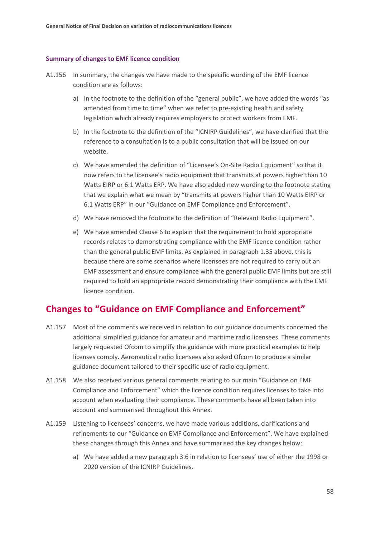#### **Summary of changes to EMF licence condition**

- A1.156 In summary, the changes we have made to the specific wording of the EMF licence condition are as follows:
	- a) In the footnote to the definition of the "general public", we have added the words "as amended from time to time" when we refer to pre-existing health and safety legislation which already requires employers to protect workers from EMF.
	- b) In the footnote to the definition of the "ICNIRP Guidelines", we have clarified that the reference to a consultation is to a public consultation that will be issued on our website.
	- c) We have amended the definition of "Licensee's On-Site Radio Equipment" so that it now refers to the licensee's radio equipment that transmits at powers higher than 10 Watts EIRP or 6.1 Watts ERP. We have also added new wording to the footnote stating that we explain what we mean by "transmits at powers higher than 10 Watts EIRP or 6.1 Watts ERP" in our "Guidance on EMF Compliance and Enforcement".
	- d) We have removed the footnote to the definition of "Relevant Radio Equipment".
	- e) We have amended Clause 6 to explain that the requirement to hold appropriate records relates to demonstrating compliance with the EMF licence condition rather than the general public EMF limits. As explained in paragraph 1.35 above, this is because there are some scenarios where licensees are not required to carry out an EMF assessment and ensure compliance with the general public EMF limits but are still required to hold an appropriate record demonstrating their compliance with the EMF licence condition.

## **Changes to "Guidance on EMF Compliance and Enforcement"**

- A1.157 Most of the comments we received in relation to our guidance documents concerned the additional simplified guidance for amateur and maritime radio licensees. These comments largely requested Ofcom to simplify the guidance with more practical examples to help licenses comply. Aeronautical radio licensees also asked Ofcom to produce a similar guidance document tailored to their specific use of radio equipment.
- A1.158 We also received various general comments relating to our main "Guidance on EMF Compliance and Enforcement" which the licence condition requires licenses to take into account when evaluating their compliance. These comments have all been taken into account and summarised throughout this Annex.
- A1.159 Listening to licensees' concerns, we have made various additions, clarifications and refinements to our "Guidance on EMF Compliance and Enforcement". We have explained these changes through this Annex and have summarised the key changes below:
	- a) We have added a new paragraph 3.6 in relation to licensees' use of either the 1998 or 2020 version of the ICNIRP Guidelines.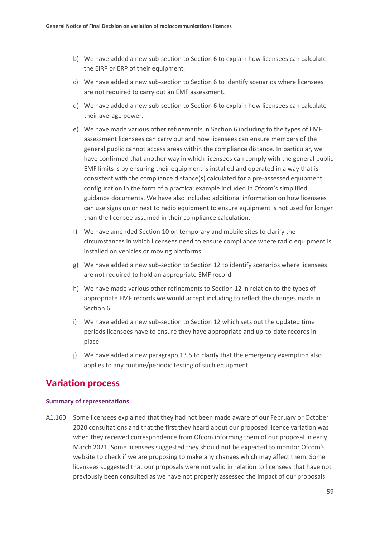- b) We have added a new sub-section to Section 6 to explain how licensees can calculate the EIRP or ERP of their equipment.
- c) We have added a new sub-section to Section 6 to identify scenarios where licensees are not required to carry out an EMF assessment.
- d) We have added a new sub-section to Section 6 to explain how licensees can calculate their average power.
- e) We have made various other refinements in Section 6 including to the types of EMF assessment licensees can carry out and how licensees can ensure members of the general public cannot access areas within the compliance distance. In particular, we have confirmed that another way in which licensees can comply with the general public EMF limits is by ensuring their equipment is installed and operated in a way that is consistent with the compliance distance(s) calculated for a pre-assessed equipment configuration in the form of a practical example included in Ofcom's simplified guidance documents. We have also included additional information on how licensees can use signs on or next to radio equipment to ensure equipment is not used for longer than the licensee assumed in their compliance calculation.
- f) We have amended Section 10 on temporary and mobile sites to clarify the circumstances in which licensees need to ensure compliance where radio equipment is installed on vehicles or moving platforms.
- g) We have added a new sub-section to Section 12 to identify scenarios where licensees are not required to hold an appropriate EMF record.
- h) We have made various other refinements to Section 12 in relation to the types of appropriate EMF records we would accept including to reflect the changes made in Section 6.
- i) We have added a new sub-section to Section 12 which sets out the updated time periods licensees have to ensure they have appropriate and up-to-date records in place.
- j) We have added a new paragraph 13.5 to clarify that the emergency exemption also applies to any routine/periodic testing of such equipment.

## **Variation process**

#### **Summary of representations**

A1.160 Some licensees explained that they had not been made aware of our February or October 2020 consultations and that the first they heard about our proposed licence variation was when they received correspondence from Ofcom informing them of our proposal in early March 2021. Some licensees suggested they should not be expected to monitor Ofcom's website to check if we are proposing to make any changes which may affect them. Some licensees suggested that our proposals were not valid in relation to licensees that have not previously been consulted as we have not properly assessed the impact of our proposals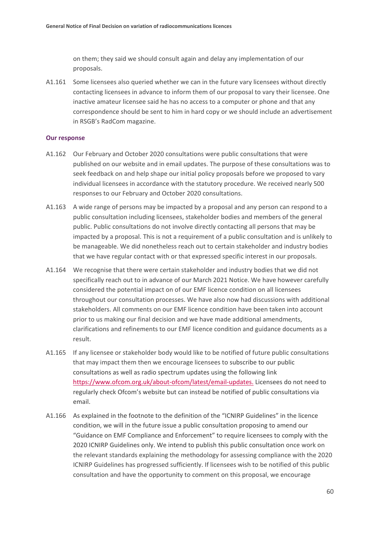on them; they said we should consult again and delay any implementation of our proposals.

A1.161 Some licensees also queried whether we can in the future vary licensees without directly contacting licensees in advance to inform them of our proposal to vary their licensee. One inactive amateur licensee said he has no access to a computer or phone and that any correspondence should be sent to him in hard copy or we should include an advertisement in RSGB's RadCom magazine.

#### **Our response**

- A1.162 Our February and October 2020 consultations were public consultations that were published on our website and in email updates. The purpose of these consultations was to seek feedback on and help shape our initial policy proposals before we proposed to vary individual licensees in accordance with the statutory procedure. We received nearly 500 responses to our February and October 2020 consultations.
- A1.163 A wide range of persons may be impacted by a proposal and any person can respond to a public consultation including licensees, stakeholder bodies and members of the general public. Public consultations do not involve directly contacting all persons that may be impacted by a proposal. This is not a requirement of a public consultation and is unlikely to be manageable. We did nonetheless reach out to certain stakeholder and industry bodies that we have regular contact with or that expressed specific interest in our proposals.
- A1.164 We recognise that there were certain stakeholder and industry bodies that we did not specifically reach out to in advance of our March 2021 Notice. We have however carefully considered the potential impact on of our EMF licence condition on all licensees throughout our consultation processes. We have also now had discussions with additional stakeholders. All comments on our EMF licence condition have been taken into account prior to us making our final decision and we have made additional amendments, clarifications and refinements to our EMF licence condition and guidance documents as a result.
- A1.165 If any licensee or stakeholder body would like to be notified of future public consultations that may impact them then we encourage licensees to subscribe to our public consultations as well as radio spectrum updates using the following link [https://www.ofcom.org.uk/about-ofcom/latest/email-updates.](https://www.ofcom.org.uk/about-ofcom/latest/email-updates) Licensees do not need to regularly check Ofcom's website but can instead be notified of public consultations via email.
- A1.166 As explained in the footnote to the definition of the "ICNIRP Guidelines" in the licence condition, we will in the future issue a public consultation proposing to amend our "Guidance on EMF Compliance and Enforcement" to require licensees to comply with the 2020 ICNIRP Guidelines only. We intend to publish this public consultation once work on the relevant standards explaining the methodology for assessing compliance with the 2020 ICNIRP Guidelines has progressed sufficiently. If licensees wish to be notified of this public consultation and have the opportunity to comment on this proposal, we encourage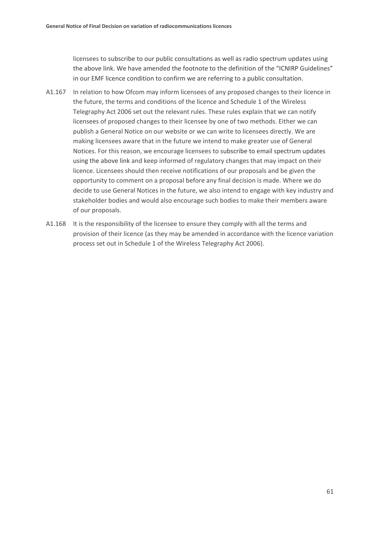licensees to subscribe to our public consultations as well as radio spectrum updates using the above link. We have amended the footnote to the definition of the "ICNIRP Guidelines" in our EMF licence condition to confirm we are referring to a public consultation.

- A1.167 In relation to how Ofcom may inform licensees of any proposed changes to their licence in the future, the terms and conditions of the licence and Schedule 1 of the Wireless Telegraphy Act 2006 set out the relevant rules. These rules explain that we can notify licensees of proposed changes to their licensee by one of two methods. Either we can publish a General Notice on our website or we can write to licensees directly. We are making licensees aware that in the future we intend to make greater use of General Notices. For this reason, we encourage licensees to subscribe to email spectrum updates using the above link and keep informed of regulatory changes that may impact on their licence. Licensees should then receive notifications of our proposals and be given the opportunity to comment on a proposal before any final decision is made. Where we do decide to use General Notices in the future, we also intend to engage with key industry and stakeholder bodies and would also encourage such bodies to make their members aware of our proposals.
- A1.168 It is the responsibility of the licensee to ensure they comply with all the terms and provision of their licence (as they may be amended in accordance with the licence variation process set out in Schedule 1 of the Wireless Telegraphy Act 2006).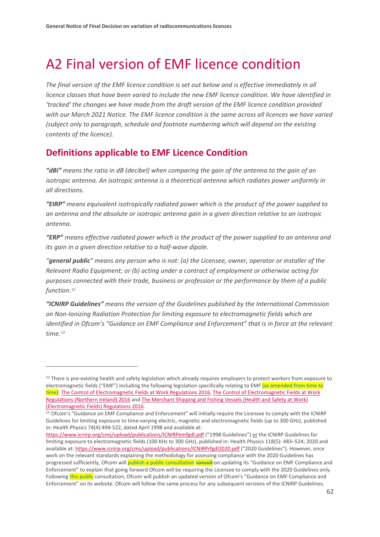# <span id="page-63-0"></span>A2 Final version of EMF licence condition

*The final version of the EMF licence condition is set out below and is effective immediately in all licence classes that have been varied to include the new EMF licence condition. We have identified in 'tracked' the changes we have made from the draft version of the EMF licence condition provided with our March 2021 Notice. The EMF licence condition is the same across all licences we have varied (subject only to paragraph, schedule and footnote numbering which will depend on the existing contents of the licence).*

## **Definitions applicable to EMF Licence Condition**

*"dBi" means the ratio in dB (decibel) when comparing the gain of the antenna to the gain of an isotropic antenna. An isotropic antenna is a theoretical antenna which radiates power uniformly in all directions.*

*"EIRP" means equivalent isotropically radiated power which is the product of the power supplied to an antenna and the absolute or isotropic antenna gain in a given direction relative to an isotropic antenna.* 

*"ERP" means effective radiated power which is the product of the power supplied to an antenna and its gain in a given direction relative to a half-wave dipole.*

*"general public" means any person who is not: (a) the Licensee, owner, operator or installer of the Relevant Radio Equipment; or (b) acting under a contract of employment or otherwise acting for purposes connected with their trade, business or profession or the performance by them of a public function.[12](#page-63-1)*

*"ICNIRP Guidelines" means the version of the Guidelines published by the International Commission on Non-Ionizing Radiation Protection for limiting exposure to electromagnetic fields which are identified in Ofcom's "Guidance on EMF Compliance and Enforcement" that is in force at the relevant time.[13](#page-63-2)*

<span id="page-63-1"></span><sup>&</sup>lt;sup>12</sup> There is pre-existing health and safety legislation which already requires employers to protect workers from exposure to electromagnetic fields ("EMF") including the following legislation specifically relating to EMF (as amended from time to time): [The Control of Electromagnetic Fields at Work Regulations 2016,](https://www.legislation.gov.uk/uksi/2016/588/pdfs/uksi_20160588_en.pdf) [The Control of Electromagnetic Fields at Work](https://www.legislation.gov.uk/nisr/2016/266/contents/made)  [Regulations \(Northern Ireland\) 2016](https://www.legislation.gov.uk/nisr/2016/266/contents/made) and [The Merchant Shipping and Fishing Vessels \(Health and Safety at Work\)](https://www.legislation.gov.uk/uksi/2016/1026/contents/made)  [\(Electromagnetic Fields\) Regulations 2016.](https://www.legislation.gov.uk/uksi/2016/1026/contents/made)

<span id="page-63-2"></span><sup>&</sup>lt;sup>13</sup> Ofcom's "Guidance on EMF Compliance and Enforcement" will initially require the Licensee to comply with the ICNIRP Guidelines for limiting exposure to time-varying electric, magnetic and electromagnetic fields (up to 300 GHz), published in: Health Physics 74(4):494-522, dated April 1998 and available at:

<https://www.icnirp.org/cms/upload/publications/ICNIRPemfgdl.pdf> ("1998 Guidelines") or the ICNIRP Guidelines for limiting exposure to electromagnetic fields (100 KHz to 300 GHz), published in: Health Physics 118(5): 483–524; 2020 and available at[: https://www.icnirp.org/cms/upload/publications/ICNIRPrfgdl2020.pdf](https://www.icnirp.org/cms/upload/publications/ICNIRPrfgdl2020.pdf) ("2020 Guidelines"). However, once work on the relevant standards explaining the methodology for assessing compliance with the 2020 Guidelines has progressed sufficiently, Ofcom will publish a public consultation consult on updating its "Guidance on EMF Compliance and Enforcement" to explain that going forward Ofcom will be requiring the Licensee to comply with the 2020 Guidelines only. Following this public consultation, Ofcom will publish an updated version of Ofcom's "Guidance on EMF Compliance and Enforcement" on its website. Ofcom will follow the same process for any subsequent versions of the ICNIRP Guidelines.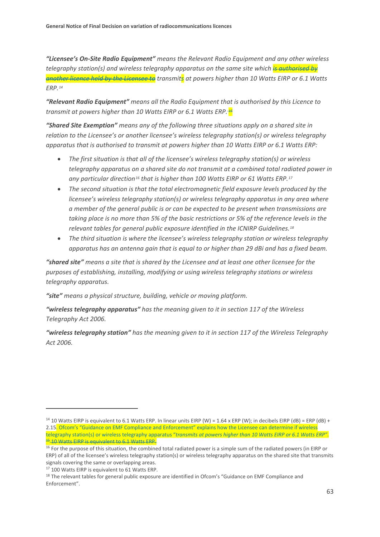*"Licensee's On-Site Radio Equipment" means the Relevant Radio Equipment and any other wireless telegraphy station(s) and wireless telegraphy apparatus on the same site which is authorised by another licence held by the Licensee to transmits at powers higher than 10 Watts EIRP or 6.1 Watts ERP.[14](#page-64-0)*

*"Relevant Radio Equipment" means all the Radio Equipment that is authorised by this Licence to transmit at powers higher than 10 Watts EIRP or 6.1 Watts ERP. [15](#page-64-1)*

*"Shared Site Exemption" means any of the following three situations apply on a shared site in relation to the Licensee's or another licensee's wireless telegraphy station(s) or wireless telegraphy apparatus that is authorised to transmit at powers higher than 10 Watts EIRP or 6.1 Watts ERP:*

- *The first situation is that all of the licensee's wireless telegraphy station(s) or wireless telegraphy apparatus on a shared site do not transmit at a combined total radiated power in any particular direction[16](#page-64-2) that is higher than 100 Watts EIRP or 61 Watts ERP.[17](#page-64-3)*
- *The second situation is that the total electromagnetic field exposure levels produced by the licensee's wireless telegraphy station(s) or wireless telegraphy apparatus in any area where a member of the general public is or can be expected to be present when transmissions are taking place is no more than 5% of the basic restrictions or 5% of the reference levels in the relevant tables for general public exposure identified in the ICNIRP Guidelines.[18](#page-64-4)*
- *The third situation is where the licensee's wireless telegraphy station or wireless telegraphy apparatus has an antenna gain that is equal to or higher than 29 dBi and has a fixed beam.*

*"shared site" means a site that is shared by the Licensee and at least one other licensee for the purposes of establishing, installing, modifying or using wireless telegraphy stations or wireless telegraphy apparatus.*

*"site" means a physical structure, building, vehicle or moving platform.* 

*"wireless telegraphy apparatus" has the meaning given to it in section 117 of the Wireless Telegraphy Act 2006.*

*"wireless telegraphy station" has the meaning given to it in section 117 of the Wireless Telegraphy Act 2006.*

<span id="page-64-0"></span><sup>&</sup>lt;sup>14</sup> 10 Watts EIRP is equivalent to 6.1 Watts ERP. In linear units EIRP (W) = 1.64 x ERP (W); in decibels EIRP (dB) = ERP (dB) + 2.15. Ofcom's "Guidance on EMF Compliance and Enforcement" explains how the Licensee can determine if wireless telegraphy station(s) or wireless telegraphy apparatus "*transmits at powers higher than 10 Watts EIRP or 6.1 Watts ERP"*. <sup>45</sup> 10 Watts EIRP is equivalent to 6.1 Watts ERP.

<span id="page-64-2"></span><span id="page-64-1"></span><sup>&</sup>lt;sup>16</sup> For the purpose of this situation, the combined total radiated power is a simple sum of the radiated powers (in EIRP or ERP) of all of the licensee's wireless telegraphy station(s) or wireless telegraphy apparatus on the shared site that transmits signals covering the same or overlapping areas.

<span id="page-64-3"></span><sup>17</sup> 100 Watts EIRP is equivalent to 61 Watts ERP.

<span id="page-64-4"></span><sup>&</sup>lt;sup>18</sup> The relevant tables for general public exposure are identified in Ofcom's "Guidance on EMF Compliance and Enforcement".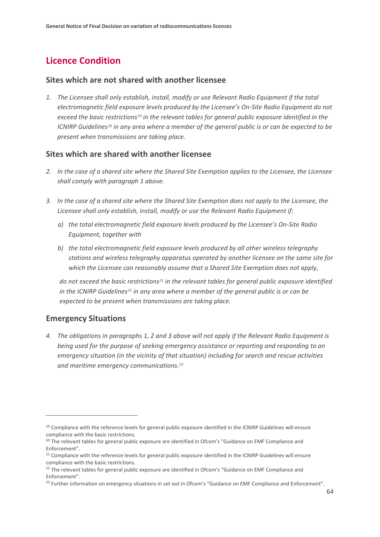# **Licence Condition**

### **Sites which are not shared with another licensee**

*1. The Licensee shall only establish, install, modify or use Relevant Radio Equipment if the total electromagnetic field exposure levels produced by the Licensee's On-Site Radio Equipment do not exceed the basic restrictions[19](#page-65-0) in the relevant tables for general public exposure identified in the ICNIRP Guidelines[20](#page-65-1) in any area where a member of the general public is or can be expected to be present when transmissions are taking place.* 

### **Sites which are shared with another licensee**

- *2. In the case of a shared site where the Shared Site Exemption applies to the Licensee, the Licensee shall comply with paragraph 1 above.*
- *3. In the case of a shared site where the Shared Site Exemption does not apply to the Licensee, the Licensee shall only establish, install, modify or use the Relevant Radio Equipment if:* 
	- *a) the total electromagnetic field exposure levels produced by the Licensee's On-Site Radio Equipment, together with*
	- *b) the total electromagnetic field exposure levels produced by all other wireless telegraphy stations and wireless telegraphy apparatus operated by another licensee on the same site for which the Licensee can reasonably assume that a Shared Site Exemption does not apply,*

*do not exceed the basic restrictions[21](#page-65-2) in the relevant tables for general public exposure identified in the ICNIRP Guidelines[22](#page-65-3) in any area where a member of the general public is or can be expected to be present when transmissions are taking place.* 

### **Emergency Situations**

*4. The obligations in paragraphs 1, 2 and 3 above will not apply if the Relevant Radio Equipment is being used for the purpose of seeking emergency assistance or reporting and responding to an emergency situation (in the vicinity of that situation) including for search and rescue activities and maritime emergency communications.[23](#page-65-4)*

<span id="page-65-0"></span><sup>&</sup>lt;sup>19</sup> Compliance with the reference levels for general public exposure identified in the ICNIRP Guidelines will ensure compliance with the basic restrictions.

<span id="page-65-1"></span><sup>&</sup>lt;sup>20</sup> The relevant tables for general public exposure are identified in Ofcom's "Guidance on EMF Compliance and Enforcement".

<span id="page-65-2"></span><sup>&</sup>lt;sup>21</sup> Compliance with the reference levels for general public exposure identified in the ICNIRP Guidelines will ensure compliance with the basic restrictions.

<span id="page-65-3"></span><sup>&</sup>lt;sup>22</sup> The relevant tables for general public exposure are identified in Ofcom's "Guidance on EMF Compliance and Enforcement".

<span id="page-65-4"></span> $^{23}$  Further information on emergency situations in set out in Ofcom's "Guidance on EMF Compliance and Enforcement".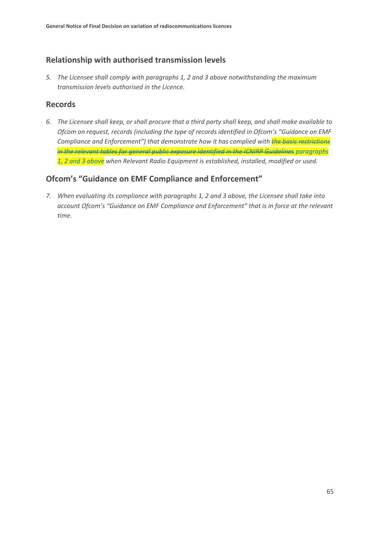## **Relationship with authorised transmission levels**

*5. The Licensee shall comply with paragraphs 1, 2 and 3 above notwithstanding the maximum transmission levels authorised in the Licence.*

### **Records**

*6. The Licensee shall keep, or shall procure that a third party shall keep, and shall make available to Ofcom on request, records (including the type of records identified in Ofcom's "Guidance on EMF Compliance and Enforcement") that demonstrate how it has complied with the basic restrictions in the relevant tables for general public exposure identified in the ICNIRP Guidelines paragraphs 1, 2 and 3 above when Relevant Radio Equipment is established, installed, modified or used.* 

## **Ofcom's "Guidance on EMF Compliance and Enforcement"**

*7. When evaluating its compliance with paragraphs 1, 2 and 3 above, the Licensee shall take into account Ofcom's "Guidance on EMF Compliance and Enforcement" that is in force at the relevant time.*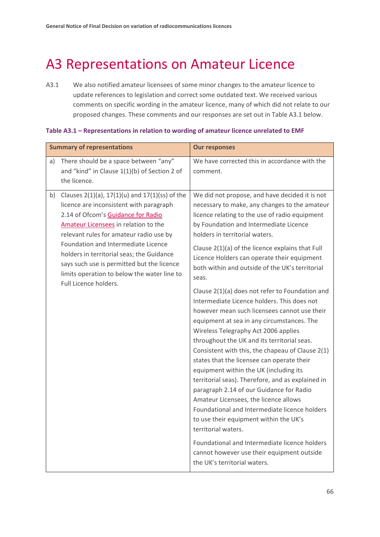# <span id="page-67-0"></span>A3 Representations on Amateur Licence

A3.1 We also notified amateur licensees of some minor changes to the amateur licence to update references to legislation and correct some outdated text. We received various comments on specific wording in the amateur licence, many of which did not relate to our proposed changes. These comments and our responses are set out in Table A3.1 below.

| <b>Summary of representations</b>                                                                                                                                                                                                                                                                                                                                                                                                  | <b>Our responses</b>                                                                                                                                                                                                                                                                                                                                                                                                                                                                                                                                                                                                                                                                                                                                                                                                                                                                                                                                                                                                                                                                                                                                                                                                       |
|------------------------------------------------------------------------------------------------------------------------------------------------------------------------------------------------------------------------------------------------------------------------------------------------------------------------------------------------------------------------------------------------------------------------------------|----------------------------------------------------------------------------------------------------------------------------------------------------------------------------------------------------------------------------------------------------------------------------------------------------------------------------------------------------------------------------------------------------------------------------------------------------------------------------------------------------------------------------------------------------------------------------------------------------------------------------------------------------------------------------------------------------------------------------------------------------------------------------------------------------------------------------------------------------------------------------------------------------------------------------------------------------------------------------------------------------------------------------------------------------------------------------------------------------------------------------------------------------------------------------------------------------------------------------|
| There should be a space between "any"<br>a)<br>and "kind" in Clause 1(1)(b) of Section 2 of<br>the licence.                                                                                                                                                                                                                                                                                                                        | We have corrected this in accordance with the<br>comment.                                                                                                                                                                                                                                                                                                                                                                                                                                                                                                                                                                                                                                                                                                                                                                                                                                                                                                                                                                                                                                                                                                                                                                  |
| Clauses 2(1)(a), 17(1)(u) and 17(1)(ss) of the<br>b)<br>licence are inconsistent with paragraph<br>2.14 of Ofcom's Guidance for Radio<br>Amateur Licensees in relation to the<br>relevant rules for amateur radio use by<br>Foundation and Intermediate Licence<br>holders in territorial seas; the Guidance<br>says such use is permitted but the licence<br>limits operation to below the water line to<br>Full Licence holders. | We did not propose, and have decided it is not<br>necessary to make, any changes to the amateur<br>licence relating to the use of radio equipment<br>by Foundation and Intermediate Licence<br>holders in territorial waters.<br>Clause 2(1)(a) of the licence explains that Full<br>Licence Holders can operate their equipment<br>both within and outside of the UK's territorial<br>seas.<br>Clause 2(1)(a) does not refer to Foundation and<br>Intermediate Licence holders. This does not<br>however mean such licensees cannot use their<br>equipment at sea in any circumstances. The<br>Wireless Telegraphy Act 2006 applies<br>throughout the UK and its territorial seas.<br>Consistent with this, the chapeau of Clause 2(1)<br>states that the licensee can operate their<br>equipment within the UK (including its<br>territorial seas). Therefore, and as explained in<br>paragraph 2.14 of our Guidance for Radio<br>Amateur Licensees, the licence allows<br>Foundational and Intermediate licence holders<br>to use their equipment within the UK's<br>territorial waters.<br>Foundational and Intermediate licence holders<br>cannot however use their equipment outside<br>the UK's territorial waters. |

#### **Table A3.1 – Representations in relation to wording of amateur licence unrelated to EMF**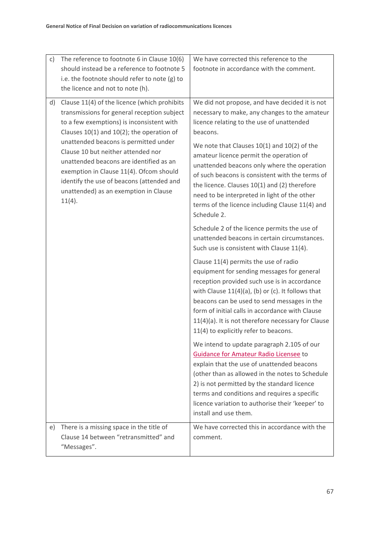| c) | The reference to footnote 6 in Clause 10(6)                                                                                                                                                                                                                                                                                                                                                                                                                     | We have corrected this reference to the                                                                                                                                                                                                                                                                                                                                                                                                                                                                 |
|----|-----------------------------------------------------------------------------------------------------------------------------------------------------------------------------------------------------------------------------------------------------------------------------------------------------------------------------------------------------------------------------------------------------------------------------------------------------------------|---------------------------------------------------------------------------------------------------------------------------------------------------------------------------------------------------------------------------------------------------------------------------------------------------------------------------------------------------------------------------------------------------------------------------------------------------------------------------------------------------------|
|    | should instead be a reference to footnote 5                                                                                                                                                                                                                                                                                                                                                                                                                     | footnote in accordance with the comment.                                                                                                                                                                                                                                                                                                                                                                                                                                                                |
|    | i.e. the footnote should refer to note (g) to                                                                                                                                                                                                                                                                                                                                                                                                                   |                                                                                                                                                                                                                                                                                                                                                                                                                                                                                                         |
|    | the licence and not to note (h).                                                                                                                                                                                                                                                                                                                                                                                                                                |                                                                                                                                                                                                                                                                                                                                                                                                                                                                                                         |
| d) | Clause 11(4) of the licence (which prohibits<br>transmissions for general reception subject<br>to a few exemptions) is inconsistent with<br>Clauses $10(1)$ and $10(2)$ ; the operation of<br>unattended beacons is permitted under<br>Clause 10 but neither attended nor<br>unattended beacons are identified as an<br>exemption in Clause 11(4). Ofcom should<br>identify the use of beacons (attended and<br>unattended) as an exemption in Clause<br>11(4). | We did not propose, and have decided it is not<br>necessary to make, any changes to the amateur<br>licence relating to the use of unattended<br>beacons.<br>We note that Clauses 10(1) and 10(2) of the<br>amateur licence permit the operation of<br>unattended beacons only where the operation<br>of such beacons is consistent with the terms of<br>the licence. Clauses 10(1) and (2) therefore<br>need to be interpreted in light of the other<br>terms of the licence including Clause 11(4) and |
|    |                                                                                                                                                                                                                                                                                                                                                                                                                                                                 | Schedule 2.<br>Schedule 2 of the licence permits the use of<br>unattended beacons in certain circumstances.<br>Such use is consistent with Clause 11(4).                                                                                                                                                                                                                                                                                                                                                |
|    |                                                                                                                                                                                                                                                                                                                                                                                                                                                                 | Clause 11(4) permits the use of radio<br>equipment for sending messages for general<br>reception provided such use is in accordance<br>with Clause $11(4)(a)$ , (b) or (c). It follows that<br>beacons can be used to send messages in the<br>form of initial calls in accordance with Clause<br>11(4)(a). It is not therefore necessary for Clause<br>11(4) to explicitly refer to beacons.                                                                                                            |
|    |                                                                                                                                                                                                                                                                                                                                                                                                                                                                 | We intend to update paragraph 2.105 of our<br><b>Guidance for Amateur Radio Licensee to</b><br>explain that the use of unattended beacons<br>(other than as allowed in the notes to Schedule<br>2) is not permitted by the standard licence<br>terms and conditions and requires a specific<br>licence variation to authorise their 'keeper' to<br>install and use them.                                                                                                                                |
| e) | There is a missing space in the title of<br>Clause 14 between "retransmitted" and<br>"Messages".                                                                                                                                                                                                                                                                                                                                                                | We have corrected this in accordance with the<br>comment.                                                                                                                                                                                                                                                                                                                                                                                                                                               |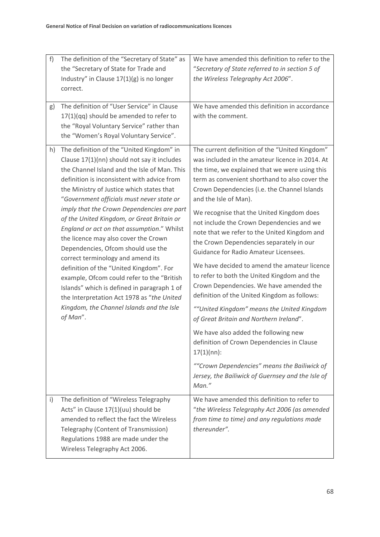| f)           | The definition of the "Secretary of State" as                                                                                                                          | We have amended this definition to refer to the                                                                                                                                                                             |
|--------------|------------------------------------------------------------------------------------------------------------------------------------------------------------------------|-----------------------------------------------------------------------------------------------------------------------------------------------------------------------------------------------------------------------------|
|              | the "Secretary of State for Trade and                                                                                                                                  | "Secretary of State referred to in section 5 of                                                                                                                                                                             |
|              | Industry" in Clause $17(1)(g)$ is no longer                                                                                                                            | the Wireless Telegraphy Act 2006".                                                                                                                                                                                          |
|              | correct.                                                                                                                                                               |                                                                                                                                                                                                                             |
|              |                                                                                                                                                                        |                                                                                                                                                                                                                             |
| g)           | The definition of "User Service" in Clause                                                                                                                             | We have amended this definition in accordance                                                                                                                                                                               |
|              | $17(1)(qq)$ should be amended to refer to                                                                                                                              | with the comment.                                                                                                                                                                                                           |
|              | the "Royal Voluntary Service" rather than                                                                                                                              |                                                                                                                                                                                                                             |
|              | the "Women's Royal Voluntary Service".                                                                                                                                 |                                                                                                                                                                                                                             |
| h)           | The definition of the "United Kingdom" in<br>Clause 17(1)(nn) should not say it includes<br>the Channel Island and the Isle of Man. This                               | The current definition of the "United Kingdom"<br>was included in the amateur licence in 2014. At<br>the time, we explained that we were using this                                                                         |
|              |                                                                                                                                                                        | term as convenient shorthand to also cover the                                                                                                                                                                              |
|              | definition is inconsistent with advice from<br>the Ministry of Justice which states that                                                                               | Crown Dependencies (i.e. the Channel Islands                                                                                                                                                                                |
|              | "Government officials must never state or                                                                                                                              | and the Isle of Man).                                                                                                                                                                                                       |
|              | imply that the Crown Dependencies are part                                                                                                                             |                                                                                                                                                                                                                             |
|              | of the United Kingdom, or Great Britain or<br>England or act on that assumption." Whilst<br>the licence may also cover the Crown<br>Dependencies, Ofcom should use the | We recognise that the United Kingdom does<br>not include the Crown Dependencies and we<br>note that we refer to the United Kingdom and<br>the Crown Dependencies separately in our<br>Guidance for Radio Amateur Licensees. |
|              | correct terminology and amend its                                                                                                                                      | We have decided to amend the amateur licence                                                                                                                                                                                |
|              | definition of the "United Kingdom". For<br>example, Ofcom could refer to the "British                                                                                  | to refer to both the United Kingdom and the                                                                                                                                                                                 |
|              | Islands" which is defined in paragraph 1 of                                                                                                                            | Crown Dependencies. We have amended the                                                                                                                                                                                     |
|              | the Interpretation Act 1978 as "the United                                                                                                                             | definition of the United Kingdom as follows:                                                                                                                                                                                |
|              | Kingdom, the Channel Islands and the Isle                                                                                                                              | ""United Kingdom" means the United Kingdom                                                                                                                                                                                  |
|              | of Man".                                                                                                                                                               | of Great Britain and Northern Ireland".                                                                                                                                                                                     |
|              |                                                                                                                                                                        |                                                                                                                                                                                                                             |
|              |                                                                                                                                                                        | We have also added the following new<br>definition of Crown Dependencies in Clause<br>$17(1)(nn)$ :                                                                                                                         |
|              |                                                                                                                                                                        | ""Crown Dependencies" means the Bailiwick of<br>Jersey, the Bailiwick of Guernsey and the Isle of<br>Man."                                                                                                                  |
| $\mathsf{i}$ | The definition of "Wireless Telegraphy                                                                                                                                 | We have amended this definition to refer to                                                                                                                                                                                 |
|              | Acts" in Clause 17(1)(uu) should be                                                                                                                                    | "the Wireless Telegraphy Act 2006 (as amended                                                                                                                                                                               |
|              | amended to reflect the fact the Wireless                                                                                                                               | from time to time) and any regulations made                                                                                                                                                                                 |
|              | Telegraphy (Content of Transmission)                                                                                                                                   | thereunder".                                                                                                                                                                                                                |
|              | Regulations 1988 are made under the                                                                                                                                    |                                                                                                                                                                                                                             |
|              | Wireless Telegraphy Act 2006.                                                                                                                                          |                                                                                                                                                                                                                             |